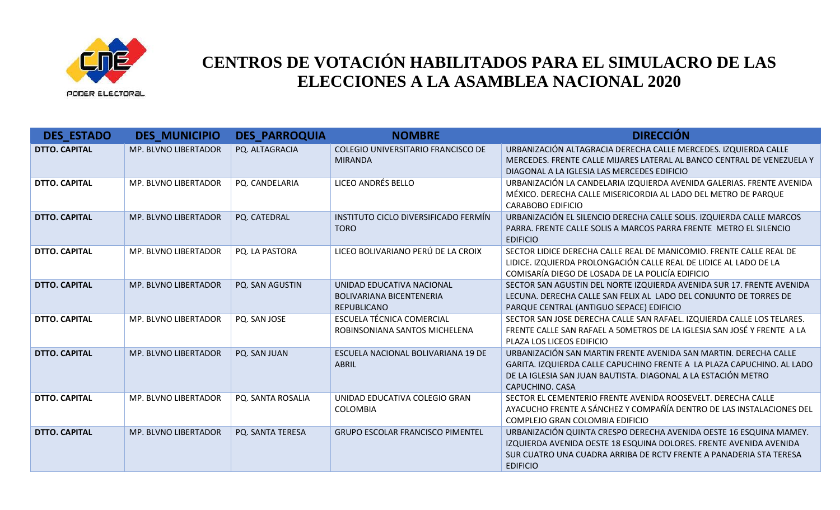

**DES\_ESTADO DES\_MUNICIPIO DES\_PARROQUIA NOMBRE DIRECCIÓN DTTO. CAPITAL MP. BLVNO LIBERTADOR PO. ALTAGRACIA COLEGIO UNIVERSITARIO FRANCISCO DE** MIRANDA URBANIZACIÓN ALTAGRACIA DERECHA CALLE MERCEDES. IZQUIERDA CALLE MERCEDES. FRENTE CALLE MIJARES LATERAL AL BANCO CENTRAL DE VENEZUELA Y DIAGONAL A LA IGLESIA LAS MERCEDES EDIFICIO **DTTO. CAPITAL** MP. BLVNO LIBERTADOR PQ. CANDELARIA LICEO ANDRÉS BELLO URBANIZACIÓN LA CANDELARIA IZQUIERDA AVENIDA GALERIAS. FRENTE AVENIDA MÉXICO. DERECHA CALLE MISERICORDIA AL LADO DEL METRO DE PARQUE CARABOBO EDIFICIO **DTTO. CAPITAL MP. BLVNO LIBERTADOR PO. CATEDRAL INSTITUTO CICLO DIVERSIFICADO FERMÍN** TORO URBANIZACIÓN EL SILENCIO DERECHA CALLE SOLIS. IZQUIERDA CALLE MARCOS PARRA. FRENTE CALLE SOLIS A MARCOS PARRA FRENTE METRO EL SILENCIO EDIFICIO **DTTO. CAPITAL** MP. BLVNO LIBERTADOR PQ. LA PASTORA LICEO BOLIVARIANO PERÚ DE LA CROIX SECTOR LIDICE DERECHA CALLE REAL DE MANICOMIO. FRENTE CALLE REAL DE LIDICE. IZQUIERDA PROLONGACIÓN CALLE REAL DE LIDICE AL LADO DE LA COMISARÍA DIEGO DE LOSADA DE LA POLICÍA EDIFICIO **DTTO. CAPITAL MP. BLVNO LIBERTADOR PQ. SAN AGUSTIN UNIDAD EDUCATIVA NACIONAL** BOLIVARIANA BICENTENERIA REPUBLICANO SECTOR SAN AGUSTIN DEL NORTE IZQUIERDA AVENIDA SUR 17. FRENTE AVENIDA LECUNA. DERECHA CALLE SAN FELIX AL LADO DEL CONJUNTO DE TORRES DE PARQUE CENTRAL (ANTIGUO SEPACE) EDIFICIO **DTTO. CAPITAL MP. BLVNO LIBERTADOR PQ. SAN JOSE ESCUELA TÉCNICA COMERCIAL** ROBINSONIANA SANTOS MICHELENA SECTOR SAN JOSE DERECHA CALLE SAN RAFAEL. IZQUIERDA CALLE LOS TELARES. FRENTE CALLE SAN RAFAEL A 50METROS DE LA IGLESIA SAN JOSÉ Y FRENTE A LA PLAZA LOS LICEOS EDIFICIO **DTTO. CAPITAL** MP. BLVNO LIBERTADOR | PQ. SAN JUAN | ESCUELA NACIONAL BOLIVARIANA 19 DE ABRIL URBANIZACIÓN SAN MARTIN FRENTE AVENIDA SAN MARTIN. DERECHA CALLE GARITA. IZQUIERDA CALLE CAPUCHINO FRENTE A LA PLAZA CAPUCHINO. AL LADO DE LA IGLESIA SAN JUAN BAUTISTA. DIAGONAL A LA ESTACIÓN METRO CAPUCHINO. CASA **DTTO. CAPITAL MP. BLVNO LIBERTADOR PQ. SANTA ROSALIA UNIDAD EDUCATIVA COLEGIO GRAN** COLOMBIA SECTOR EL CEMENTERIO FRENTE AVENIDA ROOSEVELT. DERECHA CALLE AYACUCHO FRENTE A SÁNCHEZ Y COMPAÑÍA DENTRO DE LAS INSTALACIONES DEL COMPLEJO GRAN COLOMBIA EDIFICIO **DTTO. CAPITAL** MP. BLVNO LIBERTADOR PQ. SANTA TERESA GRUPO ESCOLAR FRANCISCO PIMENTEL URBANIZACIÓN QUINTA CRESPO DERECHA AVENIDA OESTE 16 ESQUINA MAMEY. IZQUIERDA AVENIDA OESTE 18 ESQUINA DOLORES. FRENTE AVENIDA AVENIDA SUR CUATRO UNA CUADRA ARRIBA DE RCTV FRENTE A PANADERIA STA TERESA EDIFICIO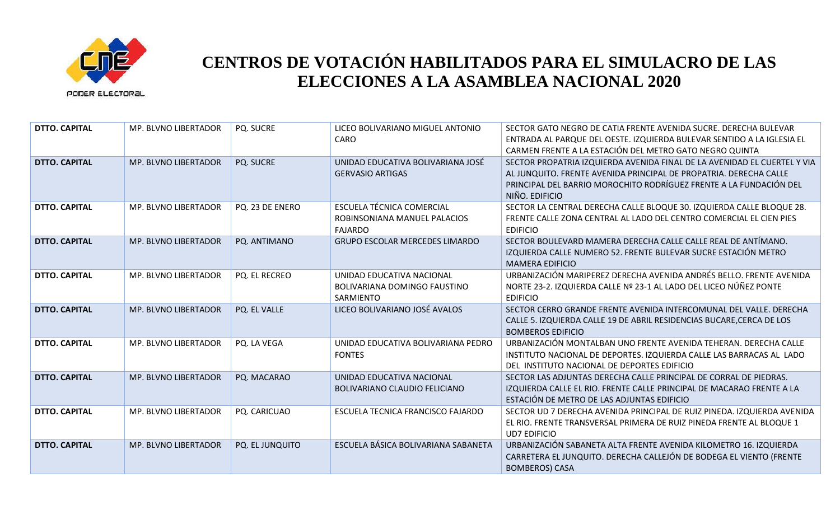

| <b>DTTO. CAPITAL</b> | <b>MP. BLVNO LIBERTADOR</b> | <b>PQ. SUCRE</b>       | LICEO BOLIVARIANO MIGUEL ANTONIO<br>CARO                                    | SECTOR GATO NEGRO DE CATIA FRENTE AVENIDA SUCRE. DERECHA BULEVAR<br>ENTRADA AL PARQUE DEL OESTE. IZQUIERDA BULEVAR SENTIDO A LA IGLESIA EL<br>CARMEN FRENTE A LA ESTACIÓN DEL METRO GATO NEGRO QUINTA                                 |
|----------------------|-----------------------------|------------------------|-----------------------------------------------------------------------------|---------------------------------------------------------------------------------------------------------------------------------------------------------------------------------------------------------------------------------------|
| <b>DTTO. CAPITAL</b> | MP. BLVNO LIBERTADOR        | PQ. SUCRE              | UNIDAD EDUCATIVA BOLIVARIANA JOSÉ<br><b>GERVASIO ARTIGAS</b>                | SECTOR PROPATRIA IZQUIERDA AVENIDA FINAL DE LA AVENIDAD EL CUERTEL Y VIA<br>AL JUNQUITO. FRENTE AVENIDA PRINCIPAL DE PROPATRIA. DERECHA CALLE<br>PRINCIPAL DEL BARRIO MOROCHITO RODRÍGUEZ FRENTE A LA FUNDACIÓN DEL<br>NIÑO. EDIFICIO |
| <b>DTTO. CAPITAL</b> | MP. BLVNO LIBERTADOR        | PQ. 23 DE ENERO        | ESCUELA TÉCNICA COMERCIAL<br>ROBINSONIANA MANUEL PALACIOS<br><b>FAJARDO</b> | SECTOR LA CENTRAL DERECHA CALLE BLOQUE 30. IZQUIERDA CALLE BLOQUE 28.<br>FRENTE CALLE ZONA CENTRAL AL LADO DEL CENTRO COMERCIAL EL CIEN PIES<br><b>EDIFICIO</b>                                                                       |
| <b>DTTO. CAPITAL</b> | <b>MP. BLVNO LIBERTADOR</b> | PQ. ANTIMANO           | <b>GRUPO ESCOLAR MERCEDES LIMARDO</b>                                       | SECTOR BOULEVARD MAMERA DERECHA CALLE CALLE REAL DE ANTÍMANO.<br>IZQUIERDA CALLE NUMERO 52. FRENTE BULEVAR SUCRE ESTACIÓN METRO<br><b>MAMERA EDIFICIO</b>                                                                             |
| <b>DTTO. CAPITAL</b> | MP. BLVNO LIBERTADOR        | PQ. EL RECREO          | UNIDAD EDUCATIVA NACIONAL<br>BOLIVARIANA DOMINGO FAUSTINO<br>SARMIENTO      | URBANIZACIÓN MARIPEREZ DERECHA AVENIDA ANDRÉS BELLO. FRENTE AVENIDA<br>NORTE 23-2. IZQUIERDA CALLE Nº 23-1 AL LADO DEL LICEO NÚÑEZ PONTE<br><b>EDIFICIO</b>                                                                           |
| <b>DTTO. CAPITAL</b> | MP. BLVNO LIBERTADOR        | PQ. EL VALLE           | LICEO BOLIVARIANO JOSÉ AVALOS                                               | SECTOR CERRO GRANDE FRENTE AVENIDA INTERCOMUNAL DEL VALLE. DERECHA<br>CALLE 5. IZQUIERDA CALLE 19 DE ABRIL RESIDENCIAS BUCARE, CERCA DE LOS<br><b>BOMBEROS EDIFICIO</b>                                                               |
| <b>DTTO. CAPITAL</b> | MP. BLVNO LIBERTADOR        | PQ. LA VEGA            | UNIDAD EDUCATIVA BOLIVARIANA PEDRO<br><b>FONTES</b>                         | URBANIZACIÓN MONTALBAN UNO FRENTE AVENIDA TEHERAN. DERECHA CALLE<br>INSTITUTO NACIONAL DE DEPORTES. IZQUIERDA CALLE LAS BARRACAS AL LADO<br>DEL INSTITUTO NACIONAL DE DEPORTES EDIFICIO                                               |
| <b>DTTO. CAPITAL</b> | <b>MP. BLVNO LIBERTADOR</b> | PQ. MACARAO            | UNIDAD EDUCATIVA NACIONAL<br>BOLIVARIANO CLAUDIO FELICIANO                  | SECTOR LAS ADJUNTAS DERECHA CALLE PRINCIPAL DE CORRAL DE PIEDRAS.<br>IZQUIERDA CALLE EL RIO. FRENTE CALLE PRINCIPAL DE MACARAO FRENTE A LA<br>ESTACIÓN DE METRO DE LAS ADJUNTAS EDIFICIO                                              |
| <b>DTTO. CAPITAL</b> | <b>MP. BLVNO LIBERTADOR</b> | PQ. CARICUAO           | ESCUELA TECNICA FRANCISCO FAJARDO                                           | SECTOR UD 7 DERECHA AVENIDA PRINCIPAL DE RUIZ PINEDA. IZQUIERDA AVENIDA<br>EL RIO. FRENTE TRANSVERSAL PRIMERA DE RUIZ PINEDA FRENTE AL BLOQUE 1<br><b>UD7 EDIFICIO</b>                                                                |
| <b>DTTO. CAPITAL</b> | <b>MP. BLVNO LIBERTADOR</b> | <b>PQ. EL JUNQUITO</b> | ESCUELA BÁSICA BOLIVARIANA SABANETA                                         | URBANIZACIÓN SABANETA ALTA FRENTE AVENIDA KILOMETRO 16. IZQUIERDA<br>CARRETERA EL JUNQUITO. DERECHA CALLEJÓN DE BODEGA EL VIENTO (FRENTE<br><b>BOMBEROS) CASA</b>                                                                     |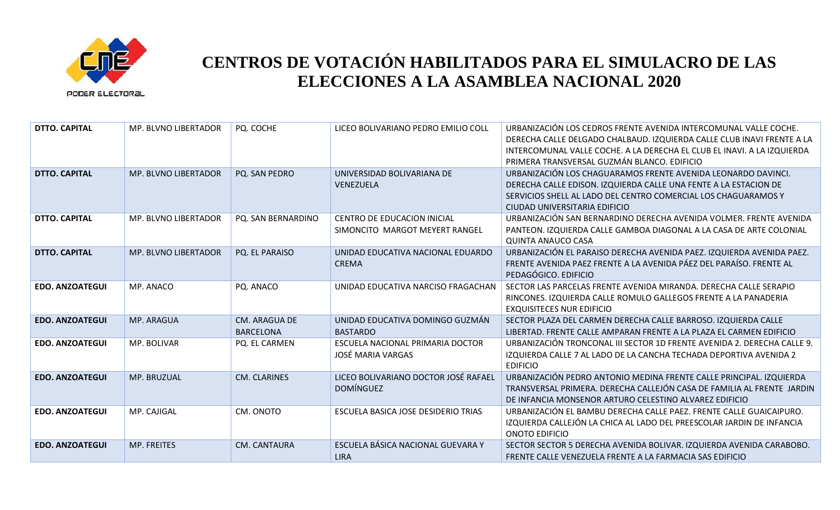

| <b>DTTO. CAPITAL</b>   | <b>MP. BLVNO LIBERTADOR</b> | PQ. COCHE                                | LICEO BOLIVARIANO PEDRO EMILIO COLL                           | URBANIZACIÓN LOS CEDROS FRENTE AVENIDA INTERCOMUNAL VALLE COCHE.<br>DERECHA CALLE DELGADO CHALBAUD. IZQUIERDA CALLE CLUB INAVI FRENTE A LA<br>INTERCOMUNAL VALLE COCHE. A LA DERECHA EL CLUB EL INAVI. A LA IZQUIERDA<br>PRIMERA TRANSVERSAL GUZMÁN BLANCO. EDIFICIO |
|------------------------|-----------------------------|------------------------------------------|---------------------------------------------------------------|----------------------------------------------------------------------------------------------------------------------------------------------------------------------------------------------------------------------------------------------------------------------|
| <b>DTTO. CAPITAL</b>   | MP. BLVNO LIBERTADOR        | PQ. SAN PEDRO                            | UNIVERSIDAD BOLIVARIANA DE<br><b>VENEZUELA</b>                | URBANIZACIÓN LOS CHAGUARAMOS FRENTE AVENIDA LEONARDO DAVINCI.<br>DERECHA CALLE EDISON. IZQUIERDA CALLE UNA FENTE A LA ESTACION DE<br>SERVICIOS SHELL AL LADO DEL CENTRO COMERCIAL LOS CHAGUARAMOS Y<br>CIUDAD UNIVERSITARIA EDIFICIO                                 |
| <b>DTTO. CAPITAL</b>   | MP. BLVNO LIBERTADOR        | PQ. SAN BERNARDINO                       | CENTRO DE EDUCACION INICIAL<br>SIMONCITO MARGOT MEYERT RANGEL | URBANIZACIÓN SAN BERNARDINO DERECHA AVENIDA VOLMER. FRENTE AVENIDA<br>PANTEON. IZQUIERDA CALLE GAMBOA DIAGONAL A LA CASA DE ARTE COLONIAL<br><b>QUINTA ANAUCO CASA</b>                                                                                               |
| <b>DTTO. CAPITAL</b>   | MP. BLVNO LIBERTADOR        | PQ. EL PARAISO                           | UNIDAD EDUCATIVA NACIONAL EDUARDO<br><b>CREMA</b>             | URBANIZACIÓN EL PARAISO DERECHA AVENIDA PAEZ. IZQUIERDA AVENIDA PAEZ.<br>FRENTE AVENIDA PAEZ FRENTE A LA AVENIDA PÁEZ DEL PARAÍSO. FRENTE AL<br>PEDAGÓGICO. EDIFICIO                                                                                                 |
| <b>EDO. ANZOATEGUI</b> | MP. ANACO                   | PQ. ANACO                                | UNIDAD EDUCATIVA NARCISO FRAGACHAN                            | SECTOR LAS PARCELAS FRENTE AVENIDA MIRANDA. DERECHA CALLE SERAPIO<br>RINCONES. IZQUIERDA CALLE ROMULO GALLEGOS FRENTE A LA PANADERIA<br><b>EXQUISITECES NUR EDIFICIO</b>                                                                                             |
| <b>EDO. ANZOATEGUI</b> | MP. ARAGUA                  | <b>CM. ARAGUA DE</b><br><b>BARCELONA</b> | UNIDAD EDUCATIVA DOMINGO GUZMÁN<br><b>BASTARDO</b>            | SECTOR PLAZA DEL CARMEN DERECHA CALLE BARROSO. IZQUIERDA CALLE<br>LIBERTAD. FRENTE CALLE AMPARAN FRENTE A LA PLAZA EL CARMEN EDIFICIO                                                                                                                                |
| <b>EDO. ANZOATEGUI</b> | MP. BOLIVAR                 | PQ. EL CARMEN                            | ESCUELA NACIONAL PRIMARIA DOCTOR<br><b>JOSÉ MARIA VARGAS</b>  | URBANIZACIÓN TRONCONAL III SECTOR 1D FRENTE AVENIDA 2. DERECHA CALLE 9.<br>IZQUIERDA CALLE 7 AL LADO DE LA CANCHA TECHADA DEPORTIVA AVENIDA 2<br><b>EDIFICIO</b>                                                                                                     |
| <b>EDO. ANZOATEGUI</b> | MP. BRUZUAL                 | CM. CLARINES                             | LICEO BOLIVARIANO DOCTOR JOSÉ RAFAEL<br><b>DOMÍNGUEZ</b>      | URBANIZACIÓN PEDRO ANTONIO MEDINA FRENTE CALLE PRINCIPAL. IZQUIERDA<br>TRANSVERSAL PRIMERA. DERECHA CALLEJÓN CASA DE FAMILIA AL FRENTE JARDIN<br>DE INFANCIA MONSENOR ARTURO CELESTINO ALVAREZ EDIFICIO                                                              |
| <b>EDO. ANZOATEGUI</b> | MP. CAJIGAL                 | CM. ONOTO                                | ESCUELA BASICA JOSE DESIDERIO TRIAS                           | URBANIZACIÓN EL BAMBU DERECHA CALLE PAEZ. FRENTE CALLE GUAICAIPURO.<br>IZQUIERDA CALLEJÓN LA CHICA AL LADO DEL PREESCOLAR JARDIN DE INFANCIA<br>ONOTO EDIFICIO                                                                                                       |
| <b>EDO. ANZOATEGUI</b> | <b>MP. FREITES</b>          | CM. CANTAURA                             | ESCUELA BÁSICA NACIONAL GUEVARA Y<br><b>LIRA</b>              | SECTOR SECTOR 5 DERECHA AVENIDA BOLIVAR. IZQUIERDA AVENIDA CARABOBO.<br>FRENTE CALLE VENEZUELA FRENTE A LA FARMACIA SAS EDIFICIO                                                                                                                                     |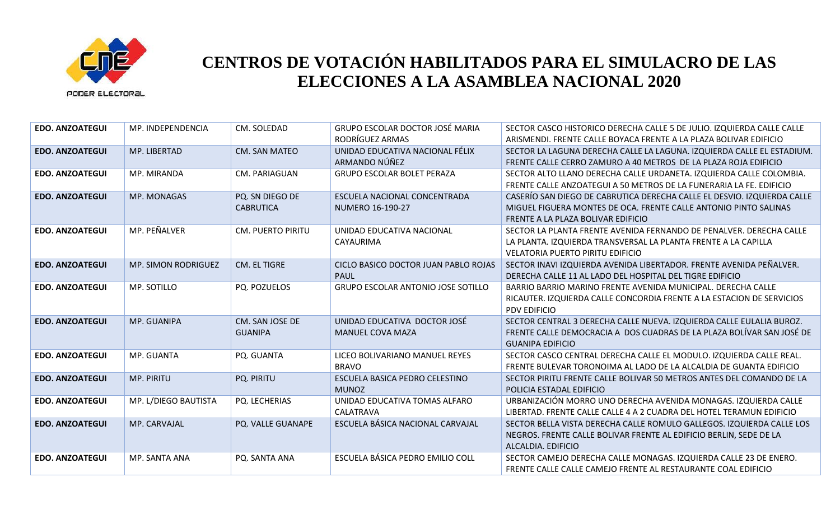

| <b>EDO. ANZOATEGUI</b> | MP. INDEPENDENCIA          | CM. SOLEDAD                         | <b>GRUPO ESCOLAR DOCTOR JOSÉ MARIA</b><br>RODRÍGUEZ ARMAS | SECTOR CASCO HISTORICO DERECHA CALLE 5 DE JULIO. IZQUIERDA CALLE CALLE<br>ARISMENDI. FRENTE CALLE BOYACA FRENTE A LA PLAZA BOLIVAR EDIFICIO                                       |
|------------------------|----------------------------|-------------------------------------|-----------------------------------------------------------|-----------------------------------------------------------------------------------------------------------------------------------------------------------------------------------|
| <b>EDO. ANZOATEGUI</b> | MP. LIBERTAD               | <b>CM. SAN MATEO</b>                | UNIDAD EDUCATIVA NACIONAL FÉLIX<br>ARMANDO NÚÑEZ          | SECTOR LA LAGUNA DERECHA CALLE LA LAGUNA. IZQUIERDA CALLE EL ESTADIUM.<br>FRENTE CALLE CERRO ZAMURO A 40 METROS DE LA PLAZA ROJA EDIFICIO                                         |
| <b>EDO. ANZOATEGUI</b> | MP. MIRANDA                | CM. PARIAGUAN                       | <b>GRUPO ESCOLAR BOLET PERAZA</b>                         | SECTOR ALTO LLANO DERECHA CALLE URDANETA. IZQUIERDA CALLE COLOMBIA.<br>FRENTE CALLE ANZOATEGUI A 50 METROS DE LA FUNERARIA LA FE. EDIFICIO                                        |
| <b>EDO. ANZOATEGUI</b> | MP. MONAGAS                | PQ. SN DIEGO DE<br><b>CABRUTICA</b> | ESCUELA NACIONAL CONCENTRADA<br>NUMERO 16-190-27          | CASERÍO SAN DIEGO DE CABRUTICA DERECHA CALLE EL DESVIO. IZQUIERDA CALLE<br>MIGUEL FIGUERA MONTES DE OCA. FRENTE CALLE ANTONIO PINTO SALINAS<br>FRENTE A LA PLAZA BOLIVAR EDIFICIO |
| <b>EDO. ANZOATEGUI</b> | MP. PEÑALVER               | <b>CM. PUERTO PIRITU</b>            | UNIDAD EDUCATIVA NACIONAL<br>CAYAURIMA                    | SECTOR LA PLANTA FRENTE AVENIDA FERNANDO DE PENALVER. DERECHA CALLE<br>LA PLANTA. IZQUIERDA TRANSVERSAL LA PLANTA FRENTE A LA CAPILLA<br><b>VELATORIA PUERTO PIRITU EDIFICIO</b>  |
| <b>EDO. ANZOATEGUI</b> | <b>MP. SIMON RODRIGUEZ</b> | CM. EL TIGRE                        | CICLO BASICO DOCTOR JUAN PABLO ROJAS<br><b>PAUL</b>       | SECTOR INAVI IZQUIERDA AVENIDA LIBERTADOR. FRENTE AVENIDA PEÑALVER.<br>DERECHA CALLE 11 AL LADO DEL HOSPITAL DEL TIGRE EDIFICIO                                                   |
| <b>EDO. ANZOATEGUI</b> | MP. SOTILLO                | PQ. POZUELOS                        | <b>GRUPO ESCOLAR ANTONIO JOSE SOTILLO</b>                 | BARRIO BARRIO MARINO FRENTE AVENIDA MUNICIPAL. DERECHA CALLE<br>RICAUTER. IZQUIERDA CALLE CONCORDIA FRENTE A LA ESTACION DE SERVICIOS<br>PDV EDIFICIO                             |
| <b>EDO. ANZOATEGUI</b> | MP. GUANIPA                | CM. SAN JOSE DE<br><b>GUANIPA</b>   | UNIDAD EDUCATIVA DOCTOR JOSÉ<br><b>MANUEL COVA MAZA</b>   | SECTOR CENTRAL 3 DERECHA CALLE NUEVA. IZQUIERDA CALLE EULALIA BUROZ.<br>FRENTE CALLE DEMOCRACIA A DOS CUADRAS DE LA PLAZA BOLÍVAR SAN JOSÉ DE<br><b>GUANIPA EDIFICIO</b>          |
| <b>EDO. ANZOATEGUI</b> | MP. GUANTA                 | PQ. GUANTA                          | LICEO BOLIVARIANO MANUEL REYES<br><b>BRAVO</b>            | SECTOR CASCO CENTRAL DERECHA CALLE EL MODULO. IZQUIERDA CALLE REAL.<br>FRENTE BULEVAR TORONOIMA AL LADO DE LA ALCALDIA DE GUANTA EDIFICIO                                         |
| <b>EDO. ANZOATEGUI</b> | MP. PIRITU                 | PQ. PIRITU                          | ESCUELA BASICA PEDRO CELESTINO<br><b>MUNOZ</b>            | SECTOR PIRITU FRENTE CALLE BOLIVAR 50 METROS ANTES DEL COMANDO DE LA<br>POLICIA ESTADAL EDIFICIO                                                                                  |
| <b>EDO. ANZOATEGUI</b> | MP. L/DIEGO BAUTISTA       | PQ. LECHERIAS                       | UNIDAD EDUCATIVA TOMAS ALFARO<br>CALATRAVA                | URBANIZACIÓN MORRO UNO DERECHA AVENIDA MONAGAS. IZQUIERDA CALLE<br>LIBERTAD. FRENTE CALLE CALLE 4 A 2 CUADRA DEL HOTEL TERAMUN EDIFICIO                                           |
| <b>EDO. ANZOATEGUI</b> | MP. CARVAJAL               | PQ. VALLE GUANAPE                   | ESCUELA BÁSICA NACIONAL CARVAJAL                          | SECTOR BELLA VISTA DERECHA CALLE ROMULO GALLEGOS. IZQUIERDA CALLE LOS<br>NEGROS. FRENTE CALLE BOLIVAR FRENTE AL EDIFICIO BERLIN, SEDE DE LA<br>ALCALDIA. EDIFICIO                 |
| <b>EDO. ANZOATEGUI</b> | MP. SANTA ANA              | PQ. SANTA ANA                       | ESCUELA BÁSICA PEDRO EMILIO COLL                          | SECTOR CAMEJO DERECHA CALLE MONAGAS. IZQUIERDA CALLE 23 DE ENERO.<br>FRENTE CALLE CALLE CAMEJO FRENTE AL RESTAURANTE COAL EDIFICIO                                                |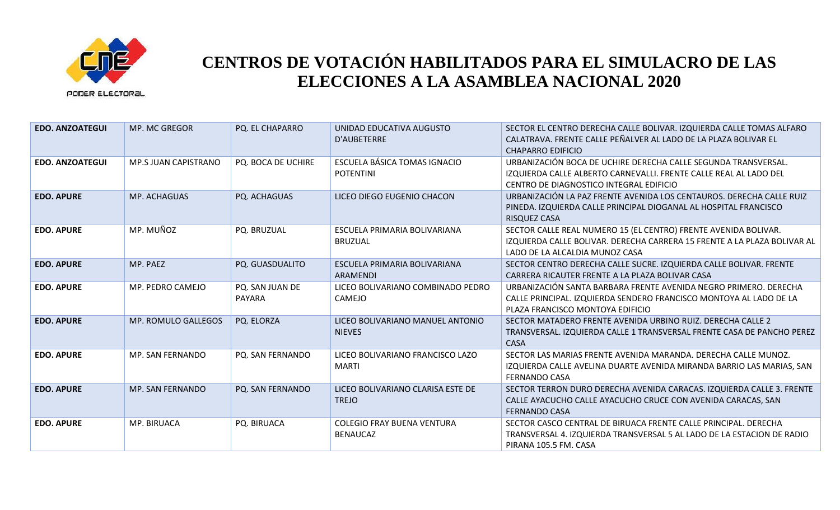

| <b>EDO. ANZOATEGUI</b> | MP. MC GREGOR        | PQ. EL CHAPARRO           | UNIDAD EDUCATIVA AUGUSTO<br>D'AUBETERRE              | SECTOR EL CENTRO DERECHA CALLE BOLIVAR. IZQUIERDA CALLE TOMAS ALFARO<br>CALATRAVA. FRENTE CALLE PEÑALVER AL LADO DE LA PLAZA BOLIVAR EL<br><b>CHAPARRO EDIFICIO</b>            |
|------------------------|----------------------|---------------------------|------------------------------------------------------|--------------------------------------------------------------------------------------------------------------------------------------------------------------------------------|
| <b>EDO. ANZOATEGUI</b> | MP.S JUAN CAPISTRANO | PQ. BOCA DE UCHIRE        | ESCUELA BÁSICA TOMAS IGNACIO<br><b>POTENTINI</b>     | URBANIZACIÓN BOCA DE UCHIRE DERECHA CALLE SEGUNDA TRANSVERSAL.<br>IZQUIERDA CALLE ALBERTO CARNEVALLI. FRENTE CALLE REAL AL LADO DEL<br>CENTRO DE DIAGNOSTICO INTEGRAL EDIFICIO |
| <b>EDO. APURE</b>      | MP. ACHAGUAS         | PQ. ACHAGUAS              | LICEO DIEGO EUGENIO CHACON                           | URBANIZACIÓN LA PAZ FRENTE AVENIDA LOS CENTAUROS. DERECHA CALLE RUIZ<br>PINEDA. IZQUIERDA CALLE PRINCIPAL DIOGANAL AL HOSPITAL FRANCISCO<br><b>RISQUEZ CASA</b>                |
| <b>EDO. APURE</b>      | MP. MUÑOZ            | PQ. BRUZUAL               | ESCUELA PRIMARIA BOLIVARIANA<br><b>BRUZUAL</b>       | SECTOR CALLE REAL NUMERO 15 (EL CENTRO) FRENTE AVENIDA BOLIVAR.<br>IZQUIERDA CALLE BOLIVAR. DERECHA CARRERA 15 FRENTE A LA PLAZA BOLIVAR AL<br>LADO DE LA ALCALDIA MUNOZ CASA  |
| <b>EDO. APURE</b>      | MP. PAEZ             | PQ. GUASDUALITO           | ESCUELA PRIMARIA BOLIVARIANA<br><b>ARAMENDI</b>      | SECTOR CENTRO DERECHA CALLE SUCRE. IZQUIERDA CALLE BOLIVAR. FRENTE<br>CARRERA RICAUTER FRENTE A LA PLAZA BOLIVAR CASA                                                          |
| <b>EDO. APURE</b>      | MP. PEDRO CAMEJO     | PQ. SAN JUAN DE<br>PAYARA | LICEO BOLIVARIANO COMBINADO PEDRO<br>CAMEJO          | URBANIZACIÓN SANTA BARBARA FRENTE AVENIDA NEGRO PRIMERO. DERECHA<br>CALLE PRINCIPAL. IZQUIERDA SENDERO FRANCISCO MONTOYA AL LADO DE LA<br>PLAZA FRANCISCO MONTOYA EDIFICIO     |
| <b>EDO. APURE</b>      | MP. ROMULO GALLEGOS  | PQ. ELORZA                | LICEO BOLIVARIANO MANUEL ANTONIO<br><b>NIEVES</b>    | SECTOR MATADERO FRENTE AVENIDA URBINO RUIZ. DERECHA CALLE 2<br>TRANSVERSAL. IZQUIERDA CALLE 1 TRANSVERSAL FRENTE CASA DE PANCHO PEREZ<br><b>CASA</b>                           |
| <b>EDO. APURE</b>      | MP. SAN FERNANDO     | PQ. SAN FERNANDO          | LICEO BOLIVARIANO FRANCISCO LAZO<br><b>MARTI</b>     | SECTOR LAS MARIAS FRENTE AVENIDA MARANDA. DERECHA CALLE MUNOZ.<br>IZQUIERDA CALLE AVELINA DUARTE AVENIDA MIRANDA BARRIO LAS MARIAS, SAN<br><b>FERNANDO CASA</b>                |
| <b>EDO. APURE</b>      | MP. SAN FERNANDO     | PQ. SAN FERNANDO          | LICEO BOLIVARIANO CLARISA ESTE DE<br><b>TREJO</b>    | SECTOR TERRON DURO DERECHA AVENIDA CARACAS. IZQUIERDA CALLE 3. FRENTE<br>CALLE AYACUCHO CALLE AYACUCHO CRUCE CON AVENIDA CARACAS, SAN<br><b>FERNANDO CASA</b>                  |
| <b>EDO. APURE</b>      | MP. BIRUACA          | PQ. BIRUACA               | <b>COLEGIO FRAY BUENA VENTURA</b><br><b>BENAUCAZ</b> | SECTOR CASCO CENTRAL DE BIRUACA FRENTE CALLE PRINCIPAL. DERECHA<br>TRANSVERSAL 4. IZQUIERDA TRANSVERSAL 5 AL LADO DE LA ESTACION DE RADIO<br>PIRANA 105.5 FM. CASA             |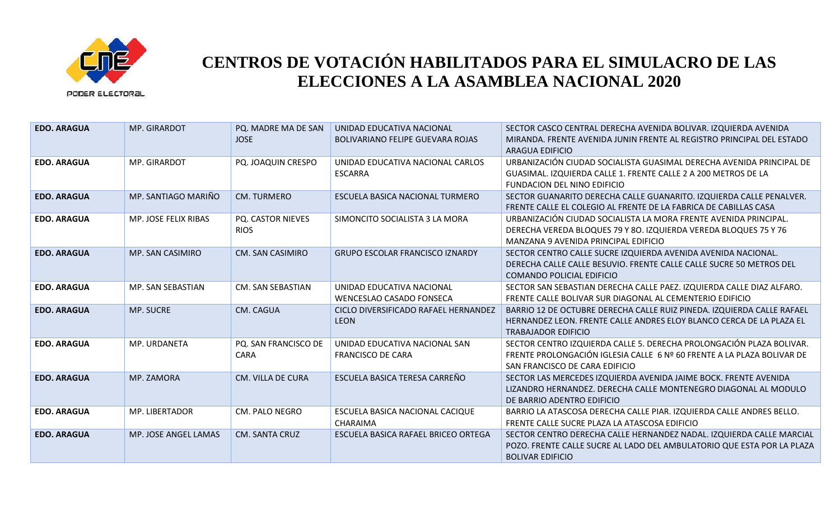

| <b>EDO. ARAGUA</b> | MP. GIRARDOT         | PQ. MADRE MA DE SAN<br><b>JOSE</b>  | UNIDAD EDUCATIVA NACIONAL<br>BOLIVARIANO FELIPE GUEVARA ROJAS | SECTOR CASCO CENTRAL DERECHA AVENIDA BOLIVAR. IZQUIERDA AVENIDA<br>MIRANDA. FRENTE AVENIDA JUNIN FRENTE AL REGISTRO PRINCIPAL DEL ESTADO<br><b>ARAGUA EDIFICIO</b>               |
|--------------------|----------------------|-------------------------------------|---------------------------------------------------------------|----------------------------------------------------------------------------------------------------------------------------------------------------------------------------------|
| <b>EDO. ARAGUA</b> | MP. GIRARDOT         | PQ. JOAQUIN CRESPO                  | UNIDAD EDUCATIVA NACIONAL CARLOS<br><b>ESCARRA</b>            | URBANIZACIÓN CIUDAD SOCIALISTA GUASIMAL DERECHA AVENIDA PRINCIPAL DE<br>GUASIMAL. IZQUIERDA CALLE 1. FRENTE CALLE 2 A 200 METROS DE LA<br>FUNDACION DEL NINO EDIFICIO            |
| <b>EDO. ARAGUA</b> | MP. SANTIAGO MARIÑO  | <b>CM. TURMERO</b>                  | ESCUELA BASICA NACIONAL TURMERO                               | SECTOR GUANARITO DERECHA CALLE GUANARITO. IZQUIERDA CALLE PENALVER.<br>FRENTE CALLE EL COLEGIO AL FRENTE DE LA FABRICA DE CABILLAS CASA                                          |
| <b>EDO. ARAGUA</b> | MP. JOSE FELIX RIBAS | PQ. CASTOR NIEVES<br><b>RIOS</b>    | SIMONCITO SOCIALISTA 3 LA MORA                                | URBANIZACIÓN CIUDAD SOCIALISTA LA MORA FRENTE AVENIDA PRINCIPAL.<br>DERECHA VEREDA BLOQUES 79 Y 80. IZQUIERDA VEREDA BLOQUES 75 Y 76<br>MANZANA 9 AVENIDA PRINCIPAL EDIFICIO     |
| <b>EDO. ARAGUA</b> | MP. SAN CASIMIRO     | <b>CM. SAN CASIMIRO</b>             | <b>GRUPO ESCOLAR FRANCISCO IZNARDY</b>                        | SECTOR CENTRO CALLE SUCRE IZQUIERDA AVENIDA AVENIDA NACIONAL.<br>DERECHA CALLE CALLE BESUVIO. FRENTE CALLE CALLE SUCRE 50 METROS DEL<br>COMANDO POLICIAL EDIFICIO                |
| <b>EDO. ARAGUA</b> | MP. SAN SEBASTIAN    | CM. SAN SEBASTIAN                   | UNIDAD EDUCATIVA NACIONAL<br><b>WENCESLAO CASADO FONSECA</b>  | SECTOR SAN SEBASTIAN DERECHA CALLE PAEZ. IZQUIERDA CALLE DIAZ ALFARO.<br>FRENTE CALLE BOLIVAR SUR DIAGONAL AL CEMENTERIO EDIFICIO                                                |
| <b>EDO. ARAGUA</b> | <b>MP. SUCRE</b>     | CM. CAGUA                           | CICLO DIVERSIFICADO RAFAEL HERNANDEZ<br><b>LEON</b>           | BARRIO 12 DE OCTUBRE DERECHA CALLE RUIZ PINEDA. IZQUIERDA CALLE RAFAEL<br>HERNANDEZ LEON. FRENTE CALLE ANDRES ELOY BLANCO CERCA DE LA PLAZA EL<br><b>TRABAJADOR EDIFICIO</b>     |
| <b>EDO. ARAGUA</b> | MP. URDANETA         | PQ. SAN FRANCISCO DE<br><b>CARA</b> | UNIDAD EDUCATIVA NACIONAL SAN<br><b>FRANCISCO DE CARA</b>     | SECTOR CENTRO IZQUIERDA CALLE 5. DERECHA PROLONGACIÓN PLAZA BOLIVAR.<br>FRENTE PROLONGACIÓN IGLESIA CALLE 6 Nº 60 FRENTE A LA PLAZA BOLIVAR DE<br>SAN FRANCISCO DE CARA EDIFICIO |
| <b>EDO. ARAGUA</b> | MP. ZAMORA           | CM. VILLA DE CURA                   | ESCUELA BASICA TERESA CARREÑO                                 | SECTOR LAS MERCEDES IZQUIERDA AVENIDA JAIME BOCK. FRENTE AVENIDA<br>LIZANDRO HERNANDEZ. DERECHA CALLE MONTENEGRO DIAGONAL AL MODULO<br>DE BARRIO ADENTRO EDIFICIO                |
| <b>EDO. ARAGUA</b> | MP. LIBERTADOR       | <b>CM. PALO NEGRO</b>               | ESCUELA BASICA NACIONAL CACIQUE<br>CHARAIMA                   | BARRIO LA ATASCOSA DERECHA CALLE PIAR. IZQUIERDA CALLE ANDRES BELLO.<br>FRENTE CALLE SUCRE PLAZA LA ATASCOSA EDIFICIO                                                            |
| <b>EDO. ARAGUA</b> | MP. JOSE ANGEL LAMAS | <b>CM. SANTA CRUZ</b>               | ESCUELA BASICA RAFAEL BRICEO ORTEGA                           | SECTOR CENTRO DERECHA CALLE HERNANDEZ NADAL. IZQUIERDA CALLE MARCIAL<br>POZO. FRENTE CALLE SUCRE AL LADO DEL AMBULATORIO QUE ESTA POR LA PLAZA<br><b>BOLIVAR EDIFICIO</b>        |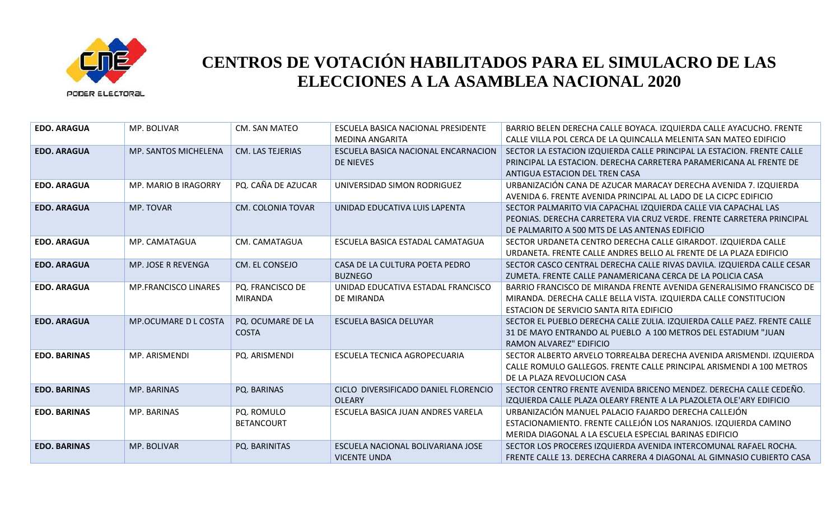

| <b>EDO. ARAGUA</b>  | MP. BOLIVAR                 | CM. SAN MATEO                      | ESCUELA BASICA NACIONAL PRESIDENTE<br>MEDINA ANGARITA    | BARRIO BELEN DERECHA CALLE BOYACA. IZQUIERDA CALLE AYACUCHO. FRENTE<br>CALLE VILLA POL CERCA DE LA QUINCALLA MELENITA SAN MATEO EDIFICIO                                                  |
|---------------------|-----------------------------|------------------------------------|----------------------------------------------------------|-------------------------------------------------------------------------------------------------------------------------------------------------------------------------------------------|
| <b>EDO. ARAGUA</b>  | MP. SANTOS MICHELENA        | <b>CM. LAS TEJERIAS</b>            | ESCUELA BASICA NACIONAL ENCARNACION<br><b>DE NIEVES</b>  | SECTOR LA ESTACION IZQUIERDA CALLE PRINCIPAL LA ESTACION. FRENTE CALLE<br>PRINCIPAL LA ESTACION. DERECHA CARRETERA PARAMERICANA AL FRENTE DE<br>ANTIGUA ESTACION DEL TREN CASA            |
| <b>EDO. ARAGUA</b>  | <b>MP. MARIO B IRAGORRY</b> | PQ. CAÑA DE AZUCAR                 | UNIVERSIDAD SIMON RODRIGUEZ                              | URBANIZACIÓN CANA DE AZUCAR MARACAY DERECHA AVENIDA 7. IZQUIERDA<br>AVENIDA 6. FRENTE AVENIDA PRINCIPAL AL LADO DE LA CICPC EDIFICIO                                                      |
| <b>EDO. ARAGUA</b>  | MP. TOVAR                   | <b>CM. COLONIA TOVAR</b>           | UNIDAD EDUCATIVA LUIS LAPENTA                            | SECTOR PALMARITO VIA CAPACHAL IZQUIERDA CALLE VIA CAPACHAL LAS<br>PEONIAS. DERECHA CARRETERA VIA CRUZ VERDE. FRENTE CARRETERA PRINCIPAL<br>DE PALMARITO A 500 MTS DE LAS ANTENAS EDIFICIO |
| <b>EDO. ARAGUA</b>  | MP. CAMATAGUA               | CM. CAMATAGUA                      | ESCUELA BASICA ESTADAL CAMATAGUA                         | SECTOR URDANETA CENTRO DERECHA CALLE GIRARDOT. IZQUIERDA CALLE<br>URDANETA. FRENTE CALLE ANDRES BELLO AL FRENTE DE LA PLAZA EDIFICIO                                                      |
| <b>EDO. ARAGUA</b>  | MP. JOSE R REVENGA          | CM. EL CONSEJO                     | CASA DE LA CULTURA POETA PEDRO<br><b>BUZNEGO</b>         | SECTOR CASCO CENTRAL DERECHA CALLE RIVAS DAVILA. IZQUIERDA CALLE CESAR<br>ZUMETA. FRENTE CALLE PANAMERICANA CERCA DE LA POLICIA CASA                                                      |
| <b>EDO. ARAGUA</b>  | <b>MP.FRANCISCO LINARES</b> | PQ. FRANCISCO DE<br><b>MIRANDA</b> | UNIDAD EDUCATIVA ESTADAL FRANCISCO<br>DE MIRANDA         | BARRIO FRANCISCO DE MIRANDA FRENTE AVENIDA GENERALISIMO FRANCISCO DE<br>MIRANDA. DERECHA CALLE BELLA VISTA. IZQUIERDA CALLE CONSTITUCION<br>ESTACION DE SERVICIO SANTA RITA EDIFICIO      |
| <b>EDO. ARAGUA</b>  | <b>MP.OCUMARE D L COSTA</b> | PQ. OCUMARE DE LA<br><b>COSTA</b>  | <b>ESCUELA BASICA DELUYAR</b>                            | SECTOR EL PUEBLO DERECHA CALLE ZULIA. IZQUIERDA CALLE PAEZ. FRENTE CALLE<br>31 DE MAYO ENTRANDO AL PUEBLO A 100 METROS DEL ESTADIUM "JUAN<br>RAMON ALVAREZ" EDIFICIO                      |
| <b>EDO. BARINAS</b> | MP. ARISMENDI               | PQ. ARISMENDI                      | ESCUELA TECNICA AGROPECUARIA                             | SECTOR ALBERTO ARVELO TORREALBA DERECHA AVENIDA ARISMENDI. IZQUIERDA<br>CALLE ROMULO GALLEGOS. FRENTE CALLE PRINCIPAL ARISMENDI A 100 METROS<br>DE LA PLAZA REVOLUCION CASA               |
| <b>EDO. BARINAS</b> | MP. BARINAS                 | PQ. BARINAS                        | CICLO DIVERSIFICADO DANIEL FLORENCIO<br><b>OLEARY</b>    | SECTOR CENTRO FRENTE AVENIDA BRICENO MENDEZ. DERECHA CALLE CEDEÑO.<br>IZQUIERDA CALLE PLAZA OLEARY FRENTE A LA PLAZOLETA OLE'ARY EDIFICIO                                                 |
| <b>EDO. BARINAS</b> | MP. BARINAS                 | PQ. ROMULO<br><b>BETANCOURT</b>    | ESCUELA BASICA JUAN ANDRES VARELA                        | URBANIZACIÓN MANUEL PALACIO FAJARDO DERECHA CALLEJÓN<br>ESTACIONAMIENTO. FRENTE CALLEJÓN LOS NARANJOS. IZQUIERDA CAMINO<br>MERIDA DIAGONAL A LA ESCUELA ESPECIAL BARINAS EDIFICIO         |
| <b>EDO. BARINAS</b> | MP. BOLIVAR                 | PQ. BARINITAS                      | ESCUELA NACIONAL BOLIVARIANA JOSE<br><b>VICENTE UNDA</b> | SECTOR LOS PROCERES IZQUIERDA AVENIDA INTERCOMUNAL RAFAEL ROCHA.<br>FRENTE CALLE 13. DERECHA CARRERA 4 DIAGONAL AL GIMNASIO CUBIERTO CASA                                                 |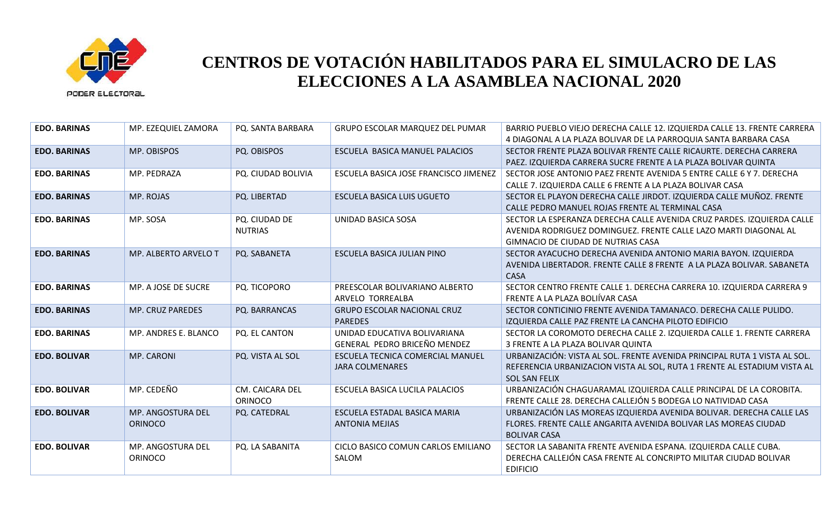

| <b>EDO. BARINAS</b> | MP. EZEQUIEL ZAMORA                 | PQ. SANTA BARBARA                 | <b>GRUPO ESCOLAR MARQUEZ DEL PUMAR</b>                       | BARRIO PUEBLO VIEJO DERECHA CALLE 12. IZQUIERDA CALLE 13. FRENTE CARRERA<br>4 DIAGONAL A LA PLAZA BOLIVAR DE LA PARROQUIA SANTA BARBARA CASA                                     |
|---------------------|-------------------------------------|-----------------------------------|--------------------------------------------------------------|----------------------------------------------------------------------------------------------------------------------------------------------------------------------------------|
| <b>EDO. BARINAS</b> | MP. OBISPOS                         | PQ. OBISPOS                       | ESCUELA BASICA MANUEL PALACIOS                               | SECTOR FRENTE PLAZA BOLIVAR FRENTE CALLE RICAURTE. DERECHA CARRERA<br>PAEZ. IZQUIERDA CARRERA SUCRE FRENTE A LA PLAZA BOLIVAR QUINTA                                             |
| <b>EDO. BARINAS</b> | MP. PEDRAZA                         | PQ. CIUDAD BOLIVIA                | ESCUELA BASICA JOSE FRANCISCO JIMENEZ                        | SECTOR JOSE ANTONIO PAEZ FRENTE AVENIDA 5 ENTRE CALLE 6 Y 7. DERECHA<br>CALLE 7. IZQUIERDA CALLE 6 FRENTE A LA PLAZA BOLIVAR CASA                                                |
| <b>EDO. BARINAS</b> | MP. ROJAS                           | PQ. LIBERTAD                      | ESCUELA BASICA LUIS UGUETO                                   | SECTOR EL PLAYON DERECHA CALLE JIRDOT. IZQUIERDA CALLE MUÑOZ. FRENTE<br>CALLE PEDRO MANUEL ROJAS FRENTE AL TERMINAL CASA                                                         |
| <b>EDO. BARINAS</b> | MP. SOSA                            | PQ. CIUDAD DE<br><b>NUTRIAS</b>   | UNIDAD BASICA SOSA                                           | SECTOR LA ESPERANZA DERECHA CALLE AVENIDA CRUZ PARDES. IZQUIERDA CALLE<br>AVENIDA RODRIGUEZ DOMINGUEZ. FRENTE CALLE LAZO MARTI DIAGONAL AL<br>GIMNACIO DE CIUDAD DE NUTRIAS CASA |
| <b>EDO. BARINAS</b> | MP. ALBERTO ARVELO T                | PQ. SABANETA                      | ESCUELA BASICA JULIAN PINO                                   | SECTOR AYACUCHO DERECHA AVENIDA ANTONIO MARIA BAYON. IZQUIERDA<br>AVENIDA LIBERTADOR. FRENTE CALLE 8 FRENTE A LA PLAZA BOLIVAR. SABANETA<br>CASA                                 |
| <b>EDO. BARINAS</b> | MP. A JOSE DE SUCRE                 | PQ. TICOPORO                      | PREESCOLAR BOLIVARIANO ALBERTO<br>ARVELO TORREALBA           | SECTOR CENTRO FRENTE CALLE 1. DERECHA CARRERA 10. IZQUIERDA CARRERA 9<br>FRENTE A LA PLAZA BOLIÍVAR CASA                                                                         |
| <b>EDO. BARINAS</b> | <b>MP. CRUZ PAREDES</b>             | PQ. BARRANCAS                     | <b>GRUPO ESCOLAR NACIONAL CRUZ</b><br><b>PAREDES</b>         | SECTOR CONTICINIO FRENTE AVENIDA TAMANACO. DERECHA CALLE PULIDO.<br>IZQUIERDA CALLE PAZ FRENTE LA CANCHA PILOTO EDIFICIO                                                         |
| <b>EDO. BARINAS</b> | MP. ANDRES E. BLANCO                | PQ. EL CANTON                     | UNIDAD EDUCATIVA BOLIVARIANA<br>GENERAL PEDRO BRICEÑO MENDEZ | SECTOR LA COROMOTO DERECHA CALLE 2. IZQUIERDA CALLE 1. FRENTE CARRERA<br>3 FRENTE A LA PLAZA BOLIVAR QUINTA                                                                      |
| <b>EDO. BOLIVAR</b> | MP. CARONI                          | PQ. VISTA AL SOL                  | ESCUELA TECNICA COMERCIAL MANUEL<br><b>JARA COLMENARES</b>   | URBANIZACIÓN: VISTA AL SOL. FRENTE AVENIDA PRINCIPAL RUTA 1 VISTA AL SOL.<br>REFERENCIA URBANIZACION VISTA AL SOL, RUTA 1 FRENTE AL ESTADIUM VISTA AL<br><b>SOL SAN FELIX</b>    |
| <b>EDO. BOLIVAR</b> | MP. CEDEÑO                          | CM. CAICARA DEL<br><b>ORINOCO</b> | ESCUELA BASICA LUCILA PALACIOS                               | URBANIZACIÓN CHAGUARAMAL IZQUIERDA CALLE PRINCIPAL DE LA COROBITA.<br>FRENTE CALLE 28. DERECHA CALLEJÓN 5 BODEGA LO NATIVIDAD CASA                                               |
| <b>EDO. BOLIVAR</b> | MP. ANGOSTURA DEL<br><b>ORINOCO</b> | PQ. CATEDRAL                      | ESCUELA ESTADAL BASICA MARIA<br><b>ANTONIA MEJIAS</b>        | URBANIZACIÓN LAS MOREAS IZQUIERDA AVENIDA BOLIVAR. DERECHA CALLE LAS<br>FLORES. FRENTE CALLE ANGARITA AVENIDA BOLIVAR LAS MOREAS CIUDAD<br><b>BOLIVAR CASA</b>                   |
| <b>EDO. BOLIVAR</b> | MP. ANGOSTURA DEL<br><b>ORINOCO</b> | PQ. LA SABANITA                   | CICLO BASICO COMUN CARLOS EMILIANO<br>SALOM                  | SECTOR LA SABANITA FRENTE AVENIDA ESPANA. IZQUIERDA CALLE CUBA.<br>DERECHA CALLEJÓN CASA FRENTE AL CONCRIPTO MILITAR CIUDAD BOLIVAR<br><b>EDIFICIO</b>                           |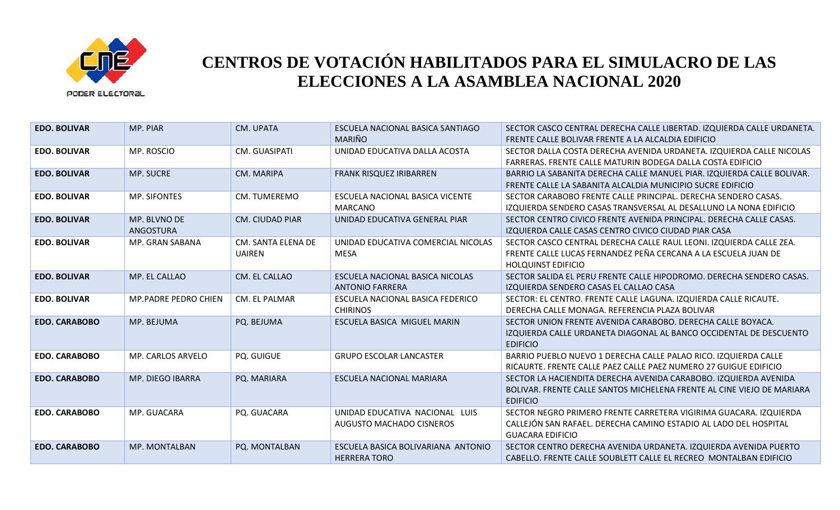

| <b>EDO. BOLIVAR</b>  | MP. PIAR             | CM. UPATA              | ESCUELA NACIONAL BASICA SANTIAGO   | SECTOR CASCO CENTRAL DERECHA CALLE LIBERTAD. IZQUIERDA CALLE URDANETA.   |
|----------------------|----------------------|------------------------|------------------------------------|--------------------------------------------------------------------------|
|                      |                      |                        | MARIÑO                             | FRENTE CALLE BOLIVAR FRENTE A LA ALCALDIA EDIFICIO                       |
| <b>EDO. BOLIVAR</b>  | MP. ROSCIO           | CM. GUASIPATI          | UNIDAD EDUCATIVA DALLA ACOSTA      | SECTOR DALLA COSTA DERECHA AVENIDA URDANETA. IZQUIERDA CALLE NICOLAS     |
|                      |                      |                        |                                    | FARRERAS. FRENTE CALLE MATURIN BODEGA DALLA COSTA EDIFICIO               |
| <b>EDO. BOLIVAR</b>  | MP. SUCRE            | CM. MARIPA             | FRANK RISQUEZ IRIBARREN            | BARRIO LA SABANITA DERECHA CALLE MANUEL PIAR. IZQUIERDA CALLE BOLIVAR.   |
|                      |                      |                        |                                    | FRENTE CALLE LA SABANITA ALCALDIA MUNICIPIO SUCRE EDIFICIO               |
| <b>EDO. BOLIVAR</b>  | <b>MP. SIFONTES</b>  | CM. TUMEREMO           | ESCUELA NACIONAL BASICA VICENTE    | SECTOR CARABOBO FRENTE CALLE PRINCIPAL. DERECHA SENDERO CASAS.           |
|                      |                      |                        | <b>MARCANO</b>                     | <u>IZQUIERDA SENDERO CASAS TRANSVERSAL AL DESALLUNO LA NONA EDIFICIO</u> |
| <b>EDO. BOLIVAR</b>  | MP. BLVNO DE         | <b>CM. CIUDAD PIAR</b> | UNIDAD EDUCATIVA GENERAL PIAR      | SECTOR CENTRO CIVICO FRENTE AVENIDA PRINCIPAL. DERECHA CALLE CASAS.      |
|                      | ANGOSTURA            |                        |                                    | IZQUIERDA CALLE CASAS CENTRO CIVICO CIUDAD PIAR CASA                     |
| <b>EDO. BOLIVAR</b>  | MP. GRAN SABANA      | CM. SANTA ELENA DE     | UNIDAD EDUCATIVA COMERCIAL NICOLAS | SECTOR CASCO CENTRAL DERECHA CALLE RAUL LEONI. IZQUIERDA CALLE ZEA.      |
|                      |                      | <b>UAIREN</b>          | MESA                               | FRENTE CALLE LUCAS FERNANDEZ PEÑA CERCANA A LA ESCUELA JUAN DE           |
|                      |                      |                        |                                    | <b>HOLQUINST EDIFICIO</b>                                                |
| <b>EDO. BOLIVAR</b>  | MP. EL CALLAO        | CM. EL CALLAO          | ESCUELA NACIONAL BASICA NICOLAS    | SECTOR SALIDA EL PERU FRENTE CALLE HIPODROMO. DERECHA SENDERO CASAS.     |
|                      |                      |                        | <b>ANTONIO FARRERA</b>             | IZQUIERDA SENDERO CASAS EL CALLAO CASA                                   |
| <b>EDO. BOLIVAR</b>  | MP.PADRE PEDRO CHIEN | CM. EL PALMAR          | ESCUELA NACIONAL BASICA FEDERICO   | SECTOR: EL CENTRO. FRENTE CALLE LAGUNA. IZQUIERDA CALLE RICAUTE.         |
|                      |                      |                        | <b>CHIRINOS</b>                    | DERECHA CALLE MONAGA, REFERENCIA PLAZA BOLIVAR                           |
| <b>EDO. CARABOBO</b> | MP. BEJUMA           | PQ. BEJUMA             | ESCUELA BASICA MIGUEL MARIN        | SECTOR UNION FRENTE AVENIDA CARABOBO. DERECHA CALLE BOYACA.              |
|                      |                      |                        |                                    | IZQUIERDA CALLE URDANETA DIAGONAL AL BANCO OCCIDENTAL DE DESCUENTO       |
|                      |                      |                        |                                    | <b>EDIFICIO</b>                                                          |
| <b>EDO. CARABOBO</b> | MP. CARLOS ARVELO    | <b>PQ. GUIGUE</b>      | <b>GRUPO ESCOLAR LANCASTER</b>     | BARRIO PUEBLO NUEVO 1 DERECHA CALLE PALAO RICO. IZQUIERDA CALLE          |
|                      |                      |                        |                                    | RICAURTE. FRENTE CALLE PAEZ CALLE PAEZ NUMERO 27 GUIGUE EDIFICIO         |
| <b>EDO. CARABOBO</b> | MP. DIEGO IBARRA     | PQ. MARIARA            | <b>ESCUELA NACIONAL MARIARA</b>    | SECTOR LA HACIENDITA DERECHA AVENIDA CARABOBO. IZQUIERDA AVENIDA         |
|                      |                      |                        |                                    | BOLIVAR. FRENTE CALLE SANTOS MICHELENA FRENTE AL CINE VIEJO DE MARIARA   |
|                      |                      |                        |                                    | <b>EDIFICIO</b>                                                          |
| <b>EDO. CARABOBO</b> | MP. GUACARA          | PQ. GUACARA            | UNIDAD EDUCATIVA NACIONAL LUIS     | SECTOR NEGRO PRIMERO FRENTE CARRETERA VIGIRIMA GUACARA. IZQUIERDA        |
|                      |                      |                        | AUGUSTO MACHADO CISNEROS           | CALLEJÓN SAN RAFAEL. DERECHA CAMINO ESTADIO AL LADO DEL HOSPITAL         |
|                      |                      |                        |                                    | <b>GUACARA EDIFICIO</b>                                                  |
| <b>EDO. CARABOBO</b> | MP. MONTALBAN        | PQ. MONTALBAN          | ESCUELA BASICA BOLIVARIANA ANTONIO | SECTOR CENTRO DERECHA AVENIDA URDANETA. IZQUIERDA AVENIDA PUERTO         |
|                      |                      |                        | <b>HERRERA TORO</b>                | CABELLO. FRENTE CALLE SOUBLETT CALLE EL RECREO MONTALBAN EDIFICIO        |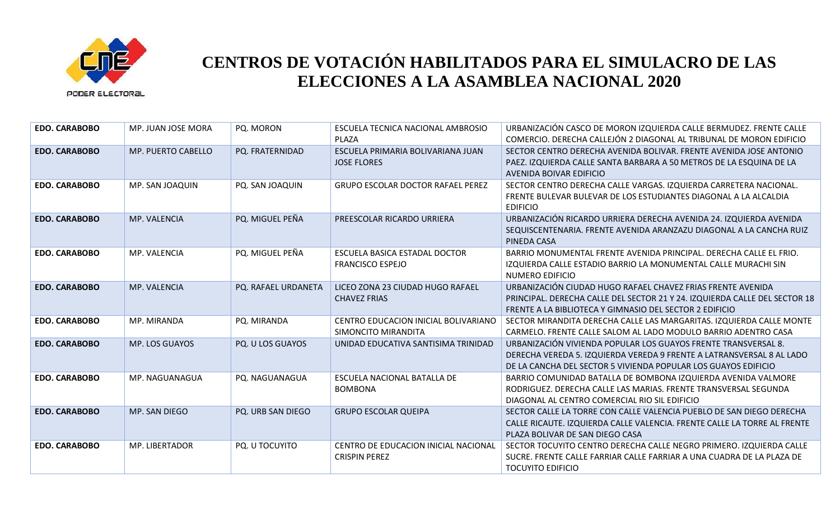

| <b>EDO. CARABOBO</b> | MP. JUAN JOSE MORA | PQ. MORON           | ESCUELA TECNICA NACIONAL AMBROSIO<br>PLAZA                   | URBANIZACIÓN CASCO DE MORON IZQUIERDA CALLE BERMUDEZ. FRENTE CALLE<br>COMERCIO. DERECHA CALLEJÓN 2 DIAGONAL AL TRIBUNAL DE MORON EDIFICIO                                                                 |
|----------------------|--------------------|---------------------|--------------------------------------------------------------|-----------------------------------------------------------------------------------------------------------------------------------------------------------------------------------------------------------|
| <b>EDO. CARABOBO</b> | MP. PUERTO CABELLO | PQ. FRATERNIDAD     | ESCUELA PRIMARIA BOLIVARIANA JUAN<br><b>JOSE FLORES</b>      | SECTOR CENTRO DERECHA AVENIDA BOLIVAR. FRENTE AVENIDA JOSE ANTONIO<br>PAEZ. IZQUIERDA CALLE SANTA BARBARA A 50 METROS DE LA ESQUINA DE LA<br>AVENIDA BOIVAR EDIFICIO                                      |
| <b>EDO. CARABOBO</b> | MP. SAN JOAQUIN    | PQ. SAN JOAQUIN     | <b>GRUPO ESCOLAR DOCTOR RAFAEL PEREZ</b>                     | SECTOR CENTRO DERECHA CALLE VARGAS. IZQUIERDA CARRETERA NACIONAL.<br>FRENTE BULEVAR BULEVAR DE LOS ESTUDIANTES DIAGONAL A LA ALCALDIA<br><b>EDIFICIO</b>                                                  |
| <b>EDO. CARABOBO</b> | MP. VALENCIA       | PQ. MIGUEL PEÑA     | PREESCOLAR RICARDO URRIERA                                   | URBANIZACIÓN RICARDO URRIERA DERECHA AVENIDA 24. IZQUIERDA AVENIDA<br>SEQUISCENTENARIA. FRENTE AVENIDA ARANZAZU DIAGONAL A LA CANCHA RUIZ<br>PINEDA CASA                                                  |
| <b>EDO. CARABOBO</b> | MP. VALENCIA       | PQ. MIGUEL PEÑA     | ESCUELA BASICA ESTADAL DOCTOR<br><b>FRANCISCO ESPEJO</b>     | BARRIO MONUMENTAL FRENTE AVENIDA PRINCIPAL. DERECHA CALLE EL FRIO.<br>IZQUIERDA CALLE ESTADIO BARRIO LA MONUMENTAL CALLE MURACHI SIN<br>NUMERO EDIFICIO                                                   |
| <b>EDO. CARABOBO</b> | MP. VALENCIA       | PQ. RAFAEL URDANETA | LICEO ZONA 23 CIUDAD HUGO RAFAEL<br><b>CHAVEZ FRIAS</b>      | URBANIZACIÓN CIUDAD HUGO RAFAEL CHAVEZ FRIAS FRENTE AVENIDA<br>PRINCIPAL. DERECHA CALLE DEL SECTOR 21 Y 24. IZQUIERDA CALLE DEL SECTOR 18<br>FRENTE A LA BIBLIOTECA Y GIMNASIO DEL SECTOR 2 EDIFICIO      |
| <b>EDO. CARABOBO</b> | MP. MIRANDA        | PQ. MIRANDA         | CENTRO EDUCACION INICIAL BOLIVARIANO<br>SIMONCITO MIRANDITA  | SECTOR MIRANDITA DERECHA CALLE LAS MARGARITAS. IZQUIERDA CALLE MONTE<br>CARMELO. FRENTE CALLE SALOM AL LADO MODULO BARRIO ADENTRO CASA                                                                    |
| <b>EDO. CARABOBO</b> | MP. LOS GUAYOS     | PQ. U LOS GUAYOS    | UNIDAD EDUCATIVA SANTISIMA TRINIDAD                          | URBANIZACIÓN VIVIENDA POPULAR LOS GUAYOS FRENTE TRANSVERSAL 8.<br>DERECHA VEREDA 5. IZQUIERDA VEREDA 9 FRENTE A LATRANSVERSAL 8 AL LADO<br>DE LA CANCHA DEL SECTOR 5 VIVIENDA POPULAR LOS GUAYOS EDIFICIO |
| <b>EDO. CARABOBO</b> | MP. NAGUANAGUA     | PQ. NAGUANAGUA      | ESCUELA NACIONAL BATALLA DE<br><b>BOMBONA</b>                | BARRIO COMUNIDAD BATALLA DE BOMBONA IZQUIERDA AVENIDA VALMORE<br>RODRIGUEZ. DERECHA CALLE LAS MARIAS. FRENTE TRANSVERSAL SEGUNDA<br>DIAGONAL AL CENTRO COMERCIAL RIO SIL EDIFICIO                         |
| <b>EDO. CARABOBO</b> | MP. SAN DIEGO      | PQ. URB SAN DIEGO   | <b>GRUPO ESCOLAR QUEIPA</b>                                  | SECTOR CALLE LA TORRE CON CALLE VALENCIA PUEBLO DE SAN DIEGO DERECHA<br>CALLE RICAUTE. IZQUIERDA CALLE VALENCIA. FRENTE CALLE LA TORRE AL FRENTE<br>PLAZA BOLIVAR DE SAN DIEGO CASA                       |
| <b>EDO. CARABOBO</b> | MP. LIBERTADOR     | PQ. U TOCUYITO      | CENTRO DE EDUCACION INICIAL NACIONAL<br><b>CRISPIN PEREZ</b> | SECTOR TOCUYITO CENTRO DERECHA CALLE NEGRO PRIMERO. IZQUIERDA CALLE<br>SUCRE. FRENTE CALLE FARRIAR CALLE FARRIAR A UNA CUADRA DE LA PLAZA DE<br><b>TOCUYITO EDIFICIO</b>                                  |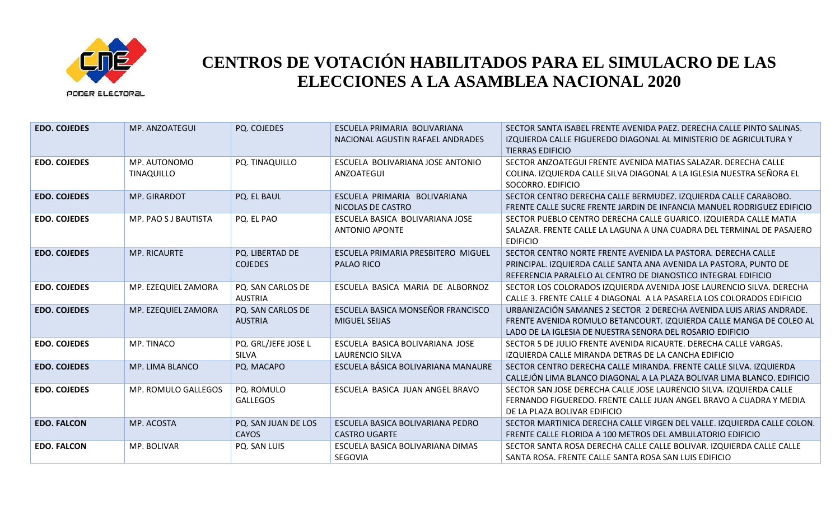

| <b>EDO. COJEDES</b> | MP. ANZOATEGUI             | PQ. COJEDES                         | ESCUELA PRIMARIA BOLIVARIANA<br>NACIONAL AGUSTIN RAFAEL ANDRADES | SECTOR SANTA ISABEL FRENTE AVENIDA PAEZ. DERECHA CALLE PINTO SALINAS.<br>IZQUIERDA CALLE FIGUEREDO DIAGONAL AL MINISTERIO DE AGRICULTURA Y<br><b>TIERRAS EDIFICIO</b>                                   |
|---------------------|----------------------------|-------------------------------------|------------------------------------------------------------------|---------------------------------------------------------------------------------------------------------------------------------------------------------------------------------------------------------|
| <b>EDO. COJEDES</b> | MP. AUTONOMO<br>TINAQUILLO | PQ. TINAQUILLO                      | ESCUELA BOLIVARIANA JOSE ANTONIO<br>ANZOATEGUI                   | SECTOR ANZOATEGUI FRENTE AVENIDA MATIAS SALAZAR. DERECHA CALLE<br>COLINA. IZQUIERDA CALLE SILVA DIAGONAL A LA IGLESIA NUESTRA SEÑORA EL<br>SOCORRO. EDIFICIO                                            |
| <b>EDO. COJEDES</b> | MP. GIRARDOT               | PQ. EL BAUL                         | ESCUELA PRIMARIA BOLIVARIANA<br>NICOLAS DE CASTRO                | SECTOR CENTRO DERECHA CALLE BERMUDEZ. IZQUIERDA CALLE CARABOBO.<br>FRENTE CALLE SUCRE FRENTE JARDIN DE INFANCIA MANUEL RODRIGUEZ EDIFICIO                                                               |
| <b>EDO. COJEDES</b> | MP. PAO S J BAUTISTA       | PQ. EL PAO                          | ESCUELA BASICA BOLIVARIANA JOSE<br><b>ANTONIO APONTE</b>         | SECTOR PUEBLO CENTRO DERECHA CALLE GUARICO. IZQUIERDA CALLE MATIA<br>SALAZAR. FRENTE CALLE LA LAGUNA A UNA CUADRA DEL TERMINAL DE PASAJERO<br><b>EDIFICIO</b>                                           |
| <b>EDO. COJEDES</b> | MP. RICAURTE               | PQ. LIBERTAD DE<br><b>COJEDES</b>   | ESCUELA PRIMARIA PRESBITERO MIGUEL<br>PALAO RICO                 | SECTOR CENTRO NORTE FRENTE AVENIDA LA PASTORA. DERECHA CALLE<br>PRINCIPAL. IZQUIERDA CALLE SANTA ANA AVENIDA LA PASTORA, PUNTO DE<br>REFERENCIA PARALELO AL CENTRO DE DIANOSTICO INTEGRAL EDIFICIO      |
| <b>EDO. COJEDES</b> | MP. EZEQUIEL ZAMORA        | PQ. SAN CARLOS DE<br><b>AUSTRIA</b> | ESCUELA BASICA MARIA DE ALBORNOZ                                 | SECTOR LOS COLORADOS IZQUIERDA AVENIDA JOSE LAURENCIO SILVA. DERECHA<br>CALLE 3. FRENTE CALLE 4 DIAGONAL A LA PASARELA LOS COLORADOS EDIFICIO                                                           |
| <b>EDO. COJEDES</b> | MP. EZEQUIEL ZAMORA        | PQ. SAN CARLOS DE<br><b>AUSTRIA</b> | ESCUELA BASICA MONSEÑOR FRANCISCO<br><b>MIGUEL SEIJAS</b>        | URBANIZACIÓN SAMANES 2 SECTOR 2 DERECHA AVENIDA LUIS ARIAS ANDRADE.<br>FRENTE AVENIDA ROMULO BETANCOURT. IZQUIERDA CALLE MANGA DE COLEO AL<br>LADO DE LA IGLESIA DE NUESTRA SENORA DEL ROSARIO EDIFICIO |
| <b>EDO. COJEDES</b> | MP. TINACO                 | PQ. GRL/JEFE JOSE L<br>SILVA        | ESCUELA BASICA BOLIVARIANA JOSE<br><b>LAURENCIO SILVA</b>        | SECTOR 5 DE JULIO FRENTE AVENIDA RICAURTE. DERECHA CALLE VARGAS.<br>IZOUIERDA CALLE MIRANDA DETRAS DE LA CANCHA EDIFICIO                                                                                |
| <b>EDO. COJEDES</b> | MP. LIMA BLANCO            | PQ. MACAPO                          | ESCUELA BÁSICA BOLIVARIANA MANAURE                               | SECTOR CENTRO DERECHA CALLE MIRANDA. FRENTE CALLE SILVA. IZQUIERDA<br>CALLEJÓN LIMA BLANCO DIAGONAL A LA PLAZA BOLIVAR LIMA BLANCO. EDIFICIO                                                            |
| <b>EDO. COJEDES</b> | MP. ROMULO GALLEGOS        | PQ. ROMULO<br><b>GALLEGOS</b>       | ESCUELA BASICA JUAN ANGEL BRAVO                                  | SECTOR SAN JOSE DERECHA CALLE JOSE LAURENCIO SILVA. IZQUIERDA CALLE<br>FERNANDO FIGUEREDO. FRENTE CALLE JUAN ANGEL BRAVO A CUADRA Y MEDIA<br>DE LA PLAZA BOLIVAR EDIFICIO                               |
| <b>EDO. FALCON</b>  | MP. ACOSTA                 | PQ. SAN JUAN DE LOS<br><b>CAYOS</b> | ESCUELA BASICA BOLIVARIANA PEDRO<br><b>CASTRO UGARTE</b>         | SECTOR MARTINICA DERECHA CALLE VIRGEN DEL VALLE. IZQUIERDA CALLE COLON.<br>FRENTE CALLE FLORIDA A 100 METROS DEL AMBULATORIO EDIFICIO                                                                   |
| <b>EDO. FALCON</b>  | MP. BOLIVAR                | PQ. SAN LUIS                        | ESCUELA BASICA BOLIVARIANA DIMAS<br>SEGOVIA                      | SECTOR SANTA ROSA DERECHA CALLE CALLE BOLIVAR. IZQUIERDA CALLE CALLE<br>SANTA ROSA. FRENTE CALLE SANTA ROSA SAN LUIS EDIFICIO                                                                           |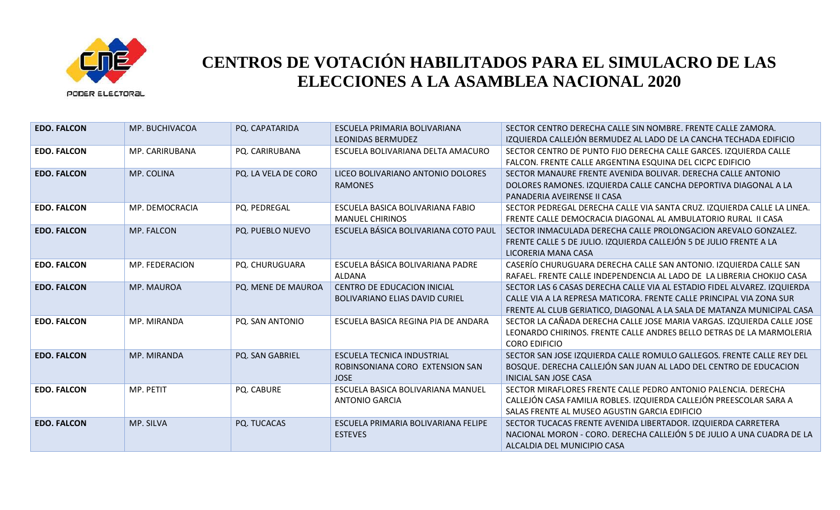

| <b>EDO. FALCON</b> | MP. BUCHIVACOA   | PQ. CAPATARIDA      | ESCUELA PRIMARIA BOLIVARIANA<br><b>LEONIDAS BERMUDEZ</b>                            | SECTOR CENTRO DERECHA CALLE SIN NOMBRE. FRENTE CALLE ZAMORA.<br>IZQUIERDA CALLEJÓN BERMUDEZ AL LADO DE LA CANCHA TECHADA EDIFICIO                                                                                          |
|--------------------|------------------|---------------------|-------------------------------------------------------------------------------------|----------------------------------------------------------------------------------------------------------------------------------------------------------------------------------------------------------------------------|
| <b>EDO. FALCON</b> | MP. CARIRUBANA   | PQ. CARIRUBANA      | ESCUELA BOLIVARIANA DELTA AMACURO                                                   | SECTOR CENTRO DE PUNTO FIJO DERECHA CALLE GARCES. IZQUIERDA CALLE<br>FALCON. FRENTE CALLE ARGENTINA ESQUINA DEL CICPC EDIFICIO                                                                                             |
| <b>EDO. FALCON</b> | MP. COLINA       | PQ. LA VELA DE CORO | LICEO BOLIVARIANO ANTONIO DOLORES<br><b>RAMONES</b>                                 | SECTOR MANAURE FRENTE AVENIDA BOLIVAR. DERECHA CALLE ANTONIO<br>DOLORES RAMONES. IZQUIERDA CALLE CANCHA DEPORTIVA DIAGONAL A LA<br>PANADERIA AVEIRENSE II CASA                                                             |
| <b>EDO. FALCON</b> | MP. DEMOCRACIA   | PQ. PEDREGAL        | ESCUELA BASICA BOLIVARIANA FABIO<br><b>MANUEL CHIRINOS</b>                          | SECTOR PEDREGAL DERECHA CALLE VIA SANTA CRUZ. IZQUIERDA CALLE LA LINEA.<br>FRENTE CALLE DEMOCRACIA DIAGONAL AL AMBULATORIO RURAL II CASA                                                                                   |
| <b>EDO. FALCON</b> | MP. FALCON       | PQ. PUEBLO NUEVO    | ESCUELA BÁSICA BOLIVARIANA COTO PAUL                                                | SECTOR INMACULADA DERECHA CALLE PROLONGACION AREVALO GONZALEZ.<br>FRENTE CALLE 5 DE JULIO. IZQUIERDA CALLEJÓN 5 DE JULIO FRENTE A LA<br>LICORERIA MANA CASA                                                                |
| <b>EDO. FALCON</b> | MP. FEDERACION   | PQ. CHURUGUARA      | ESCUELA BÁSICA BOLIVARIANA PADRE<br><b>ALDANA</b>                                   | CASERÍO CHURUGUARA DERECHA CALLE SAN ANTONIO. IZQUIERDA CALLE SAN<br>RAFAEL. FRENTE CALLE INDEPENDENCIA AL LADO DE LA LIBRERIA CHOKIJO CASA                                                                                |
| <b>EDO. FALCON</b> | MP. MAUROA       | PQ. MENE DE MAUROA  | <b>CENTRO DE EDUCACION INICIAL</b><br><b>BOLIVARIANO ELIAS DAVID CURIEL</b>         | SECTOR LAS 6 CASAS DERECHA CALLE VIA AL ESTADIO FIDEL ALVAREZ. IZQUIERDA<br>CALLE VIA A LA REPRESA MATICORA. FRENTE CALLE PRINCIPAL VIA ZONA SUR<br>FRENTE AL CLUB GERIATICO, DIAGONAL A LA SALA DE MATANZA MUNICIPAL CASA |
| <b>EDO. FALCON</b> | MP. MIRANDA      | PQ. SAN ANTONIO     | ESCUELA BASICA REGINA PIA DE ANDARA                                                 | SECTOR LA CAÑADA DERECHA CALLE JOSE MARIA VARGAS. IZQUIERDA CALLE JOSE<br>LEONARDO CHIRINOS. FRENTE CALLE ANDRES BELLO DETRAS DE LA MARMOLERIA<br><b>CORO EDIFICIO</b>                                                     |
| <b>EDO. FALCON</b> | MP. MIRANDA      | PQ. SAN GABRIEL     | <b>ESCUELA TECNICA INDUSTRIAL</b><br>ROBINSONIANA CORO EXTENSION SAN<br><b>JOSE</b> | SECTOR SAN JOSE IZQUIERDA CALLE ROMULO GALLEGOS. FRENTE CALLE REY DEL<br>BOSQUE. DERECHA CALLEJÓN SAN JUAN AL LADO DEL CENTRO DE EDUCACION<br><b>INICIAL SAN JOSE CASA</b>                                                 |
| <b>EDO. FALCON</b> | <b>MP. PETIT</b> | PQ. CABURE          | ESCUELA BASICA BOLIVARIANA MANUEL<br><b>ANTONIO GARCIA</b>                          | SECTOR MIRAFLORES FRENTE CALLE PEDRO ANTONIO PALENCIA. DERECHA<br>CALLEJÓN CASA FAMILIA ROBLES. IZQUIERDA CALLEJÓN PREESCOLAR SARA A<br>SALAS FRENTE AL MUSEO AGUSTIN GARCIA EDIFICIO                                      |
| <b>EDO. FALCON</b> | MP. SILVA        | PQ. TUCACAS         | ESCUELA PRIMARIA BOLIVARIANA FELIPE<br><b>ESTEVES</b>                               | SECTOR TUCACAS FRENTE AVENIDA LIBERTADOR. IZQUIERDA CARRETERA<br>NACIONAL MORON - CORO. DERECHA CALLEJÓN 5 DE JULIO A UNA CUADRA DE LA<br>ALCALDIA DEL MUNICIPIO CASA                                                      |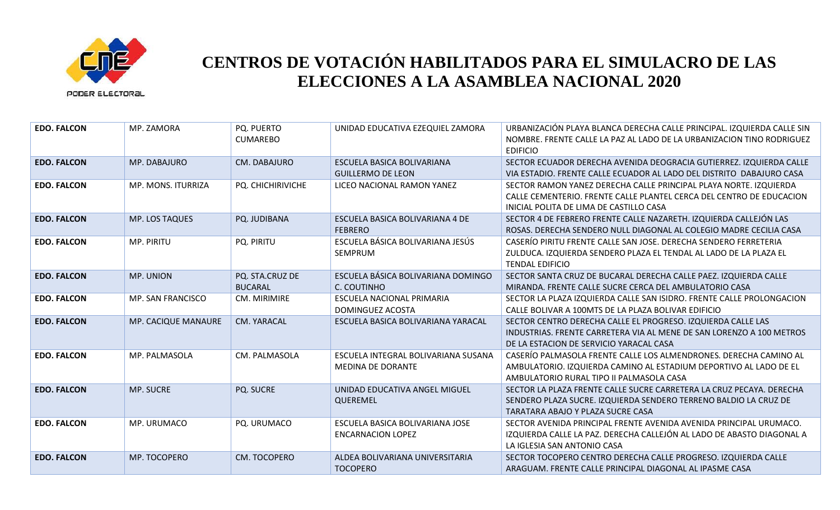

| <b>EDO. FALCON</b> | MP. ZAMORA          | <b>PQ. PUERTO</b><br><b>CUMAREBO</b> | UNIDAD EDUCATIVA EZEQUIEL ZAMORA                            | URBANIZACIÓN PLAYA BLANCA DERECHA CALLE PRINCIPAL. IZQUIERDA CALLE SIN<br>NOMBRE. FRENTE CALLE LA PAZ AL LADO DE LA URBANIZACION TINO RODRIGUEZ<br><b>EDIFICIO</b>                   |
|--------------------|---------------------|--------------------------------------|-------------------------------------------------------------|--------------------------------------------------------------------------------------------------------------------------------------------------------------------------------------|
| <b>EDO. FALCON</b> | MP. DABAJURO        | CM. DABAJURO                         | ESCUELA BASICA BOLIVARIANA<br><b>GUILLERMO DE LEON</b>      | SECTOR ECUADOR DERECHA AVENIDA DEOGRACIA GUTIERREZ. IZQUIERDA CALLE<br>VIA ESTADIO. FRENTE CALLE ECUADOR AL LADO DEL DISTRITO DABAJURO CASA                                          |
| <b>EDO. FALCON</b> | MP. MONS. ITURRIZA  | PQ. CHICHIRIVICHE                    | LICEO NACIONAL RAMON YANEZ                                  | SECTOR RAMON YANEZ DERECHA CALLE PRINCIPAL PLAYA NORTE. IZQUIERDA<br>CALLE CEMENTERIO. FRENTE CALLE PLANTEL CERCA DEL CENTRO DE EDUCACION<br>INICIAL POLITA DE LIMA DE CASTILLO CASA |
| <b>EDO. FALCON</b> | MP. LOS TAQUES      | PQ. JUDIBANA                         | ESCUELA BASICA BOLIVARIANA 4 DE<br><b>FEBRERO</b>           | SECTOR 4 DE FEBRERO FRENTE CALLE NAZARETH. IZQUIERDA CALLEJÓN LAS<br>ROSAS. DERECHA SENDERO NULL DIAGONAL AL COLEGIO MADRE CECILIA CASA                                              |
| <b>EDO. FALCON</b> | MP. PIRITU          | PQ. PIRITU                           | ESCUELA BÁSICA BOLIVARIANA JESÚS<br><b>SEMPRUM</b>          | CASERÍO PIRITU FRENTE CALLE SAN JOSE. DERECHA SENDERO FERRETERIA<br>ZULDUCA. IZQUIERDA SENDERO PLAZA EL TENDAL AL LADO DE LA PLAZA EL<br><b>TENDAL EDIFICIO</b>                      |
| <b>EDO. FALCON</b> | MP. UNION           | PQ. STA.CRUZ DE<br><b>BUCARAL</b>    | ESCUELA BÁSICA BOLIVARIANA DOMINGO<br>C. COUTINHO           | SECTOR SANTA CRUZ DE BUCARAL DERECHA CALLE PAEZ. IZQUIERDA CALLE<br>MIRANDA. FRENTE CALLE SUCRE CERCA DEL AMBULATORIO CASA                                                           |
| <b>EDO. FALCON</b> | MP. SAN FRANCISCO   | CM. MIRIMIRE                         | ESCUELA NACIONAL PRIMARIA<br>DOMINGUEZ ACOSTA               | SECTOR LA PLAZA IZQUIERDA CALLE SAN ISIDRO. FRENTE CALLE PROLONGACION<br>CALLE BOLIVAR A 100MTS DE LA PLAZA BOLIVAR EDIFICIO                                                         |
| <b>EDO. FALCON</b> | MP. CACIQUE MANAURE | CM. YARACAL                          | ESCUELA BASICA BOLIVARIANA YARACAL                          | SECTOR CENTRO DERECHA CALLE EL PROGRESO. IZQUIERDA CALLE LAS<br>INDUSTRIAS. FRENTE CARRETERA VIA AL MENE DE SAN LORENZO A 100 METROS<br>DE LA ESTACION DE SERVICIO YARACAL CASA      |
| <b>EDO. FALCON</b> | MP. PALMASOLA       | CM. PALMASOLA                        | ESCUELA INTEGRAL BOLIVARIANA SUSANA<br>MEDINA DE DORANTE    | CASERÍO PALMASOLA FRENTE CALLE LOS ALMENDRONES. DERECHA CAMINO AL<br>AMBULATORIO. IZQUIERDA CAMINO AL ESTADIUM DEPORTIVO AL LADO DE EL<br>AMBULATORIO RURAL TIPO II PALMASOLA CASA   |
| <b>EDO. FALCON</b> | <b>MP. SUCRE</b>    | PQ. SUCRE                            | UNIDAD EDUCATIVA ANGEL MIGUEL<br>QUEREMEL                   | SECTOR LA PLAZA FRENTE CALLE SUCRE CARRETERA LA CRUZ PECAYA. DERECHA<br>SENDERO PLAZA SUCRE. IZQUIERDA SENDERO TERRENO BALDIO LA CRUZ DE<br>TARATARA ABAJO Y PLAZA SUCRE CASA        |
| <b>EDO. FALCON</b> | MP. URUMACO         | PQ. URUMACO                          | ESCUELA BASICA BOLIVARIANA JOSE<br><b>ENCARNACION LOPEZ</b> | SECTOR AVENIDA PRINCIPAL FRENTE AVENIDA AVENIDA PRINCIPAL URUMACO.<br>IZQUIERDA CALLE LA PAZ. DERECHA CALLEJÓN AL LADO DE ABASTO DIAGONAL A<br>LA IGLESIA SAN ANTONIO CASA           |
| <b>EDO. FALCON</b> | MP. TOCOPERO        | CM. TOCOPERO                         | ALDEA BOLIVARIANA UNIVERSITARIA<br><b>TOCOPERO</b>          | SECTOR TOCOPERO CENTRO DERECHA CALLE PROGRESO. IZQUIERDA CALLE<br>ARAGUAM. FRENTE CALLE PRINCIPAL DIAGONAL AL IPASME CASA                                                            |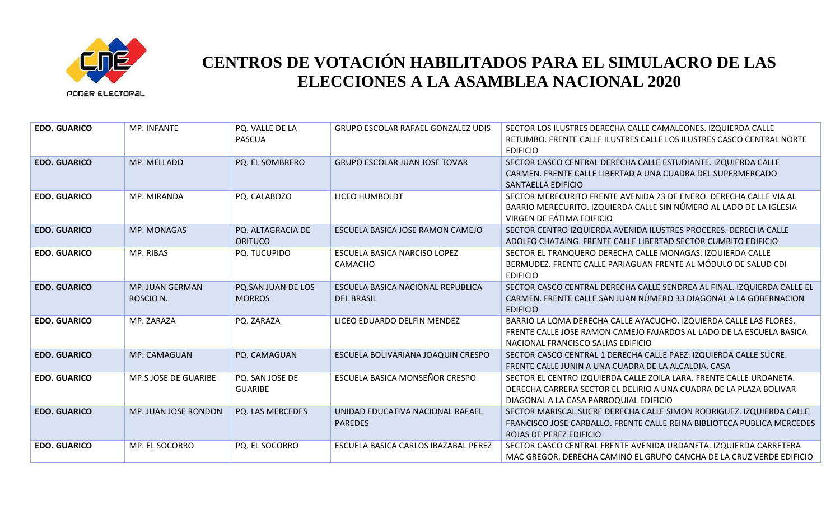

| <b>EDO. GUARICO</b> | MP. INFANTE                  | PQ. VALLE DE LA<br><b>PASCUA</b>    | <b>GRUPO ESCOLAR RAFAEL GONZALEZ UDIS</b>              | SECTOR LOS ILUSTRES DERECHA CALLE CAMALEONES. IZQUIERDA CALLE<br>RETUMBO. FRENTE CALLE ILUSTRES CALLE LOS ILUSTRES CASCO CENTRAL NORTE<br><b>EDIFICIO</b>                           |
|---------------------|------------------------------|-------------------------------------|--------------------------------------------------------|-------------------------------------------------------------------------------------------------------------------------------------------------------------------------------------|
| <b>EDO. GUARICO</b> | MP. MELLADO                  | PQ. EL SOMBRERO                     | <b>GRUPO ESCOLAR JUAN JOSE TOVAR</b>                   | SECTOR CASCO CENTRAL DERECHA CALLE ESTUDIANTE. IZQUIERDA CALLE<br>CARMEN. FRENTE CALLE LIBERTAD A UNA CUADRA DEL SUPERMERCADO<br>SANTAELLA EDIFICIO                                 |
| <b>EDO. GUARICO</b> | MP. MIRANDA                  | PQ. CALABOZO                        | LICEO HUMBOLDT                                         | SECTOR MERECURITO FRENTE AVENIDA 23 DE ENERO. DERECHA CALLE VIA AL<br>BARRIO MERECURITO. IZQUIERDA CALLE SIN NÚMERO AL LADO DE LA IGLESIA<br>VIRGEN DE FÁTIMA EDIFICIO              |
| <b>EDO. GUARICO</b> | MP. MONAGAS                  | PQ. ALTAGRACIA DE<br><b>ORITUCO</b> | ESCUELA BASICA JOSE RAMON CAMEJO                       | SECTOR CENTRO IZQUIERDA AVENIDA ILUSTRES PROCERES. DERECHA CALLE<br>ADOLFO CHATAING. FRENTE CALLE LIBERTAD SECTOR CUMBITO EDIFICIO                                                  |
| <b>EDO. GUARICO</b> | MP. RIBAS                    | PQ. TUCUPIDO                        | ESCUELA BASICA NARCISO LOPEZ<br>CAMACHO                | SECTOR EL TRANQUERO DERECHA CALLE MONAGAS. IZQUIERDA CALLE<br>BERMUDEZ. FRENTE CALLE PARIAGUAN FRENTE AL MÓDULO DE SALUD CDI<br><b>EDIFICIO</b>                                     |
| <b>EDO. GUARICO</b> | MP. JUAN GERMAN<br>ROSCIO N. | PQ.SAN JUAN DE LOS<br><b>MORROS</b> | ESCUELA BASICA NACIONAL REPUBLICA<br><b>DEL BRASIL</b> | SECTOR CASCO CENTRAL DERECHA CALLE SENDREA AL FINAL. IZQUIERDA CALLE EL<br>CARMEN. FRENTE CALLE SAN JUAN NÚMERO 33 DIAGONAL A LA GOBERNACION<br><b>EDIFICIO</b>                     |
| <b>EDO. GUARICO</b> | MP. ZARAZA                   | PQ. ZARAZA                          | LICEO EDUARDO DELFIN MENDEZ                            | BARRIO LA LOMA DERECHA CALLE AYACUCHO. IZQUIERDA CALLE LAS FLORES.<br>FRENTE CALLE JOSE RAMON CAMEJO FAJARDOS AL LADO DE LA ESCUELA BASICA<br>NACIONAL FRANCISCO SALIAS EDIFICIO    |
| <b>EDO. GUARICO</b> | MP. CAMAGUAN                 | PQ. CAMAGUAN                        | ESCUELA BOLIVARIANA JOAQUIN CRESPO                     | SECTOR CASCO CENTRAL 1 DERECHA CALLE PAEZ. IZQUIERDA CALLE SUCRE.<br>FRENTE CALLE JUNIN A UNA CUADRA DE LA ALCALDIA. CASA                                                           |
| <b>EDO. GUARICO</b> | MP.S JOSE DE GUARIBE         | PQ. SAN JOSE DE<br><b>GUARIBE</b>   | ESCUELA BASICA MONSEÑOR CRESPO                         | SECTOR EL CENTRO IZQUIERDA CALLE ZOILA LARA. FRENTE CALLE URDANETA.<br>DERECHA CARRERA SECTOR EL DELIRIO A UNA CUADRA DE LA PLAZA BOLIVAR<br>DIAGONAL A LA CASA PARROQUIAL EDIFICIO |
| <b>EDO. GUARICO</b> | MP. JUAN JOSE RONDON         | PQ. LAS MERCEDES                    | UNIDAD EDUCATIVA NACIONAL RAFAEL<br><b>PAREDES</b>     | SECTOR MARISCAL SUCRE DERECHA CALLE SIMON RODRIGUEZ. IZQUIERDA CALLE<br>FRANCISCO JOSE CARBALLO. FRENTE CALLE REINA BIBLIOTECA PUBLICA MERCEDES<br>ROJAS DE PEREZ EDIFICIO          |
| <b>EDO. GUARICO</b> | MP. EL SOCORRO               | PQ. EL SOCORRO                      | ESCUELA BASICA CARLOS IRAZABAL PEREZ                   | SECTOR CASCO CENTRAL FRENTE AVENIDA URDANETA. IZQUIERDA CARRETERA<br>MAC GREGOR. DERECHA CAMINO EL GRUPO CANCHA DE LA CRUZ VERDE EDIFICIO                                           |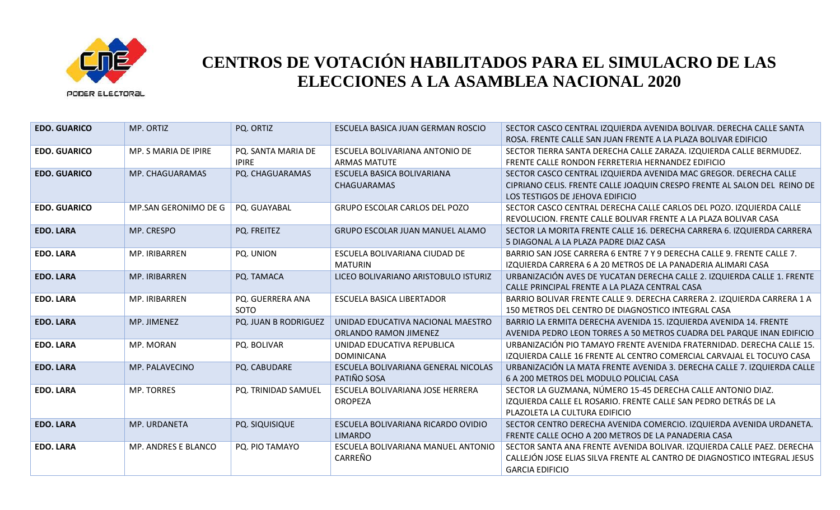

| <b>EDO. GUARICO</b> | MP. ORTIZ            | PQ. ORTIZ            | ESCUELA BASICA JUAN GERMAN ROSCIO    | SECTOR CASCO CENTRAL IZQUIERDA AVENIDA BOLIVAR. DERECHA CALLE SANTA      |
|---------------------|----------------------|----------------------|--------------------------------------|--------------------------------------------------------------------------|
|                     |                      |                      |                                      | ROSA. FRENTE CALLE SAN JUAN FRENTE A LA PLAZA BOLIVAR EDIFICIO           |
| <b>EDO. GUARICO</b> | MP. S MARIA DE IPIRE | PQ. SANTA MARIA DE   | ESCUELA BOLIVARIANA ANTONIO DE       | SECTOR TIERRA SANTA DERECHA CALLE ZARAZA. IZQUIERDA CALLE BERMUDEZ.      |
|                     |                      | <b>IPIRE</b>         | <b>ARMAS MATUTE</b>                  | FRENTE CALLE RONDON FERRETERIA HERNANDEZ EDIFICIO                        |
| <b>EDO. GUARICO</b> | MP. CHAGUARAMAS      | PQ. CHAGUARAMAS      | ESCUELA BASICA BOLIVARIANA           | SECTOR CASCO CENTRAL IZQUIERDA AVENIDA MAC GREGOR. DERECHA CALLE         |
|                     |                      |                      | <b>CHAGUARAMAS</b>                   | CIPRIANO CELIS. FRENTE CALLE JOAQUIN CRESPO FRENTE AL SALON DEL REINO DE |
|                     |                      |                      |                                      | LOS TESTIGOS DE JEHOVA EDIFICIO                                          |
| <b>EDO. GUARICO</b> | MP.SAN GERONIMO DE G | PQ. GUAYABAL         | GRUPO ESCOLAR CARLOS DEL POZO        | SECTOR CASCO CENTRAL DERECHA CALLE CARLOS DEL POZO. IZQUIERDA CALLE      |
|                     |                      |                      |                                      | REVOLUCION. FRENTE CALLE BOLIVAR FRENTE A LA PLAZA BOLIVAR CASA          |
| <b>EDO. LARA</b>    | MP. CRESPO           | PQ. FREITEZ          | GRUPO ESCOLAR JUAN MANUEL ALAMO      | SECTOR LA MORITA FRENTE CALLE 16. DERECHA CARRERA 6. IZQUIERDA CARRERA   |
|                     |                      |                      |                                      | 5 DIAGONAL A LA PLAZA PADRE DIAZ CASA                                    |
| <b>EDO. LARA</b>    | MP. IRIBARREN        | PQ. UNION            | ESCUELA BOLIVARIANA CIUDAD DE        | BARRIO SAN JOSE CARRERA 6 ENTRE 7 Y 9 DERECHA CALLE 9. FRENTE CALLE 7.   |
|                     |                      |                      | <b>MATURIN</b>                       | IZQUIERDA CARRERA 6 A 20 METROS DE LA PANADERIA ALIMARI CASA             |
| <b>EDO. LARA</b>    | MP. IRIBARREN        | PQ. TAMACA           | LICEO BOLIVARIANO ARISTOBULO ISTURIZ | URBANIZACIÓN AVES DE YUCATAN DERECHA CALLE 2. IZQUIERDA CALLE 1. FRENTE  |
|                     |                      |                      |                                      | CALLE PRINCIPAL FRENTE A LA PLAZA CENTRAL CASA                           |
| <b>EDO. LARA</b>    | MP. IRIBARREN        | PQ. GUERRERA ANA     | <b>ESCUELA BASICA LIBERTADOR</b>     | BARRIO BOLIVAR FRENTE CALLE 9. DERECHA CARRERA 2. IZQUIERDA CARRERA 1 A  |
|                     |                      | <b>SOTO</b>          |                                      | 150 METROS DEL CENTRO DE DIAGNOSTICO INTEGRAL CASA                       |
| <b>EDO. LARA</b>    | MP. JIMENEZ          | PQ. JUAN B RODRIGUEZ | UNIDAD EDUCATIVA NACIONAL MAESTRO    | BARRIO LA ERMITA DERECHA AVENIDA 15. IZQUIERDA AVENIDA 14. FRENTE        |
|                     |                      |                      | ORLANDO RAMON JIMENEZ                | AVENIDA PEDRO LEON TORRES A 50 METROS CUADRA DEL PARQUE INAN EDIFICIO    |
| <b>EDO. LARA</b>    | MP. MORAN            | PQ. BOLIVAR          | UNIDAD EDUCATIVA REPUBLICA           | URBANIZACIÓN PIO TAMAYO FRENTE AVENIDA FRATERNIDAD. DERECHA CALLE 15.    |
|                     |                      |                      | <b>DOMINICANA</b>                    | IZQUIERDA CALLE 16 FRENTE AL CENTRO COMERCIAL CARVAJAL EL TOCUYO CASA    |
| <b>EDO. LARA</b>    | MP. PALAVECINO       | PQ. CABUDARE         | ESCUELA BOLIVARIANA GENERAL NICOLAS  | URBANIZACIÓN LA MATA FRENTE AVENIDA 3. DERECHA CALLE 7. IZQUIERDA CALLE  |
|                     |                      |                      | PATIÑO SOSA                          | 6 A 200 METROS DEL MODULO POLICIAL CASA                                  |
| <b>EDO. LARA</b>    | <b>MP. TORRES</b>    | PQ. TRINIDAD SAMUEL  | ESCUELA BOLIVARIANA JOSE HERRERA     | SECTOR LA GUZMANA, NÚMERO 15-45 DERECHA CALLE ANTONIO DIAZ.              |
|                     |                      |                      | <b>OROPEZA</b>                       | IZQUIERDA CALLE EL ROSARIO. FRENTE CALLE SAN PEDRO DETRÁS DE LA          |
|                     |                      |                      |                                      | PLAZOLETA LA CULTURA EDIFICIO                                            |
| <b>EDO. LARA</b>    | MP. URDANETA         | PQ. SIQUISIQUE       | ESCUELA BOLIVARIANA RICARDO OVIDIO   | SECTOR CENTRO DERECHA AVENIDA COMERCIO. IZQUIERDA AVENIDA URDANETA.      |
|                     |                      |                      | <b>LIMARDO</b>                       | FRENTE CALLE OCHO A 200 METROS DE LA PANADERIA CASA                      |
| <b>EDO. LARA</b>    | MP. ANDRES E BLANCO  | PQ. PIO TAMAYO       | ESCUELA BOLIVARIANA MANUEL ANTONIO   | SECTOR SANTA ANA FRENTE AVENIDA BOLIVAR. IZQUIERDA CALLE PAEZ. DERECHA   |
|                     |                      |                      | CARREÑO                              | CALLEJÓN JOSE ELIAS SILVA FRENTE AL CANTRO DE DIAGNOSTICO INTEGRAL JESUS |
|                     |                      |                      |                                      | <b>GARCIA EDIFICIO</b>                                                   |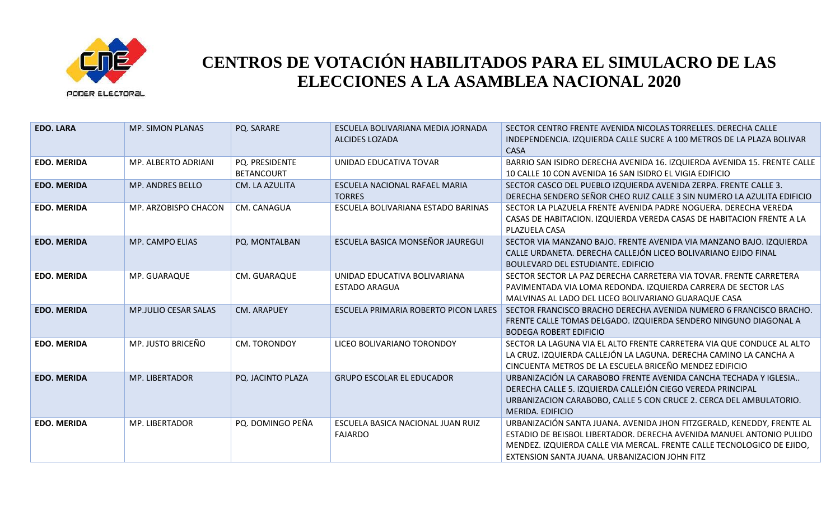

| <b>EDO. LARA</b>   | <b>MP. SIMON PLANAS</b>     | PQ. SARARE                          | ESCUELA BOLIVARIANA MEDIA JORNADA<br>ALCIDES LOZADA  | SECTOR CENTRO FRENTE AVENIDA NICOLAS TORRELLES. DERECHA CALLE<br>INDEPENDENCIA. IZQUIERDA CALLE SUCRE A 100 METROS DE LA PLAZA BOLIVAR<br><b>CASA</b>                                                                                                                    |
|--------------------|-----------------------------|-------------------------------------|------------------------------------------------------|--------------------------------------------------------------------------------------------------------------------------------------------------------------------------------------------------------------------------------------------------------------------------|
| <b>EDO. MERIDA</b> | MP. ALBERTO ADRIANI         | PQ. PRESIDENTE<br><b>BETANCOURT</b> | UNIDAD EDUCATIVA TOVAR                               | BARRIO SAN ISIDRO DERECHA AVENIDA 16. IZQUIERDA AVENIDA 15. FRENTE CALLE<br>10 CALLE 10 CON AVENIDA 16 SAN ISIDRO EL VIGIA EDIFICIO                                                                                                                                      |
| <b>EDO. MERIDA</b> | MP. ANDRES BELLO            | CM. LA AZULITA                      | ESCUELA NACIONAL RAFAEL MARIA<br><b>TORRES</b>       | SECTOR CASCO DEL PUEBLO IZQUIERDA AVENIDA ZERPA. FRENTE CALLE 3.<br>DERECHA SENDERO SEÑOR CHEO RUIZ CALLE 3 SIN NUMERO LA AZULITA EDIFICIO                                                                                                                               |
| <b>EDO. MERIDA</b> | MP. ARZOBISPO CHACON        | CM. CANAGUA                         | ESCUELA BOLIVARIANA ESTADO BARINAS                   | SECTOR LA PLAZUELA FRENTE AVENIDA PADRE NOGUERA. DERECHA VEREDA<br>CASAS DE HABITACION. IZQUIERDA VEREDA CASAS DE HABITACION FRENTE A LA<br>PLAZUELA CASA                                                                                                                |
| <b>EDO. MERIDA</b> | MP. CAMPO ELIAS             | PQ. MONTALBAN                       | ESCUELA BASICA MONSEÑOR JAUREGUI                     | SECTOR VIA MANZANO BAJO. FRENTE AVENIDA VIA MANZANO BAJO. IZQUIERDA<br>CALLE URDANETA. DERECHA CALLEJÓN LICEO BOLIVARIANO EJIDO FINAL<br><b>BOULEVARD DEL ESTUDIANTE. EDIFICIO</b>                                                                                       |
| <b>EDO. MERIDA</b> | MP. GUARAQUE                | CM. GUARAQUE                        | UNIDAD EDUCATIVA BOLIVARIANA<br><b>ESTADO ARAGUA</b> | SECTOR SECTOR LA PAZ DERECHA CARRETERA VIA TOVAR. FRENTE CARRETERA<br>PAVIMENTADA VIA LOMA REDONDA. IZQUIERDA CARRERA DE SECTOR LAS<br>MALVINAS AL LADO DEL LICEO BOLIVARIANO GUARAQUE CASA                                                                              |
| <b>EDO. MERIDA</b> | <b>MP.JULIO CESAR SALAS</b> | <b>CM. ARAPUEY</b>                  | ESCUELA PRIMARIA ROBERTO PICON LARES                 | SECTOR FRANCISCO BRACHO DERECHA AVENIDA NUMERO 6 FRANCISCO BRACHO.<br>FRENTE CALLE TOMAS DELGADO. IZQUIERDA SENDERO NINGUNO DIAGONAL A<br><b>BODEGA ROBERT EDIFICIO</b>                                                                                                  |
| <b>EDO. MERIDA</b> | MP. JUSTO BRICEÑO           | <b>CM. TORONDOY</b>                 | LICEO BOLIVARIANO TORONDOY                           | SECTOR LA LAGUNA VIA EL ALTO FRENTE CARRETERA VIA QUE CONDUCE AL ALTO<br>LA CRUZ. IZQUIERDA CALLEJÓN LA LAGUNA. DERECHA CAMINO LA CANCHA A<br>CINCUENTA METROS DE LA ESCUELA BRICEÑO MENDEZ EDIFICIO                                                                     |
| <b>EDO. MERIDA</b> | <b>MP. LIBERTADOR</b>       | PQ. JACINTO PLAZA                   | <b>GRUPO ESCOLAR EL EDUCADOR</b>                     | URBANIZACIÓN LA CARABOBO FRENTE AVENIDA CANCHA TECHADA Y IGLESIA<br>DERECHA CALLE 5. IZQUIERDA CALLEJÓN CIEGO VEREDA PRINCIPAL<br>URBANIZACION CARABOBO, CALLE 5 CON CRUCE 2. CERCA DEL AMBULATORIO.<br>MERIDA. EDIFICIO                                                 |
| <b>EDO. MERIDA</b> | MP. LIBERTADOR              | PQ. DOMINGO PEÑA                    | ESCUELA BASICA NACIONAL JUAN RUIZ<br><b>FAJARDO</b>  | URBANIZACIÓN SANTA JUANA. AVENIDA JHON FITZGERALD, KENEDDY, FRENTE AL<br>ESTADIO DE BEISBOL LIBERTADOR. DERECHA AVENIDA MANUEL ANTONIO PULIDO<br>MENDEZ. IZQUIERDA CALLE VIA MERCAL. FRENTE CALLE TECNOLOGICO DE EJIDO,<br>EXTENSION SANTA JUANA. URBANIZACION JOHN FITZ |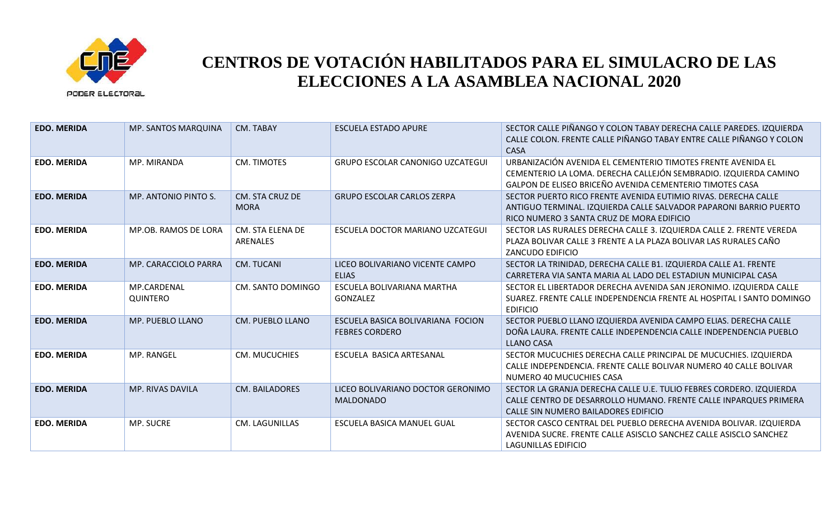

| <b>EDO. MERIDA</b> | MP. SANTOS MARQUINA            | CM. TABAY                      | <b>ESCUELA ESTADO APURE</b>                                | SECTOR CALLE PIÑANGO Y COLON TABAY DERECHA CALLE PAREDES. IZQUIERDA<br>CALLE COLON. FRENTE CALLE PIÑANGO TABAY ENTRE CALLE PIÑANGO Y COLON<br><b>CASA</b>                                    |
|--------------------|--------------------------------|--------------------------------|------------------------------------------------------------|----------------------------------------------------------------------------------------------------------------------------------------------------------------------------------------------|
| <b>EDO. MERIDA</b> | MP. MIRANDA                    | CM. TIMOTES                    | <b>GRUPO ESCOLAR CANONIGO UZCATEGUI</b>                    | URBANIZACIÓN AVENIDA EL CEMENTERIO TIMOTES FRENTE AVENIDA EL<br>CEMENTERIO LA LOMA. DERECHA CALLEJÓN SEMBRADIO. IZQUIERDA CAMINO<br>GALPON DE ELISEO BRICEÑO AVENIDA CEMENTERIO TIMOTES CASA |
| <b>EDO. MERIDA</b> | MP. ANTONIO PINTO S.           | CM. STA CRUZ DE<br><b>MORA</b> | <b>GRUPO ESCOLAR CARLOS ZERPA</b>                          | SECTOR PUERTO RICO FRENTE AVENIDA EUTIMIO RIVAS. DERECHA CALLE<br>ANTIGUO TERMINAL. IZQUIERDA CALLE SALVADOR PAPARONI BARRIO PUERTO<br>RICO NUMERO 3 SANTA CRUZ DE MORA EDIFICIO             |
| <b>EDO. MERIDA</b> | MP.OB. RAMOS DE LORA           | CM. STA ELENA DE<br>ARENALES   | ESCUELA DOCTOR MARIANO UZCATEGUI                           | SECTOR LAS RURALES DERECHA CALLE 3. IZQUIERDA CALLE 2. FRENTE VEREDA<br>PLAZA BOLIVAR CALLE 3 FRENTE A LA PLAZA BOLIVAR LAS RURALES CAÑO<br><b>ZANCUDO EDIFICIO</b>                          |
| <b>EDO. MERIDA</b> | MP. CARACCIOLO PARRA           | <b>CM. TUCANI</b>              | LICEO BOLIVARIANO VICENTE CAMPO<br><b>ELIAS</b>            | SECTOR LA TRINIDAD, DERECHA CALLE B1. IZQUIERDA CALLE A1. FRENTE<br>CARRETERA VIA SANTA MARIA AL LADO DEL ESTADIUN MUNICIPAL CASA                                                            |
| <b>EDO. MERIDA</b> | MP.CARDENAL<br><b>QUINTERO</b> | CM. SANTO DOMINGO              | ESCUELA BOLIVARIANA MARTHA<br>GONZALEZ                     | SECTOR EL LIBERTADOR DERECHA AVENIDA SAN JERONIMO. IZQUIERDA CALLE<br>SUAREZ. FRENTE CALLE INDEPENDENCIA FRENTE AL HOSPITAL I SANTO DOMINGO<br><b>EDIFICIO</b>                               |
| <b>EDO. MERIDA</b> | MP. PUEBLO LLANO               | <b>CM. PUEBLO LLANO</b>        | ESCUELA BASICA BOLIVARIANA FOCION<br><b>FEBRES CORDERO</b> | SECTOR PUEBLO LLANO IZQUIERDA AVENIDA CAMPO ELIAS. DERECHA CALLE<br>DOÑA LAURA. FRENTE CALLE INDEPENDENCIA CALLE INDEPENDENCIA PUEBLO<br><b>LLANO CASA</b>                                   |
| <b>EDO. MERIDA</b> | MP. RANGEL                     | CM. MUCUCHIES                  | ESCUELA BASICA ARTESANAL                                   | SECTOR MUCUCHIES DERECHA CALLE PRINCIPAL DE MUCUCHIES. IZQUIERDA<br>CALLE INDEPENDENCIA. FRENTE CALLE BOLIVAR NUMERO 40 CALLE BOLIVAR<br>NUMERO 40 MUCUCHIES CASA                            |
| <b>EDO. MERIDA</b> | MP. RIVAS DAVILA               | CM. BAILADORES                 | LICEO BOLIVARIANO DOCTOR GERONIMO<br><b>MALDONADO</b>      | SECTOR LA GRANJA DERECHA CALLE U.E. TULIO FEBRES CORDERO. IZQUIERDA<br>CALLE CENTRO DE DESARROLLO HUMANO. FRENTE CALLE INPARQUES PRIMERA<br>CALLE SIN NUMERO BAILADORES EDIFICIO             |
| <b>EDO. MERIDA</b> | MP. SUCRE                      | CM. LAGUNILLAS                 | ESCUELA BASICA MANUEL GUAL                                 | SECTOR CASCO CENTRAL DEL PUEBLO DERECHA AVENIDA BOLIVAR. IZQUIERDA<br>AVENIDA SUCRE. FRENTE CALLE ASISCLO SANCHEZ CALLE ASISCLO SANCHEZ<br><b>LAGUNILLAS EDIFICIO</b>                        |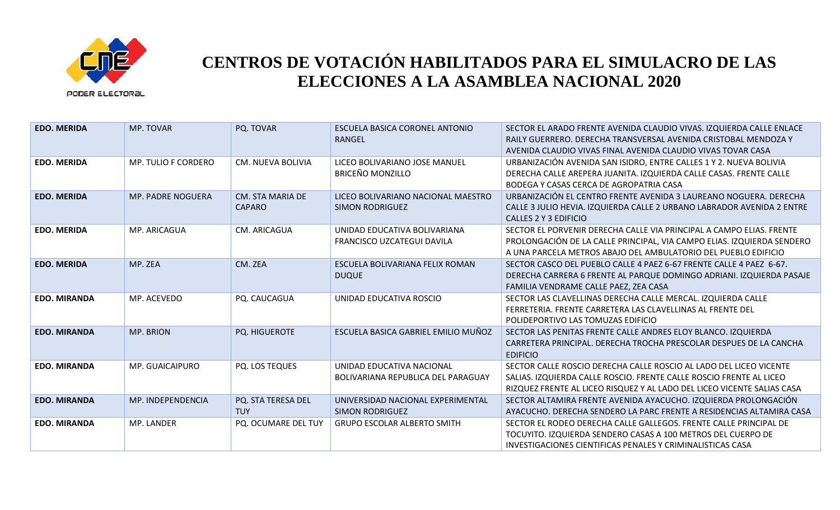

| <b>EDO. MERIDA</b>  | MP. TOVAR                | PQ. TOVAR                         | ESCUELA BASICA CORONEL ANTONIO<br>RANGEL                        | SECTOR EL ARADO FRENTE AVENIDA CLAUDIO VIVAS. IZQUIERDA CALLE ENLACE<br>RAILY GUERRERO. DERECHA TRANSVERSAL AVENIDA CRISTOBAL MENDOZA Y<br>AVENIDA CLAUDIO VIVAS FINAL AVENIDA CLAUDIO VIVAS TOVAR CASA              |
|---------------------|--------------------------|-----------------------------------|-----------------------------------------------------------------|----------------------------------------------------------------------------------------------------------------------------------------------------------------------------------------------------------------------|
| <b>EDO. MERIDA</b>  | MP. TULIO F CORDERO      | <b>CM. NUEVA BOLIVIA</b>          | LICEO BOLIVARIANO JOSE MANUEL<br><b>BRICEÑO MONZILLO</b>        | URBANIZACIÓN AVENIDA SAN ISIDRO, ENTRE CALLES 1 Y 2. NUEVA BOLIVIA<br>DERECHA CALLE AREPERA JUANITA. IZQUIERDA CALLE CASAS. FRENTE CALLE<br>BODEGA Y CASAS CERCA DE AGROPATRIA CASA                                  |
| <b>EDO. MERIDA</b>  | <b>MP. PADRE NOGUERA</b> | CM. STA MARIA DE<br><b>CAPARO</b> | LICEO BOLIVARIANO NACIONAL MAESTRO<br><b>SIMON RODRIGUEZ</b>    | URBANIZACIÓN EL CENTRO FRENTE AVENIDA 3 LAUREANO NOGUERA. DERECHA<br>CALLE 3 JULIO HEVIA. IZQUIERDA CALLE 2 URBANO LABRADOR AVENIDA 2 ENTRE<br>CALLES 2 Y 3 EDIFICIO                                                 |
| <b>EDO. MERIDA</b>  | MP. ARICAGUA             | CM. ARICAGUA                      | UNIDAD EDUCATIVA BOLIVARIANA<br>FRANCISCO UZCATEGUI DAVILA      | SECTOR EL PORVENIR DERECHA CALLE VIA PRINCIPAL A CAMPO ELIAS. FRENTE<br>PROLONGACIÓN DE LA CALLE PRINCIPAL, VIA CAMPO ELIAS. IZQUIERDA SENDERO<br>A UNA PARCELA METROS ABAJO DEL AMBULATORIO DEL PUEBLO EDIFICIO     |
| <b>EDO. MERIDA</b>  | MP. ZEA                  | CM. ZEA                           | ESCUELA BOLIVARIANA FELIX ROMAN<br><b>DUQUE</b>                 | SECTOR CASCO DEL PUEBLO CALLE 4 PAEZ 6-67 FRENTE CALLE 4 PAEZ 6-67.<br>DERECHA CARRERA 6 FRENTE AL PARQUE DOMINGO ADRIANI. IZQUIERDA PASAJE<br>FAMILIA VENDRAME CALLE PAEZ, ZEA CASA                                 |
| <b>EDO. MIRANDA</b> | MP. ACEVEDO              | PQ. CAUCAGUA                      | UNIDAD EDUCATIVA ROSCIO                                         | SECTOR LAS CLAVELLINAS DERECHA CALLE MERCAL. IZQUIERDA CALLE<br>FERRETERIA. FRENTE CARRETERA LAS CLAVELLINAS AL FRENTE DEL<br>POLIDEPORTIVO LAS TOMUZAS EDIFICIO                                                     |
| <b>EDO. MIRANDA</b> | MP. BRION                | PQ. HIGUEROTE                     | ESCUELA BASICA GABRIEL EMILIO MUÑOZ                             | SECTOR LAS PENITAS FRENTE CALLE ANDRES ELOY BLANCO. IZQUIERDA<br>CARRETERA PRINCIPAL. DERECHA TROCHA PRESCOLAR DESPUES DE LA CANCHA<br><b>EDIFICIO</b>                                                               |
| <b>EDO. MIRANDA</b> | MP. GUAICAIPURO          | PQ. LOS TEQUES                    | UNIDAD EDUCATIVA NACIONAL<br>BOLIVARIANA REPUBLICA DEL PARAGUAY | SECTOR CALLE ROSCIO DERECHA CALLE ROSCIO AL LADO DEL LICEO VICENTE<br>SALIAS. IZQUIERDA CALLE ROSCIO. FRENTE CALLE ROSCIO FRENTE AL LICEO<br>RIZQUEZ FRENTE AL LICEO RISQUEZ Y AL LADO DEL LICEO VICENTE SALIAS CASA |
| <b>EDO. MIRANDA</b> | MP. INDEPENDENCIA        | PQ. STA TERESA DEL<br><b>TUY</b>  | UNIVERSIDAD NACIONAL EXPERIMENTAL<br><b>SIMON RODRIGUEZ</b>     | SECTOR ALTAMIRA FRENTE AVENIDA AYACUCHO. IZQUIERDA PROLONGACIÓN<br>AYACUCHO. DERECHA SENDERO LA PARC FRENTE A RESIDENCIAS ALTAMIRA CASA                                                                              |
| <b>EDO. MIRANDA</b> | MP. LANDER               | PQ. OCUMARE DEL TUY               | <b>GRUPO ESCOLAR ALBERTO SMITH</b>                              | SECTOR EL RODEO DERECHA CALLE GALLEGOS. FRENTE CALLE PRINCIPAL DE<br>TOCUYITO. IZQUIERDA SENDERO CASAS A 100 METROS DEL CUERPO DE<br>INVESTIGACIONES CIENTIFICAS PENALES Y CRIMINALISTICAS CASA                      |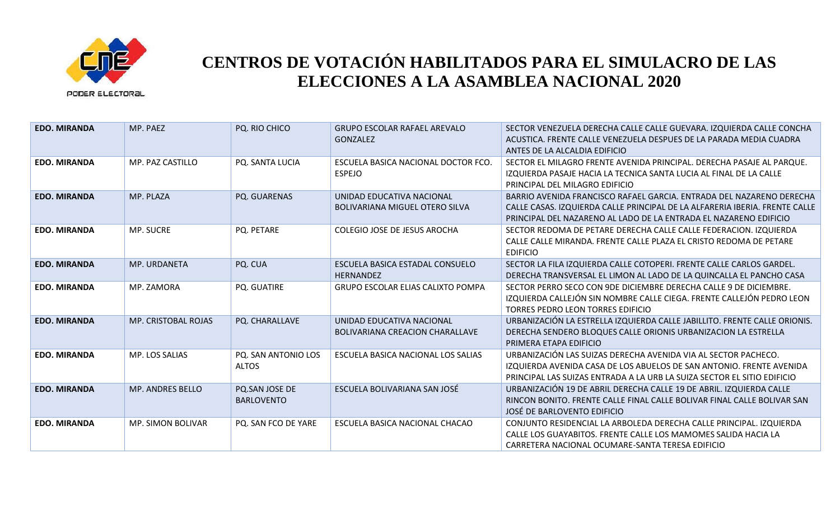

| <b>EDO. MIRANDA</b> | MP. PAEZ            | PQ. RIO CHICO                       | <b>GRUPO ESCOLAR RAFAEL AREVALO</b><br><b>GONZALEZ</b>              | SECTOR VENEZUELA DERECHA CALLE CALLE GUEVARA. IZQUIERDA CALLE CONCHA<br>ACUSTICA. FRENTE CALLE VENEZUELA DESPUES DE LA PARADA MEDIA CUADRA<br>ANTES DE LA ALCALDIA EDIFICIO                                              |
|---------------------|---------------------|-------------------------------------|---------------------------------------------------------------------|--------------------------------------------------------------------------------------------------------------------------------------------------------------------------------------------------------------------------|
| <b>EDO. MIRANDA</b> | MP. PAZ CASTILLO    | PQ. SANTA LUCIA                     | ESCUELA BASICA NACIONAL DOCTOR FCO.<br><b>ESPEJO</b>                | SECTOR EL MILAGRO FRENTE AVENIDA PRINCIPAL. DERECHA PASAJE AL PARQUE.<br>IZQUIERDA PASAJE HACIA LA TECNICA SANTA LUCIA AL FINAL DE LA CALLE<br>PRINCIPAL DEL MILAGRO EDIFICIO                                            |
| <b>EDO. MIRANDA</b> | MP. PLAZA           | PQ. GUARENAS                        | UNIDAD EDUCATIVA NACIONAL<br><b>BOLIVARIANA MIGUEL OTERO SILVA</b>  | BARRIO AVENIDA FRANCISCO RAFAEL GARCIA. ENTRADA DEL NAZARENO DERECHA<br>CALLE CASAS. IZQUIERDA CALLE PRINCIPAL DE LA ALFARERIA IBERIA. FRENTE CALLE<br>PRINCIPAL DEL NAZARENO AL LADO DE LA ENTRADA EL NAZARENO EDIFICIO |
| <b>EDO. MIRANDA</b> | MP. SUCRE           | PQ. PETARE                          | COLEGIO JOSE DE JESUS AROCHA                                        | SECTOR REDOMA DE PETARE DERECHA CALLE CALLE FEDERACION. IZQUIERDA<br>CALLE CALLE MIRANDA. FRENTE CALLE PLAZA EL CRISTO REDOMA DE PETARE<br><b>EDIFICIO</b>                                                               |
| <b>EDO. MIRANDA</b> | MP. URDANETA        | PQ. CUA                             | ESCUELA BASICA ESTADAL CONSUELO<br><b>HERNANDEZ</b>                 | SECTOR LA FILA IZQUIERDA CALLE COTOPERI. FRENTE CALLE CARLOS GARDEL.<br>DERECHA TRANSVERSAL EL LIMON AL LADO DE LA QUINCALLA EL PANCHO CASA                                                                              |
| <b>EDO. MIRANDA</b> | MP. ZAMORA          | PQ. GUATIRE                         | <b>GRUPO ESCOLAR ELIAS CALIXTO POMPA</b>                            | SECTOR PERRO SECO CON 9DE DICIEMBRE DERECHA CALLE 9 DE DICIEMBRE.<br>IZQUIERDA CALLEJÓN SIN NOMBRE CALLE CIEGA. FRENTE CALLEJÓN PEDRO LEON<br><b>TORRES PEDRO LEON TORRES EDIFICIO</b>                                   |
| <b>EDO. MIRANDA</b> | MP. CRISTOBAL ROJAS | PQ. CHARALLAVE                      | UNIDAD EDUCATIVA NACIONAL<br><b>BOLIVARIANA CREACION CHARALLAVE</b> | URBANIZACIÓN LA ESTRELLA IZQUIERDA CALLE JABILLITO. FRENTE CALLE ORIONIS.<br>DERECHA SENDERO BLOQUES CALLE ORIONIS URBANIZACION LA ESTRELLA<br>PRIMERA ETAPA EDIFICIO                                                    |
| <b>EDO. MIRANDA</b> | MP. LOS SALIAS      | PQ. SAN ANTONIO LOS<br><b>ALTOS</b> | ESCUELA BASICA NACIONAL LOS SALIAS                                  | URBANIZACIÓN LAS SUIZAS DERECHA AVENIDA VIA AL SECTOR PACHECO.<br>IZQUIERDA AVENIDA CASA DE LOS ABUELOS DE SAN ANTONIO. FRENTE AVENIDA<br>PRINCIPAL LAS SUIZAS ENTRADA A LA URB LA SUIZA SECTOR EL SITIO EDIFICIO        |
| <b>EDO. MIRANDA</b> | MP. ANDRES BELLO    | PQ.SAN JOSE DE<br><b>BARLOVENTO</b> | ESCUELA BOLIVARIANA SAN JOSÉ                                        | URBANIZACIÓN 19 DE ABRIL DERECHA CALLE 19 DE ABRIL. IZQUIERDA CALLE<br>RINCON BONITO. FRENTE CALLE FINAL CALLE BOLIVAR FINAL CALLE BOLIVAR SAN<br>JOSÉ DE BARLOVENTO EDIFICIO                                            |
| <b>EDO. MIRANDA</b> | MP. SIMON BOLIVAR   | PQ. SAN FCO DE YARE                 | ESCUELA BASICA NACIONAL CHACAO                                      | CONJUNTO RESIDENCIAL LA ARBOLEDA DERECHA CALLE PRINCIPAL. IZQUIERDA<br>CALLE LOS GUAYABITOS. FRENTE CALLE LOS MAMOMES SALIDA HACIA LA<br>CARRETERA NACIONAL OCUMARE-SANTA TERESA EDIFICIO                                |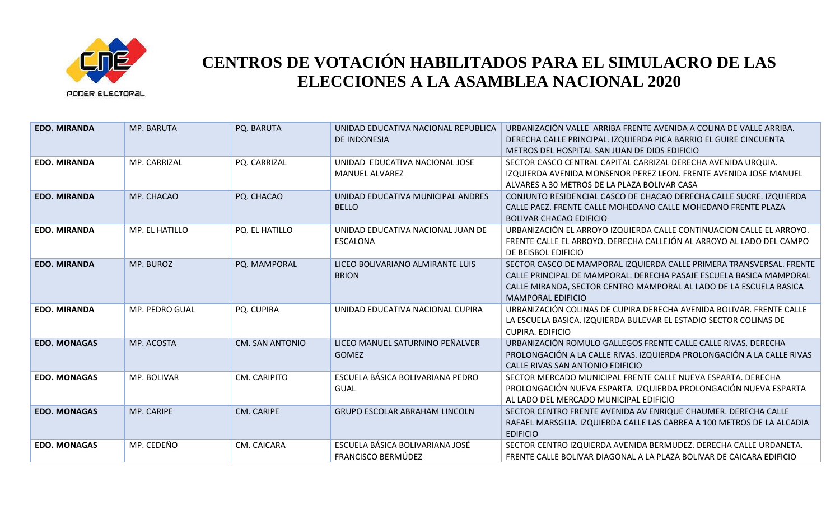

| <b>EDO. MIRANDA</b> | MP. BARUTA     | PQ. BARUTA             | UNIDAD EDUCATIVA NACIONAL REPUBLICA<br>DE INDONESIA          | URBANIZACIÓN VALLE ARRIBA FRENTE AVENIDA A COLINA DE VALLE ARRIBA.<br>DERECHA CALLE PRINCIPAL. IZQUIERDA PICA BARRIO EL GUIRE CINCUENTA<br>METROS DEL HOSPITAL SAN JUAN DE DIOS EDIFICIO                                                      |
|---------------------|----------------|------------------------|--------------------------------------------------------------|-----------------------------------------------------------------------------------------------------------------------------------------------------------------------------------------------------------------------------------------------|
| <b>EDO. MIRANDA</b> | MP. CARRIZAL   | PQ. CARRIZAL           | UNIDAD EDUCATIVA NACIONAL JOSE<br><b>MANUEL ALVAREZ</b>      | SECTOR CASCO CENTRAL CAPITAL CARRIZAL DERECHA AVENIDA URQUIA.<br>IZQUIERDA AVENIDA MONSENOR PEREZ LEON. FRENTE AVENIDA JOSE MANUEL<br>ALVARES A 30 METROS DE LA PLAZA BOLIVAR CASA                                                            |
| <b>EDO. MIRANDA</b> | MP. CHACAO     | PQ. CHACAO             | UNIDAD EDUCATIVA MUNICIPAL ANDRES<br><b>BELLO</b>            | CONJUNTO RESIDENCIAL CASCO DE CHACAO DERECHA CALLE SUCRE. IZQUIERDA<br>CALLE PAEZ. FRENTE CALLE MOHEDANO CALLE MOHEDANO FRENTE PLAZA<br><b>BOLIVAR CHACAO EDIFICIO</b>                                                                        |
| <b>EDO. MIRANDA</b> | MP. EL HATILLO | PQ. EL HATILLO         | UNIDAD EDUCATIVA NACIONAL JUAN DE<br><b>ESCALONA</b>         | URBANIZACIÓN EL ARROYO IZQUIERDA CALLE CONTINUACION CALLE EL ARROYO.<br>FRENTE CALLE EL ARROYO. DERECHA CALLEJÓN AL ARROYO AL LADO DEL CAMPO<br>DE BEISBOL EDIFICIO                                                                           |
| <b>EDO. MIRANDA</b> | MP. BUROZ      | PQ. MAMPORAL           | LICEO BOLIVARIANO ALMIRANTE LUIS<br><b>BRION</b>             | SECTOR CASCO DE MAMPORAL IZQUIERDA CALLE PRIMERA TRANSVERSAL. FRENTE<br>CALLE PRINCIPAL DE MAMPORAL. DERECHA PASAJE ESCUELA BASICA MAMPORAL<br>CALLE MIRANDA, SECTOR CENTRO MAMPORAL AL LADO DE LA ESCUELA BASICA<br><b>MAMPORAL EDIFICIO</b> |
| <b>EDO. MIRANDA</b> | MP. PEDRO GUAL | PQ. CUPIRA             | UNIDAD EDUCATIVA NACIONAL CUPIRA                             | URBANIZACIÓN COLINAS DE CUPIRA DERECHA AVENIDA BOLIVAR. FRENTE CALLE<br>LA ESCUELA BASICA. IZQUIERDA BULEVAR EL ESTADIO SECTOR COLINAS DE<br>CUPIRA, EDIFICIO                                                                                 |
| <b>EDO. MONAGAS</b> | MP. ACOSTA     | <b>CM. SAN ANTONIO</b> | LICEO MANUEL SATURNINO PEÑALVER<br><b>GOMEZ</b>              | URBANIZACIÓN ROMULO GALLEGOS FRENTE CALLE CALLE RIVAS. DERECHA<br>PROLONGACIÓN A LA CALLE RIVAS. IZQUIERDA PROLONGACIÓN A LA CALLE RIVAS<br>CALLE RIVAS SAN ANTONIO EDIFICIO                                                                  |
| <b>EDO. MONAGAS</b> | MP. BOLIVAR    | CM. CARIPITO           | ESCUELA BÁSICA BOLIVARIANA PEDRO<br><b>GUAL</b>              | SECTOR MERCADO MUNICIPAL FRENTE CALLE NUEVA ESPARTA. DERECHA<br>PROLONGACIÓN NUEVA ESPARTA. IZQUIERDA PROLONGACIÓN NUEVA ESPARTA<br>AL LADO DEL MERCADO MUNICIPAL EDIFICIO                                                                    |
| <b>EDO. MONAGAS</b> | MP. CARIPE     | CM. CARIPE             | GRUPO ESCOLAR ABRAHAM LINCOLN                                | SECTOR CENTRO FRENTE AVENIDA AV ENRIQUE CHAUMER. DERECHA CALLE<br>RAFAEL MARSGLIA. IZQUIERDA CALLE LAS CABREA A 100 METROS DE LA ALCADIA<br><b>EDIFICIO</b>                                                                                   |
| <b>EDO. MONAGAS</b> | MP. CEDEÑO     | CM. CAICARA            | ESCUELA BÁSICA BOLIVARIANA JOSÉ<br><b>FRANCISCO BERMÚDEZ</b> | SECTOR CENTRO IZQUIERDA AVENIDA BERMUDEZ. DERECHA CALLE URDANETA.<br>FRENTE CALLE BOLIVAR DIAGONAL A LA PLAZA BOLIVAR DE CAICARA EDIFICIO                                                                                                     |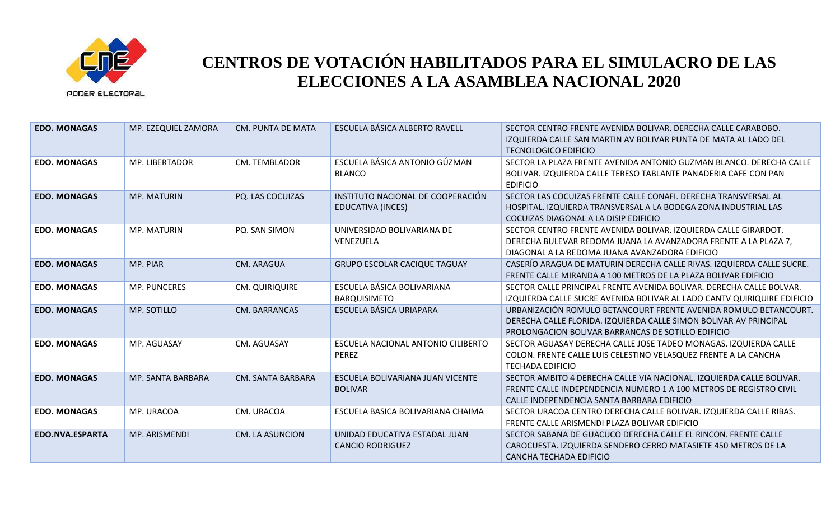

| <b>EDO. MONAGAS</b> | MP. EZEQUIEL ZAMORA | <b>CM. PUNTA DE MATA</b> | ESCUELA BÁSICA ALBERTO RAVELL                            | SECTOR CENTRO FRENTE AVENIDA BOLIVAR, DERECHA CALLE CARABOBO.<br>IZQUIERDA CALLE SAN MARTIN AV BOLIVAR PUNTA DE MATA AL LADO DEL<br><b>TECNOLOGICO EDIFICIO</b>                             |
|---------------------|---------------------|--------------------------|----------------------------------------------------------|---------------------------------------------------------------------------------------------------------------------------------------------------------------------------------------------|
| <b>EDO. MONAGAS</b> | MP. LIBERTADOR      | <b>CM. TEMBLADOR</b>     | ESCUELA BÁSICA ANTONIO GÚZMAN<br><b>BLANCO</b>           | SECTOR LA PLAZA FRENTE AVENIDA ANTONIO GUZMAN BLANCO. DERECHA CALLE<br>BOLIVAR. IZQUIERDA CALLE TERESO TABLANTE PANADERIA CAFE CON PAN<br><b>EDIFICIO</b>                                   |
| <b>EDO. MONAGAS</b> | <b>MP. MATURIN</b>  | PQ. LAS COCUIZAS         | INSTITUTO NACIONAL DE COOPERACIÓN<br>EDUCATIVA (INCES)   | SECTOR LAS COCUIZAS FRENTE CALLE CONAFI. DERECHA TRANSVERSAL AL<br>HOSPITAL. IZQUIERDA TRANSVERSAL A LA BODEGA ZONA INDUSTRIAL LAS<br>COCUIZAS DIAGONAL A LA DISIP EDIFICIO                 |
| <b>EDO. MONAGAS</b> | MP. MATURIN         | PQ. SAN SIMON            | UNIVERSIDAD BOLIVARIANA DE<br>VENEZUELA                  | SECTOR CENTRO FRENTE AVENIDA BOLIVAR. IZQUIERDA CALLE GIRARDOT.<br>DERECHA BULEVAR REDOMA JUANA LA AVANZADORA FRENTE A LA PLAZA 7,<br>DIAGONAL A LA REDOMA JUANA AVANZADORA EDIFICIO        |
| <b>EDO. MONAGAS</b> | MP. PIAR            | <b>CM. ARAGUA</b>        | <b>GRUPO ESCOLAR CACIQUE TAGUAY</b>                      | CASERÍO ARAGUA DE MATURIN DERECHA CALLE RIVAS. IZQUIERDA CALLE SUCRE.<br>FRENTE CALLE MIRANDA A 100 METROS DE LA PLAZA BOLIVAR EDIFICIO                                                     |
| <b>EDO. MONAGAS</b> | MP. PUNCERES        | <b>CM. QUIRIQUIRE</b>    | ESCUELA BÁSICA BOLIVARIANA<br><b>BARQUISIMETO</b>        | SECTOR CALLE PRINCIPAL FRENTE AVENIDA BOLIVAR. DERECHA CALLE BOLVAR.<br>IZQUIERDA CALLE SUCRE AVENIDA BOLIVAR AL LADO CANTV QUIRIQUIRE EDIFICIO                                             |
| <b>EDO. MONAGAS</b> | MP. SOTILLO         | CM. BARRANCAS            | ESCUELA BÁSICA URIAPARA                                  | URBANIZACIÓN ROMULO BETANCOURT FRENTE AVENIDA ROMULO BETANCOURT.<br>DERECHA CALLE FLORIDA. IZQUIERDA CALLE SIMON BOLIVAR AV PRINCIPAL<br>PROLONGACION BOLIVAR BARRANCAS DE SOTILLO EDIFICIO |
| <b>EDO. MONAGAS</b> | MP. AGUASAY         | CM. AGUASAY              | ESCUELA NACIONAL ANTONIO CILIBERTO<br><b>PEREZ</b>       | SECTOR AGUASAY DERECHA CALLE JOSE TADEO MONAGAS. IZQUIERDA CALLE<br>COLON. FRENTE CALLE LUIS CELESTINO VELASQUEZ FRENTE A LA CANCHA<br><b>TECHADA EDIFICIO</b>                              |
| <b>EDO. MONAGAS</b> | MP. SANTA BARBARA   | <b>CM. SANTA BARBARA</b> | ESCUELA BOLIVARIANA JUAN VICENTE<br><b>BOLIVAR</b>       | SECTOR AMBITO 4 DERECHA CALLE VIA NACIONAL. IZQUIERDA CALLE BOLIVAR.<br>FRENTE CALLE INDEPENDENCIA NUMERO 1 A 100 METROS DE REGISTRO CIVIL<br>CALLE INDEPENDENCIA SANTA BARBARA EDIFICIO    |
| <b>EDO. MONAGAS</b> | MP. URACOA          | CM. URACOA               | ESCUELA BASICA BOLIVARIANA CHAIMA                        | SECTOR URACOA CENTRO DERECHA CALLE BOLIVAR. IZQUIERDA CALLE RIBAS.<br>FRENTE CALLE ARISMENDI PLAZA BOLIVAR EDIFICIO                                                                         |
| EDO.NVA.ESPARTA     | MP. ARISMENDI       | <b>CM. LA ASUNCION</b>   | UNIDAD EDUCATIVA ESTADAL JUAN<br><b>CANCIO RODRIGUEZ</b> | SECTOR SABANA DE GUACUCO DERECHA CALLE EL RINCON. FRENTE CALLE<br>CAROCUESTA. IZQUIERDA SENDERO CERRO MATASIETE 450 METROS DE LA<br><b>CANCHA TECHADA EDIFICIO</b>                          |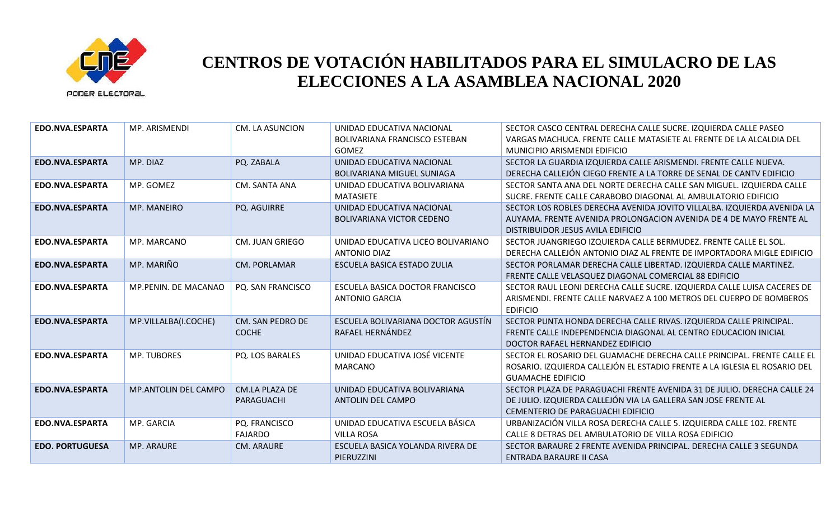

| EDO.NVA.ESPARTA        | MP. ARISMENDI               | <b>CM. LA ASUNCION</b>              | UNIDAD EDUCATIVA NACIONAL<br>BOLIVARIANA FRANCISCO ESTEBAN<br><b>GOMEZ</b> | SECTOR CASCO CENTRAL DERECHA CALLE SUCRE. IZQUIERDA CALLE PASEO<br>VARGAS MACHUCA. FRENTE CALLE MATASIETE AL FRENTE DE LA ALCALDIA DEL<br>MUNICIPIO ARISMENDI EDIFICIO             |
|------------------------|-----------------------------|-------------------------------------|----------------------------------------------------------------------------|------------------------------------------------------------------------------------------------------------------------------------------------------------------------------------|
| EDO.NVA.ESPARTA        | MP. DIAZ                    | PQ. ZABALA                          | UNIDAD EDUCATIVA NACIONAL<br><b>BOLIVARIANA MIGUEL SUNIAGA</b>             | SECTOR LA GUARDIA IZQUIERDA CALLE ARISMENDI. FRENTE CALLE NUEVA.<br>DERECHA CALLEJÓN CIEGO FRENTE A LA TORRE DE SENAL DE CANTV EDIFICIO                                            |
| EDO.NVA.ESPARTA        | MP. GOMEZ                   | CM. SANTA ANA                       | UNIDAD EDUCATIVA BOLIVARIANA<br><b>MATASIETE</b>                           | SECTOR SANTA ANA DEL NORTE DERECHA CALLE SAN MIGUEL. IZQUIERDA CALLE<br>SUCRE. FRENTE CALLE CARABOBO DIAGONAL AL AMBULATORIO EDIFICIO                                              |
| EDO.NVA.ESPARTA        | <b>MP. MANEIRO</b>          | PQ. AGUIRRE                         | UNIDAD EDUCATIVA NACIONAL<br><b>BOLIVARIANA VICTOR CEDENO</b>              | SECTOR LOS ROBLES DERECHA AVENIDA JOVITO VILLALBA. IZQUIERDA AVENIDA LA<br>AUYAMA. FRENTE AVENIDA PROLONGACION AVENIDA DE 4 DE MAYO FRENTE AL<br>DISTRIBUIDOR JESUS AVILA EDIFICIO |
| EDO.NVA.ESPARTA        | MP. MARCANO                 | <b>CM. JUAN GRIEGO</b>              | UNIDAD EDUCATIVA LICEO BOLIVARIANO<br><b>ANTONIO DIAZ</b>                  | SECTOR JUANGRIEGO IZQUIERDA CALLE BERMUDEZ. FRENTE CALLE EL SOL.<br>DERECHA CALLEJÓN ANTONIO DIAZ AL FRENTE DE IMPORTADORA MIGLE EDIFICIO                                          |
| EDO.NVA.ESPARTA        | MP. MARIÑO                  | <b>CM. PORLAMAR</b>                 | ESCUELA BASICA ESTADO ZULIA                                                | SECTOR PORLAMAR DERECHA CALLE LIBERTAD. IZQUIERDA CALLE MARTINEZ.<br>FRENTE CALLE VELASQUEZ DIAGONAL COMERCIAL 88 EDIFICIO                                                         |
| EDO.NVA.ESPARTA        | MP.PENIN. DE MACANAO        | PQ. SAN FRANCISCO                   | ESCUELA BASICA DOCTOR FRANCISCO<br><b>ANTONIO GARCIA</b>                   | SECTOR RAUL LEONI DERECHA CALLE SUCRE. IZQUIERDA CALLE LUISA CACERES DE<br>ARISMENDI. FRENTE CALLE NARVAEZ A 100 METROS DEL CUERPO DE BOMBEROS<br><b>EDIFICIO</b>                  |
| EDO.NVA.ESPARTA        | MP.VILLALBA(I.COCHE)        | CM. SAN PEDRO DE<br><b>COCHE</b>    | ESCUELA BOLIVARIANA DOCTOR AGUSTÍN<br>RAFAEL HERNÁNDEZ                     | SECTOR PUNTA HONDA DERECHA CALLE RIVAS. IZQUIERDA CALLE PRINCIPAL.<br>FRENTE CALLE INDEPENDENCIA DIAGONAL AL CENTRO EDUCACION INICIAL<br>DOCTOR RAFAEL HERNANDEZ EDIFICIO          |
| EDO.NVA.ESPARTA        | <b>MP. TUBORES</b>          | PQ. LOS BARALES                     | UNIDAD EDUCATIVA JOSÉ VICENTE<br><b>MARCANO</b>                            | SECTOR EL ROSARIO DEL GUAMACHE DERECHA CALLE PRINCIPAL. FRENTE CALLE EL<br>ROSARIO. IZQUIERDA CALLEJÓN EL ESTADIO FRENTE A LA IGLESIA EL ROSARIO DEL<br><b>GUAMACHE EDIFICIO</b>   |
| EDO.NVA.ESPARTA        | <b>MP.ANTOLIN DEL CAMPO</b> | <b>CM.LA PLAZA DE</b><br>PARAGUACHI | UNIDAD EDUCATIVA BOLIVARIANA<br>ANTOLIN DEL CAMPO                          | SECTOR PLAZA DE PARAGUACHI FRENTE AVENIDA 31 DE JULIO. DERECHA CALLE 24<br>DE JULIO. IZQUIERDA CALLEJÓN VIA LA GALLERA SAN JOSE FRENTE AL<br>CEMENTERIO DE PARAGUACHI EDIFICIO     |
| EDO.NVA.ESPARTA        | MP. GARCIA                  | PQ. FRANCISCO<br><b>FAJARDO</b>     | UNIDAD EDUCATIVA ESCUELA BÁSICA<br><b>VILLA ROSA</b>                       | URBANIZACIÓN VILLA ROSA DERECHA CALLE 5. IZQUIERDA CALLE 102. FRENTE<br>CALLE 8 DETRAS DEL AMBULATORIO DE VILLA ROSA EDIFICIO                                                      |
| <b>EDO. PORTUGUESA</b> | <b>MP. ARAURE</b>           | <b>CM. ARAURE</b>                   | ESCUELA BASICA YOLANDA RIVERA DE<br>PIERUZZINI                             | SECTOR BARAURE 2 FRENTE AVENIDA PRINCIPAL. DERECHA CALLE 3 SEGUNDA<br>ENTRADA BARAURE II CASA                                                                                      |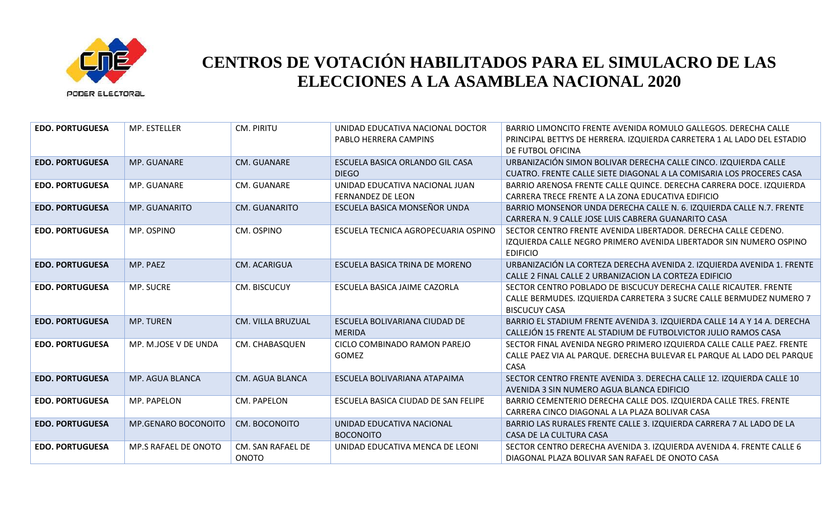

| <b>EDO. PORTUGUESA</b> | MP. ESTELLER         | CM. PIRITU                        | UNIDAD EDUCATIVA NACIONAL DOCTOR<br>PABLO HERRERA CAMPINS  | BARRIO LIMONCITO FRENTE AVENIDA ROMULO GALLEGOS. DERECHA CALLE<br>PRINCIPAL BETTYS DE HERRERA. IZQUIERDA CARRETERA 1 AL LADO DEL ESTADIO<br>DE FUTBOL OFICINA   |
|------------------------|----------------------|-----------------------------------|------------------------------------------------------------|-----------------------------------------------------------------------------------------------------------------------------------------------------------------|
| <b>EDO. PORTUGUESA</b> | MP. GUANARE          | <b>CM. GUANARE</b>                | ESCUELA BASICA ORLANDO GIL CASA<br><b>DIEGO</b>            | URBANIZACIÓN SIMON BOLIVAR DERECHA CALLE CINCO. IZQUIERDA CALLE<br>CUATRO. FRENTE CALLE SIETE DIAGONAL A LA COMISARIA LOS PROCERES CASA                         |
| <b>EDO. PORTUGUESA</b> | MP. GUANARE          | CM. GUANARE                       | UNIDAD EDUCATIVA NACIONAL JUAN<br><b>FERNANDEZ DE LEON</b> | BARRIO ARENOSA FRENTE CALLE QUINCE. DERECHA CARRERA DOCE. IZQUIERDA<br>CARRERA TRECE FRENTE A LA ZONA EDUCATIVA EDIFICIO                                        |
| <b>EDO. PORTUGUESA</b> | <b>MP. GUANARITO</b> | CM. GUANARITO                     | ESCUELA BASICA MONSEÑOR UNDA                               | BARRIO MONSENOR UNDA DERECHA CALLE N. 6. IZQUIERDA CALLE N.7. FRENTE<br>CARRERA N. 9 CALLE JOSE LUIS CABRERA GUANARITO CASA                                     |
| <b>EDO. PORTUGUESA</b> | MP. OSPINO           | CM. OSPINO                        | ESCUELA TECNICA AGROPECUARIA OSPINO                        | SECTOR CENTRO FRENTE AVENIDA LIBERTADOR. DERECHA CALLE CEDENO.<br>IZQUIERDA CALLE NEGRO PRIMERO AVENIDA LIBERTADOR SIN NUMERO OSPINO<br><b>EDIFICIO</b>         |
| <b>EDO. PORTUGUESA</b> | MP. PAEZ             | CM. ACARIGUA                      | ESCUELA BASICA TRINA DE MORENO                             | URBANIZACIÓN LA CORTEZA DERECHA AVENIDA 2. IZQUIERDA AVENIDA 1. FRENTE<br>CALLE 2 FINAL CALLE 2 URBANIZACION LA CORTEZA EDIFICIO                                |
| <b>EDO. PORTUGUESA</b> | MP. SUCRE            | CM. BISCUCUY                      | ESCUELA BASICA JAIME CAZORLA                               | SECTOR CENTRO POBLADO DE BISCUCUY DERECHA CALLE RICAUTER. FRENTE<br>CALLE BERMUDES. IZQUIERDA CARRETERA 3 SUCRE CALLE BERMUDEZ NUMERO 7<br><b>BISCUCUY CASA</b> |
| <b>EDO. PORTUGUESA</b> | <b>MP. TUREN</b>     | <b>CM. VILLA BRUZUAL</b>          | ESCUELA BOLIVARIANA CIUDAD DE<br><b>MERIDA</b>             | BARRIO EL STADIUM FRENTE AVENIDA 3. IZQUIERDA CALLE 14 A Y 14 A. DERECHA<br>CALLEJÓN 15 FRENTE AL STADIUM DE FUTBOLVICTOR JULIO RAMOS CASA                      |
| <b>EDO. PORTUGUESA</b> | MP. M.JOSE V DE UNDA | CM. CHABASQUEN                    | CICLO COMBINADO RAMON PAREJO<br>GOMEZ                      | SECTOR FINAL AVENIDA NEGRO PRIMERO IZQUIERDA CALLE CALLE PAEZ. FRENTE<br>CALLE PAEZ VIA AL PARQUE. DERECHA BULEVAR EL PARQUE AL LADO DEL PARQUE<br>CASA         |
| <b>EDO. PORTUGUESA</b> | MP. AGUA BLANCA      | CM. AGUA BLANCA                   | ESCUELA BOLIVARIANA ATAPAIMA                               | SECTOR CENTRO FRENTE AVENIDA 3. DERECHA CALLE 12. IZQUIERDA CALLE 10<br>AVENIDA 3 SIN NUMERO AGUA BLANCA EDIFICIO                                               |
| <b>EDO. PORTUGUESA</b> | MP. PAPELON          | CM. PAPELON                       | ESCUELA BASICA CIUDAD DE SAN FELIPE                        | BARRIO CEMENTERIO DERECHA CALLE DOS. IZQUIERDA CALLE TRES. FRENTE<br>CARRERA CINCO DIAGONAL A LA PLAZA BOLIVAR CASA                                             |
| <b>EDO. PORTUGUESA</b> | MP.GENARO BOCONOITO  | CM. BOCONOITO                     | UNIDAD EDUCATIVA NACIONAL<br><b>BOCONOITO</b>              | BARRIO LAS RURALES FRENTE CALLE 3. IZQUIERDA CARRERA 7 AL LADO DE LA<br>CASA DE LA CULTURA CASA                                                                 |
| <b>EDO. PORTUGUESA</b> | MP.S RAFAEL DE ONOTO | CM. SAN RAFAEL DE<br><b>ONOTO</b> | UNIDAD EDUCATIVA MENCA DE LEONI                            | SECTOR CENTRO DERECHA AVENIDA 3. IZQUIERDA AVENIDA 4. FRENTE CALLE 6<br>DIAGONAL PLAZA BOLIVAR SAN RAFAEL DE ONOTO CASA                                         |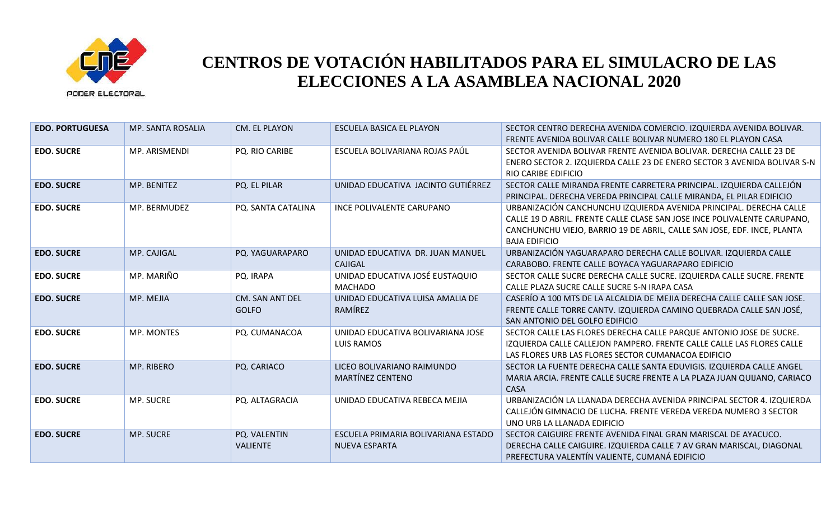

| <b>EDO. PORTUGUESA</b> | <b>MP. SANTA ROSALIA</b> | CM. EL PLAYON                   | ESCUELA BASICA EL PLAYON                                    | SECTOR CENTRO DERECHA AVENIDA COMERCIO. IZQUIERDA AVENIDA BOLIVAR.<br>FRENTE AVENIDA BOLIVAR CALLE BOLIVAR NUMERO 180 EL PLAYON CASA                                                                                                              |
|------------------------|--------------------------|---------------------------------|-------------------------------------------------------------|---------------------------------------------------------------------------------------------------------------------------------------------------------------------------------------------------------------------------------------------------|
| <b>EDO. SUCRE</b>      | MP. ARISMENDI            | PQ. RIO CARIBE                  | ESCUELA BOLIVARIANA ROJAS PAÚL                              | SECTOR AVENIDA BOLIVAR FRENTE AVENIDA BOLIVAR. DERECHA CALLE 23 DE<br>ENERO SECTOR 2. IZQUIERDA CALLE 23 DE ENERO SECTOR 3 AVENIDA BOLIVAR S-N<br><b>RIO CARIBE EDIFICIO</b>                                                                      |
| <b>EDO. SUCRE</b>      | MP. BENITEZ              | PQ. EL PILAR                    | UNIDAD EDUCATIVA JACINTO GUTIÉRREZ                          | SECTOR CALLE MIRANDA FRENTE CARRETERA PRINCIPAL. IZQUIERDA CALLEJÓN<br>PRINCIPAL. DERECHA VEREDA PRINCIPAL CALLE MIRANDA, EL PILAR EDIFICIO                                                                                                       |
| <b>EDO. SUCRE</b>      | MP. BERMUDEZ             | PQ. SANTA CATALINA              | INCE POLIVALENTE CARUPANO                                   | URBANIZACIÓN CANCHUNCHU IZQUIERDA AVENIDA PRINCIPAL. DERECHA CALLE<br>CALLE 19 D ABRIL. FRENTE CALLE CLASE SAN JOSE INCE POLIVALENTE CARUPANO,<br>CANCHUNCHU VIEJO, BARRIO 19 DE ABRIL, CALLE SAN JOSE, EDF. INCE, PLANTA<br><b>BAJA EDIFICIO</b> |
| <b>EDO. SUCRE</b>      | MP. CAJIGAL              | PQ. YAGUARAPARO                 | UNIDAD EDUCATIVA DR. JUAN MANUEL<br>CAJIGAL                 | URBANIZACIÓN YAGUARAPARO DERECHA CALLE BOLIVAR. IZQUIERDA CALLE<br>CARABOBO. FRENTE CALLE BOYACA YAGUARAPARO EDIFICIO                                                                                                                             |
| <b>EDO. SUCRE</b>      | MP. MARIÑO               | PQ. IRAPA                       | UNIDAD EDUCATIVA JOSÉ EUSTAQUIO<br><b>MACHADO</b>           | SECTOR CALLE SUCRE DERECHA CALLE SUCRE. IZQUIERDA CALLE SUCRE. FRENTE<br>CALLE PLAZA SUCRE CALLE SUCRE S-N IRAPA CASA                                                                                                                             |
| <b>EDO. SUCRE</b>      | MP. MEJIA                | CM. SAN ANT DEL<br><b>GOLFO</b> | UNIDAD EDUCATIVA LUISA AMALIA DE<br>RAMÍREZ                 | CASERÍO A 100 MTS DE LA ALCALDIA DE MEJIA DERECHA CALLE CALLE SAN JOSE.<br>FRENTE CALLE TORRE CANTV. IZQUIERDA CAMINO QUEBRADA CALLE SAN JOSÉ,<br>SAN ANTONIO DEL GOLFO EDIFICIO                                                                  |
| <b>EDO. SUCRE</b>      | MP. MONTES               | PQ. CUMANACOA                   | UNIDAD EDUCATIVA BOLIVARIANA JOSE<br><b>LUIS RAMOS</b>      | SECTOR CALLE LAS FLORES DERECHA CALLE PARQUE ANTONIO JOSE DE SUCRE.<br>IZQUIERDA CALLE CALLEJON PAMPERO. FRENTE CALLE CALLE LAS FLORES CALLE<br>LAS FLORES URB LAS FLORES SECTOR CUMANACOA EDIFICIO                                               |
| <b>EDO. SUCRE</b>      | MP. RIBERO               | PQ. CARIACO                     | LICEO BOLIVARIANO RAIMUNDO<br>MARTÍNEZ CENTENO              | SECTOR LA FUENTE DERECHA CALLE SANTA EDUVIGIS. IZQUIERDA CALLE ANGEL<br>MARIA ARCIA. FRENTE CALLE SUCRE FRENTE A LA PLAZA JUAN QUIJANO, CARIACO<br><b>CASA</b>                                                                                    |
| <b>EDO. SUCRE</b>      | MP. SUCRE                | PQ. ALTAGRACIA                  | UNIDAD EDUCATIVA REBECA MEJIA                               | URBANIZACIÓN LA LLANADA DERECHA AVENIDA PRINCIPAL SECTOR 4. IZQUIERDA<br>CALLEJÓN GIMNACIO DE LUCHA. FRENTE VEREDA VEREDA NUMERO 3 SECTOR<br>UNO URB LA LLANADA EDIFICIO                                                                          |
| <b>EDO. SUCRE</b>      | <b>MP. SUCRE</b>         | PQ. VALENTIN<br><b>VALIENTE</b> | ESCUELA PRIMARIA BOLIVARIANA ESTADO<br><b>NUEVA ESPARTA</b> | SECTOR CAIGUIRE FRENTE AVENIDA FINAL GRAN MARISCAL DE AYACUCO.<br>DERECHA CALLE CAIGUIRE. IZQUIERDA CALLE 7 AV GRAN MARISCAL, DIAGONAL<br>PREFECTURA VALENTÍN VALIENTE, CUMANÁ EDIFICIO                                                           |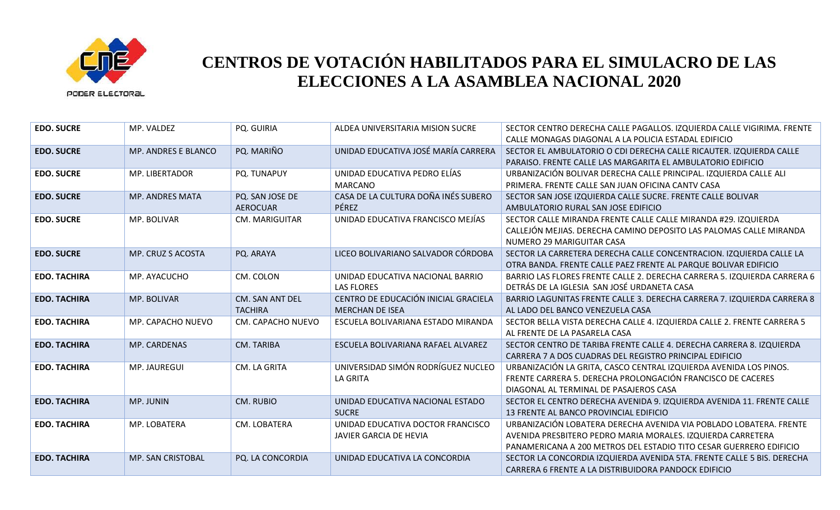

| <b>EDO. SUCRE</b>   | MP. VALDEZ                 | PQ. GUIRIA                         | ALDEA UNIVERSITARIA MISION SUCRE                               | SECTOR CENTRO DERECHA CALLE PAGALLOS. IZQUIERDA CALLE VIGIRIMA. FRENTE<br>CALLE MONAGAS DIAGONAL A LA POLICIA ESTADAL EDIFICIO                                                                          |
|---------------------|----------------------------|------------------------------------|----------------------------------------------------------------|---------------------------------------------------------------------------------------------------------------------------------------------------------------------------------------------------------|
| <b>EDO. SUCRE</b>   | <b>MP. ANDRES E BLANCO</b> | PQ. MARIÑO                         | UNIDAD EDUCATIVA JOSÉ MARÍA CARRERA                            | SECTOR EL AMBULATORIO O CDI DERECHA CALLE RICAUTER. IZQUIERDA CALLE<br>PARAISO. FRENTE CALLE LAS MARGARITA EL AMBULATORIO EDIFICIO                                                                      |
| <b>EDO. SUCRE</b>   | MP. LIBERTADOR             | PQ. TUNAPUY                        | UNIDAD EDUCATIVA PEDRO ELÍAS<br><b>MARCANO</b>                 | URBANIZACIÓN BOLIVAR DERECHA CALLE PRINCIPAL. IZQUIERDA CALLE ALI<br>PRIMERA. FRENTE CALLE SAN JUAN OFICINA CANTV CASA                                                                                  |
| <b>EDO. SUCRE</b>   | MP. ANDRES MATA            | PQ. SAN JOSE DE<br><b>AEROCUAR</b> | CASA DE LA CULTURA DOÑA INÉS SUBERO<br>PÉREZ                   | SECTOR SAN JOSE IZQUIERDA CALLE SUCRE. FRENTE CALLE BOLIVAR<br>AMBULATORIO RURAL SAN JOSE EDIFICIO                                                                                                      |
| <b>EDO. SUCRE</b>   | MP. BOLIVAR                | <b>CM. MARIGUITAR</b>              | UNIDAD EDUCATIVA FRANCISCO MEJÍAS                              | SECTOR CALLE MIRANDA FRENTE CALLE CALLE MIRANDA #29. IZQUIERDA<br>CALLEJÓN MEJIAS. DERECHA CAMINO DEPOSITO LAS PALOMAS CALLE MIRANDA<br>NUMERO 29 MARIGUITAR CASA                                       |
| <b>EDO. SUCRE</b>   | MP. CRUZ S ACOSTA          | PQ. ARAYA                          | LICEO BOLIVARIANO SALVADOR CÓRDOBA                             | SECTOR LA CARRETERA DERECHA CALLE CONCENTRACION. IZQUIERDA CALLE LA<br>OTRA BANDA. FRENTE CALLE PAEZ FRENTE AL PARQUE BOLIVAR EDIFICIO                                                                  |
| <b>EDO. TACHIRA</b> | MP. AYACUCHO               | CM. COLON                          | UNIDAD EDUCATIVA NACIONAL BARRIO<br><b>LAS FLORES</b>          | BARRIO LAS FLORES FRENTE CALLE 2. DERECHA CARRERA 5. IZQUIERDA CARRERA 6<br>DETRÁS DE LA IGLESIA SAN JOSÉ URDANETA CASA                                                                                 |
| <b>EDO. TACHIRA</b> | MP. BOLIVAR                | CM. SAN ANT DEL<br><b>TACHIRA</b>  | CENTRO DE EDUCACIÓN INICIAL GRACIELA<br><b>MERCHAN DE ISEA</b> | BARRIO LAGUNITAS FRENTE CALLE 3. DERECHA CARRERA 7. IZQUIERDA CARRERA 8<br>AL LADO DEL BANCO VENEZUELA CASA                                                                                             |
| <b>EDO. TACHIRA</b> | MP. CAPACHO NUEVO          | CM. CAPACHO NUEVO                  | ESCUELA BOLIVARIANA ESTADO MIRANDA                             | SECTOR BELLA VISTA DERECHA CALLE 4. IZQUIERDA CALLE 2. FRENTE CARRERA 5<br>AL FRENTE DE LA PASARELA CASA                                                                                                |
| <b>EDO. TACHIRA</b> | MP. CARDENAS               | CM. TARIBA                         | ESCUELA BOLIVARIANA RAFAEL ALVAREZ                             | SECTOR CENTRO DE TARIBA FRENTE CALLE 4. DERECHA CARRERA 8. IZQUIERDA<br>CARRERA 7 A DOS CUADRAS DEL REGISTRO PRINCIPAL EDIFICIO                                                                         |
| <b>EDO. TACHIRA</b> | MP. JAUREGUI               | CM. LA GRITA                       | UNIVERSIDAD SIMÓN RODRÍGUEZ NUCLEO<br><b>LA GRITA</b>          | URBANIZACIÓN LA GRITA, CASCO CENTRAL IZQUIERDA AVENIDA LOS PINOS.<br>FRENTE CARRERA 5. DERECHA PROLONGACIÓN FRANCISCO DE CACERES<br>DIAGONAL AL TERMINAL DE PASAJEROS CASA                              |
| <b>EDO. TACHIRA</b> | MP. JUNIN                  | <b>CM. RUBIO</b>                   | UNIDAD EDUCATIVA NACIONAL ESTADO<br><b>SUCRE</b>               | SECTOR EL CENTRO DERECHA AVENIDA 9. IZQUIERDA AVENIDA 11. FRENTE CALLE<br>13 FRENTE AL BANCO PROVINCIAL EDIFICIO                                                                                        |
| <b>EDO. TACHIRA</b> | MP. LOBATERA               | CM. LOBATERA                       | UNIDAD EDUCATIVA DOCTOR FRANCISCO<br>JAVIER GARCIA DE HEVIA    | URBANIZACIÓN LOBATERA DERECHA AVENIDA VIA POBLADO LOBATERA. FRENTE<br>AVENIDA PRESBITERO PEDRO MARIA MORALES. IZQUIERDA CARRETERA<br>PANAMERICANA A 200 METROS DEL ESTADIO TITO CESAR GUERRERO EDIFICIO |
| <b>EDO. TACHIRA</b> | MP. SAN CRISTOBAL          | PQ. LA CONCORDIA                   | UNIDAD EDUCATIVA LA CONCORDIA                                  | SECTOR LA CONCORDIA IZQUIERDA AVENIDA 5TA. FRENTE CALLE 5 BIS. DERECHA<br>CARRERA 6 FRENTE A LA DISTRIBUIDORA PANDOCK EDIFICIO                                                                          |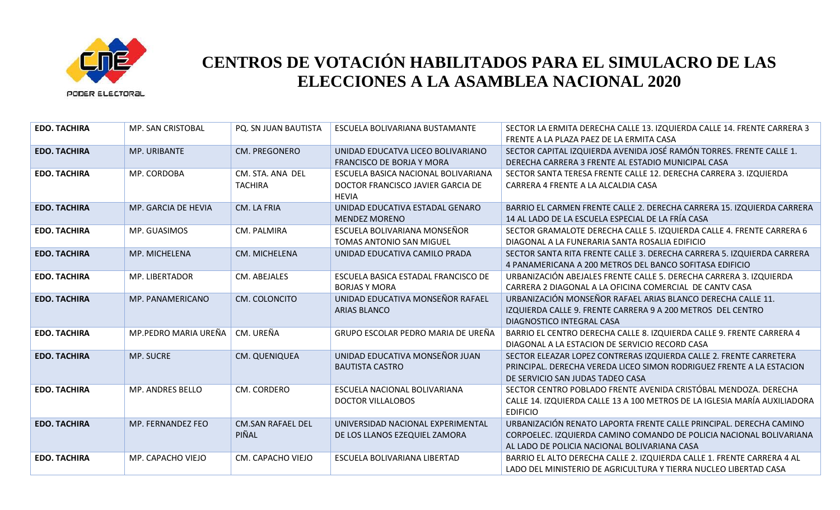

| <b>EDO. TACHIRA</b> | MP. SAN CRISTOBAL    | PQ. SN JUAN BAUTISTA               | ESCUELA BOLIVARIANA BUSTAMANTE                                                           | SECTOR LA ERMITA DERECHA CALLE 13. IZQUIERDA CALLE 14. FRENTE CARRERA 3<br>FRENTE A LA PLAZA PAEZ DE LA ERMITA CASA                                                                       |
|---------------------|----------------------|------------------------------------|------------------------------------------------------------------------------------------|-------------------------------------------------------------------------------------------------------------------------------------------------------------------------------------------|
| <b>EDO. TACHIRA</b> | MP. URIBANTE         | <b>CM. PREGONERO</b>               | UNIDAD EDUCATVA LICEO BOLIVARIANO<br><b>FRANCISCO DE BORJA Y MORA</b>                    | SECTOR CAPITAL IZQUIERDA AVENIDA JOSÉ RAMÓN TORRES. FRENTE CALLE 1.<br>DERECHA CARRERA 3 FRENTE AL ESTADIO MUNICIPAL CASA                                                                 |
| <b>EDO. TACHIRA</b> | MP. CORDOBA          | CM. STA. ANA DEL<br><b>TACHIRA</b> | ESCUELA BASICA NACIONAL BOLIVARIANA<br>DOCTOR FRANCISCO JAVIER GARCIA DE<br><b>HEVIA</b> | SECTOR SANTA TERESA FRENTE CALLE 12. DERECHA CARRERA 3. IZQUIERDA<br>CARRERA 4 FRENTE A LA ALCALDIA CASA                                                                                  |
| <b>EDO. TACHIRA</b> | MP. GARCIA DE HEVIA  | CM. LA FRIA                        | UNIDAD EDUCATIVA ESTADAL GENARO<br><b>MENDEZ MORENO</b>                                  | BARRIO EL CARMEN FRENTE CALLE 2. DERECHA CARRERA 15. IZQUIERDA CARRERA<br>14 AL LADO DE LA ESCUELA ESPECIAL DE LA FRÍA CASA                                                               |
| <b>EDO. TACHIRA</b> | MP. GUASIMOS         | CM. PALMIRA                        | ESCUELA BOLIVARIANA MONSEÑOR<br>TOMAS ANTONIO SAN MIGUEL                                 | SECTOR GRAMALOTE DERECHA CALLE 5. IZQUIERDA CALLE 4. FRENTE CARRERA 6<br>DIAGONAL A LA FUNERARIA SANTA ROSALIA EDIFICIO                                                                   |
| <b>EDO. TACHIRA</b> | MP. MICHELENA        | CM. MICHELENA                      | UNIDAD EDUCATIVA CAMILO PRADA                                                            | SECTOR SANTA RITA FRENTE CALLE 3. DERECHA CARRERA 5. IZQUIERDA CARRERA<br>4 PANAMERICANA A 200 METROS DEL BANCO SOFITASA EDIFICIO                                                         |
| <b>EDO. TACHIRA</b> | MP. LIBERTADOR       | CM. ABEJALES                       | ESCUELA BASICA ESTADAL FRANCISCO DE<br><b>BORJAS Y MORA</b>                              | URBANIZACIÓN ABEJALES FRENTE CALLE 5. DERECHA CARRERA 3. IZQUIERDA<br>CARRERA 2 DIAGONAL A LA OFICINA COMERCIAL DE CANTV CASA                                                             |
| <b>EDO. TACHIRA</b> | MP. PANAMERICANO     | CM. COLONCITO                      | UNIDAD EDUCATIVA MONSEÑOR RAFAEL<br><b>ARIAS BLANCO</b>                                  | URBANIZACIÓN MONSEÑOR RAFAEL ARIAS BLANCO DERECHA CALLE 11.<br>IZQUIERDA CALLE 9. FRENTE CARRERA 9 A 200 METROS DEL CENTRO<br>DIAGNOSTICO INTEGRAL CASA                                   |
| <b>EDO. TACHIRA</b> | MP.PEDRO MARIA UREÑA | CM. UREÑA                          | GRUPO ESCOLAR PEDRO MARIA DE UREÑA                                                       | BARRIO EL CENTRO DERECHA CALLE 8. IZQUIERDA CALLE 9. FRENTE CARRERA 4<br>DIAGONAL A LA ESTACION DE SERVICIO RECORD CASA                                                                   |
| <b>EDO. TACHIRA</b> | MP. SUCRE            | CM. QUENIQUEA                      | UNIDAD EDUCATIVA MONSEÑOR JUAN<br><b>BAUTISTA CASTRO</b>                                 | SECTOR ELEAZAR LOPEZ CONTRERAS IZQUIERDA CALLE 2. FRENTE CARRETERA<br>PRINCIPAL. DERECHA VEREDA LICEO SIMON RODRIGUEZ FRENTE A LA ESTACION<br>DE SERVICIO SAN JUDAS TADEO CASA            |
| <b>EDO. TACHIRA</b> | MP. ANDRES BELLO     | CM. CORDERO                        | ESCUELA NACIONAL BOLIVARIANA<br><b>DOCTOR VILLALOBOS</b>                                 | SECTOR CENTRO POBLADO FRENTE AVENIDA CRISTÓBAL MENDOZA. DERECHA<br>CALLE 14. IZQUIERDA CALLE 13 A 100 METROS DE LA IGLESIA MARÍA AUXILIADORA<br><b>EDIFICIO</b>                           |
| <b>EDO. TACHIRA</b> | MP. FERNANDEZ FEO    | <b>CM.SAN RAFAEL DEL</b><br>PIÑAL  | UNIVERSIDAD NACIONAL EXPERIMENTAL<br>DE LOS LLANOS EZEQUIEL ZAMORA                       | URBANIZACIÓN RENATO LAPORTA FRENTE CALLE PRINCIPAL. DERECHA CAMINO<br>CORPOELEC. IZQUIERDA CAMINO COMANDO DE POLICIA NACIONAL BOLIVARIANA<br>AL LADO DE POLICIA NACIONAL BOLIVARIANA CASA |
| <b>EDO. TACHIRA</b> | MP. CAPACHO VIEJO    | CM. CAPACHO VIEJO                  | ESCUELA BOLIVARIANA LIBERTAD                                                             | BARRIO EL ALTO DERECHA CALLE 2. IZQUIERDA CALLE 1. FRENTE CARRERA 4 AL<br>LADO DEL MINISTERIO DE AGRICULTURA Y TIERRA NUCLEO LIBERTAD CASA                                                |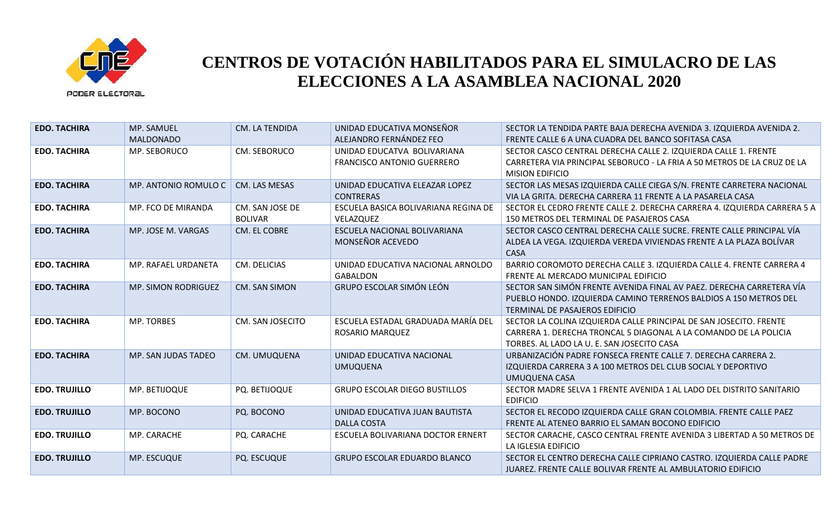

| <b>EDO. TACHIRA</b>  | MP. SAMUEL<br><b>MALDONADO</b> | CM. LA TENDIDA                    | UNIDAD EDUCATIVA MONSEÑOR<br>ALEJANDRO FERNÁNDEZ FEO      | SECTOR LA TENDIDA PARTE BAJA DERECHA AVENIDA 3. IZQUIERDA AVENIDA 2.<br>FRENTE CALLE 6 A UNA CUADRA DEL BANCO SOFITASA CASA                                                          |
|----------------------|--------------------------------|-----------------------------------|-----------------------------------------------------------|--------------------------------------------------------------------------------------------------------------------------------------------------------------------------------------|
| <b>EDO. TACHIRA</b>  | MP. SEBORUCO                   | CM. SEBORUCO                      | UNIDAD EDUCATVA BOLIVARIANA<br>FRANCISCO ANTONIO GUERRERO | SECTOR CASCO CENTRAL DERECHA CALLE 2. IZQUIERDA CALLE 1. FRENTE<br>CARRETERA VIA PRINCIPAL SEBORUCO - LA FRIA A 50 METROS DE LA CRUZ DE LA<br><b>MISION EDIFICIO</b>                 |
| <b>EDO. TACHIRA</b>  | MP. ANTONIO ROMULO C           | CM. LAS MESAS                     | UNIDAD EDUCATIVA ELEAZAR LOPEZ<br><b>CONTRERAS</b>        | SECTOR LAS MESAS IZQUIERDA CALLE CIEGA S/N. FRENTE CARRETERA NACIONAL<br>VIA LA GRITA. DERECHA CARRERA 11 FRENTE A LA PASARELA CASA                                                  |
| <b>EDO. TACHIRA</b>  | MP. FCO DE MIRANDA             | CM. SAN JOSE DE<br><b>BOLIVAR</b> | ESCUELA BASICA BOLIVARIANA REGINA DE<br>VELAZQUEZ         | SECTOR EL CEDRO FRENTE CALLE 2. DERECHA CARRERA 4. IZQUIERDA CARRERA 5 A<br>150 METROS DEL TERMINAL DE PASAJEROS CASA                                                                |
| <b>EDO. TACHIRA</b>  | MP. JOSE M. VARGAS             | CM. EL COBRE                      | ESCUELA NACIONAL BOLIVARIANA<br>MONSEÑOR ACEVEDO          | SECTOR CASCO CENTRAL DERECHA CALLE SUCRE. FRENTE CALLE PRINCIPAL VÍA<br>ALDEA LA VEGA. IZQUIERDA VEREDA VIVIENDAS FRENTE A LA PLAZA BOLÍVAR<br><b>CASA</b>                           |
| <b>EDO. TACHIRA</b>  | MP. RAFAEL URDANETA            | CM. DELICIAS                      | UNIDAD EDUCATIVA NACIONAL ARNOLDO<br><b>GABALDON</b>      | BARRIO COROMOTO DERECHA CALLE 3. IZQUIERDA CALLE 4. FRENTE CARRERA 4<br>FRENTE AL MERCADO MUNICIPAL EDIFICIO                                                                         |
| <b>EDO. TACHIRA</b>  | <b>MP. SIMON RODRIGUEZ</b>     | CM. SAN SIMON                     | <b>GRUPO ESCOLAR SIMÓN LEÓN</b>                           | SECTOR SAN SIMÓN FRENTE AVENIDA FINAL AV PAEZ. DERECHA CARRETERA VÍA<br>PUEBLO HONDO. IZQUIERDA CAMINO TERRENOS BALDIOS A 150 METROS DEL<br>TERMINAL DE PASAJEROS EDIFICIO           |
| <b>EDO. TACHIRA</b>  | <b>MP. TORBES</b>              | CM. SAN JOSECITO                  | ESCUELA ESTADAL GRADUADA MARÍA DEL<br>ROSARIO MARQUEZ     | SECTOR LA COLINA IZQUIERDA CALLE PRINCIPAL DE SAN JOSECITO. FRENTE<br>CARRERA 1. DERECHA TRONCAL 5 DIAGONAL A LA COMANDO DE LA POLICIA<br>TORBES. AL LADO LA U. E. SAN JOSECITO CASA |
| <b>EDO. TACHIRA</b>  | MP. SAN JUDAS TADEO            | CM. UMUQUENA                      | UNIDAD EDUCATIVA NACIONAL<br><b>UMUQUENA</b>              | URBANIZACIÓN PADRE FONSECA FRENTE CALLE 7. DERECHA CARRERA 2.<br>IZQUIERDA CARRERA 3 A 100 METROS DEL CLUB SOCIAL Y DEPORTIVO<br>UMUQUENA CASA                                       |
| <b>EDO. TRUJILLO</b> | MP. BETIJOQUE                  | PQ. BETIJOQUE                     | <b>GRUPO ESCOLAR DIEGO BUSTILLOS</b>                      | SECTOR MADRE SELVA 1 FRENTE AVENIDA 1 AL LADO DEL DISTRITO SANITARIO<br><b>EDIFICIO</b>                                                                                              |
| <b>EDO. TRUJILLO</b> | MP. BOCONO                     | PQ. BOCONO                        | UNIDAD EDUCATIVA JUAN BAUTISTA<br><b>DALLA COSTA</b>      | SECTOR EL RECODO IZQUIERDA CALLE GRAN COLOMBIA. FRENTE CALLE PAEZ<br>FRENTE AL ATENEO BARRIO EL SAMAN BOCONO EDIFICIO                                                                |
| <b>EDO. TRUJILLO</b> | MP. CARACHE                    | PQ. CARACHE                       | ESCUELA BOLIVARIANA DOCTOR ERNERT                         | SECTOR CARACHE, CASCO CENTRAL FRENTE AVENIDA 3 LIBERTAD A 50 METROS DE<br>LA IGLESIA EDIFICIO                                                                                        |
| <b>EDO. TRUJILLO</b> | MP. ESCUQUE                    | PQ. ESCUQUE                       | <b>GRUPO ESCOLAR EDUARDO BLANCO</b>                       | SECTOR EL CENTRO DERECHA CALLE CIPRIANO CASTRO. IZQUIERDA CALLE PADRE<br>JUAREZ. FRENTE CALLE BOLIVAR FRENTE AL AMBULATORIO EDIFICIO                                                 |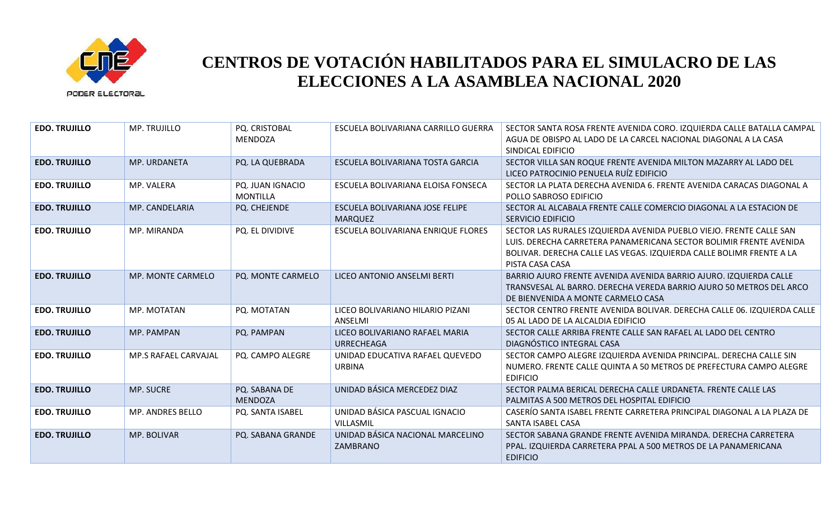

| <b>EDO. TRUJILLO</b> | MP. TRUJILLO             | PQ. CRISTOBAL<br><b>MENDOZA</b>     | ESCUELA BOLIVARIANA CARRILLO GUERRA                 | SECTOR SANTA ROSA FRENTE AVENIDA CORO. IZQUIERDA CALLE BATALLA CAMPAL<br>AGUA DE OBISPO AL LADO DE LA CARCEL NACIONAL DIAGONAL A LA CASA<br>SINDICAL EDIFICIO                                                                        |
|----------------------|--------------------------|-------------------------------------|-----------------------------------------------------|--------------------------------------------------------------------------------------------------------------------------------------------------------------------------------------------------------------------------------------|
| <b>EDO. TRUJILLO</b> | MP. URDANETA             | PQ. LA QUEBRADA                     | ESCUELA BOLIVARIANA TOSTA GARCIA                    | SECTOR VILLA SAN ROQUE FRENTE AVENIDA MILTON MAZARRY AL LADO DEL<br>LICEO PATROCINIO PENUELA RUÍZ EDIFICIO                                                                                                                           |
| <b>EDO. TRUJILLO</b> | MP. VALERA               | PQ. JUAN IGNACIO<br><b>MONTILLA</b> | ESCUELA BOLIVARIANA ELOISA FONSECA                  | SECTOR LA PLATA DERECHA AVENIDA 6. FRENTE AVENIDA CARACAS DIAGONAL A<br>POLLO SABROSO EDIFICIO                                                                                                                                       |
| <b>EDO. TRUJILLO</b> | MP. CANDELARIA           | PQ. CHEJENDE                        | ESCUELA BOLIVARIANA JOSE FELIPE<br><b>MARQUEZ</b>   | SECTOR AL ALCABALA FRENTE CALLE COMERCIO DIAGONAL A LA ESTACION DE<br><b>SERVICIO EDIFICIO</b>                                                                                                                                       |
| <b>EDO. TRUJILLO</b> | MP. MIRANDA              | PQ. EL DIVIDIVE                     | ESCUELA BOLIVARIANA ENRIQUE FLORES                  | SECTOR LAS RURALES IZQUIERDA AVENIDA PUEBLO VIEJO. FRENTE CALLE SAN<br>LUIS. DERECHA CARRETERA PANAMERICANA SECTOR BOLIMIR FRENTE AVENIDA<br>BOLIVAR. DERECHA CALLE LAS VEGAS. IZQUIERDA CALLE BOLIMR FRENTE A LA<br>PISTA CASA CASA |
| <b>EDO. TRUJILLO</b> | <b>MP. MONTE CARMELO</b> | PQ. MONTE CARMELO                   | LICEO ANTONIO ANSELMI BERTI                         | BARRIO AJURO FRENTE AVENIDA AVENIDA BARRIO AJURO. IZQUIERDA CALLE<br>TRANSVESAL AL BARRO. DERECHA VEREDA BARRIO AJURO 50 METROS DEL ARCO<br>DE BIENVENIDA A MONTE CARMELO CASA                                                       |
| <b>EDO. TRUJILLO</b> | MP. MOTATAN              | PQ. MOTATAN                         | LICEO BOLIVARIANO HILARIO PIZANI<br>ANSELMI         | SECTOR CENTRO FRENTE AVENIDA BOLIVAR. DERECHA CALLE 06. IZQUIERDA CALLE<br>05 AL LADO DE LA ALCALDIA EDIFICIO                                                                                                                        |
| <b>EDO. TRUJILLO</b> | MP. PAMPAN               | PQ. PAMPAN                          | LICEO BOLIVARIANO RAFAEL MARIA<br><b>URRECHEAGA</b> | SECTOR CALLE ARRIBA FRENTE CALLE SAN RAFAEL AL LADO DEL CENTRO<br>DIAGNÓSTICO INTEGRAL CASA                                                                                                                                          |
| <b>EDO. TRUJILLO</b> | MP.S RAFAEL CARVAJAL     | PQ. CAMPO ALEGRE                    | UNIDAD EDUCATIVA RAFAEL QUEVEDO<br><b>URBINA</b>    | SECTOR CAMPO ALEGRE IZQUIERDA AVENIDA PRINCIPAL. DERECHA CALLE SIN<br>NUMERO. FRENTE CALLE QUINTA A 50 METROS DE PREFECTURA CAMPO ALEGRE<br><b>EDIFICIO</b>                                                                          |
| <b>EDO. TRUJILLO</b> | MP. SUCRE                | PQ. SABANA DE<br><b>MENDOZA</b>     | UNIDAD BÁSICA MERCEDEZ DIAZ                         | SECTOR PALMA BERICAL DERECHA CALLE URDANETA. FRENTE CALLE LAS<br>PALMITAS A 500 METROS DEL HOSPITAL EDIFICIO                                                                                                                         |
| <b>EDO. TRUJILLO</b> | MP. ANDRES BELLO         | PQ. SANTA ISABEL                    | UNIDAD BÁSICA PASCUAL IGNACIO<br>VILLASMIL          | CASERÍO SANTA ISABEL FRENTE CARRETERA PRINCIPAL DIAGONAL A LA PLAZA DE<br>SANTA ISABEL CASA                                                                                                                                          |
| <b>EDO. TRUJILLO</b> | MP. BOLIVAR              | PQ. SABANA GRANDE                   | UNIDAD BÁSICA NACIONAL MARCELINO<br>ZAMBRANO        | SECTOR SABANA GRANDE FRENTE AVENIDA MIRANDA, DERECHA CARRETERA<br>PPAL. IZQUIERDA CARRETERA PPAL A 500 METROS DE LA PANAMERICANA<br><b>EDIFICIO</b>                                                                                  |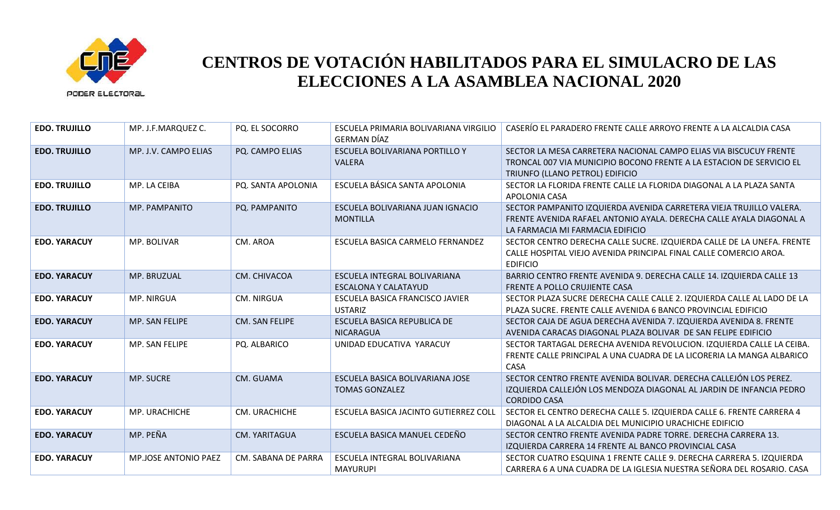

| <b>EDO. TRUJILLO</b> | MP. J.F.MARQUEZ C.          | <b>PQ. EL SOCORRO</b> | ESCUELA PRIMARIA BOLIVARIANA VIRGILIO<br><b>GERMAN DÍAZ</b> | CASERÍO EL PARADERO FRENTE CALLE ARROYO FRENTE A LA ALCALDIA CASA                                                                                                              |
|----------------------|-----------------------------|-----------------------|-------------------------------------------------------------|--------------------------------------------------------------------------------------------------------------------------------------------------------------------------------|
| <b>EDO. TRUJILLO</b> | MP. J.V. CAMPO ELIAS        | PQ. CAMPO ELIAS       | ESCUELA BOLIVARIANA PORTILLO Y<br><b>VALERA</b>             | SECTOR LA MESA CARRETERA NACIONAL CAMPO ELIAS VIA BISCUCUY FRENTE<br>TRONCAL 007 VIA MUNICIPIO BOCONO FRENTE A LA ESTACION DE SERVICIO EL<br>TRIUNFO (LLANO PETROL) EDIFICIO   |
| <b>EDO. TRUJILLO</b> | MP. LA CEIBA                | PQ. SANTA APOLONIA    | ESCUELA BÁSICA SANTA APOLONIA                               | SECTOR LA FLORIDA FRENTE CALLE LA FLORIDA DIAGONAL A LA PLAZA SANTA<br>APOLONIA CASA                                                                                           |
| <b>EDO. TRUJILLO</b> | MP. PAMPANITO               | PQ. PAMPANITO         | ESCUELA BOLIVARIANA JUAN IGNACIO<br><b>MONTILLA</b>         | SECTOR PAMPANITO IZQUIERDA AVENIDA CARRETERA VIEJA TRUJILLO VALERA.<br>FRENTE AVENIDA RAFAEL ANTONIO AYALA. DERECHA CALLE AYALA DIAGONAL A<br>LA FARMACIA MI FARMACIA EDIFICIO |
| <b>EDO. YARACUY</b>  | MP. BOLIVAR                 | CM. AROA              | ESCUELA BASICA CARMELO FERNANDEZ                            | SECTOR CENTRO DERECHA CALLE SUCRE. IZQUIERDA CALLE DE LA UNEFA. FRENTE<br>CALLE HOSPITAL VIEJO AVENIDA PRINCIPAL FINAL CALLE COMERCIO AROA.<br><b>EDIFICIO</b>                 |
| <b>EDO. YARACUY</b>  | MP. BRUZUAL                 | CM. CHIVACOA          | ESCUELA INTEGRAL BOLIVARIANA<br><b>ESCALONA Y CALATAYUD</b> | BARRIO CENTRO FRENTE AVENIDA 9. DERECHA CALLE 14. IZQUIERDA CALLE 13<br>FRENTE A POLLO CRUJIENTE CASA                                                                          |
| <b>EDO. YARACUY</b>  | MP. NIRGUA                  | <b>CM. NIRGUA</b>     | ESCUELA BASICA FRANCISCO JAVIER<br><b>USTARIZ</b>           | SECTOR PLAZA SUCRE DERECHA CALLE CALLE 2. IZQUIERDA CALLE AL LADO DE LA<br>PLAZA SUCRE. FRENTE CALLE AVENIDA 6 BANCO PROVINCIAL EDIFICIO                                       |
| <b>EDO. YARACUY</b>  | MP. SAN FELIPE              | CM. SAN FELIPE        | ESCUELA BASICA REPUBLICA DE<br><b>NICARAGUA</b>             | SECTOR CAJA DE AGUA DERECHA AVENIDA 7. IZQUIERDA AVENIDA 8. FRENTE<br>AVENIDA CARACAS DIAGONAL PLAZA BOLIVAR DE SAN FELIPE EDIFICIO                                            |
| <b>EDO. YARACUY</b>  | MP. SAN FELIPE              | PQ. ALBARICO          | UNIDAD EDUCATIVA YARACUY                                    | SECTOR TARTAGAL DERECHA AVENIDA REVOLUCION. IZQUIERDA CALLE LA CEIBA.<br>FRENTE CALLE PRINCIPAL A UNA CUADRA DE LA LICORERIA LA MANGA ALBARICO<br><b>CASA</b>                  |
| <b>EDO. YARACUY</b>  | <b>MP. SUCRE</b>            | CM. GUAMA             | ESCUELA BASICA BOLIVARIANA JOSE<br><b>TOMAS GONZALEZ</b>    | SECTOR CENTRO FRENTE AVENIDA BOLIVAR. DERECHA CALLEJÓN LOS PEREZ.<br>IZQUIERDA CALLEJÓN LOS MENDOZA DIAGONAL AL JARDIN DE INFANCIA PEDRO<br><b>CORDIDO CASA</b>                |
| <b>EDO. YARACUY</b>  | MP. URACHICHE               | CM. URACHICHE         | ESCUELA BASICA JACINTO GUTIERREZ COLL                       | SECTOR EL CENTRO DERECHA CALLE 5. IZQUIERDA CALLE 6. FRENTE CARRERA 4<br>DIAGONAL A LA ALCALDIA DEL MUNICIPIO URACHICHE EDIFICIO                                               |
| <b>EDO. YARACUY</b>  | MP. PEÑA                    | <b>CM. YARITAGUA</b>  | ESCUELA BASICA MANUEL CEDEÑO                                | SECTOR CENTRO FRENTE AVENIDA PADRE TORRE. DERECHA CARRERA 13.<br>IZQUIERDA CARRERA 14 FRENTE AL BANCO PROVINCIAL CASA                                                          |
| <b>EDO. YARACUY</b>  | <b>MP.JOSE ANTONIO PAEZ</b> | CM. SABANA DE PARRA   | ESCUELA INTEGRAL BOLIVARIANA<br><b>MAYURUPI</b>             | SECTOR CUATRO ESQUINA 1 FRENTE CALLE 9. DERECHA CARRERA 5. IZQUIERDA<br>CARRERA 6 A UNA CUADRA DE LA IGLESIA NUESTRA SEÑORA DEL ROSARIO. CASA                                  |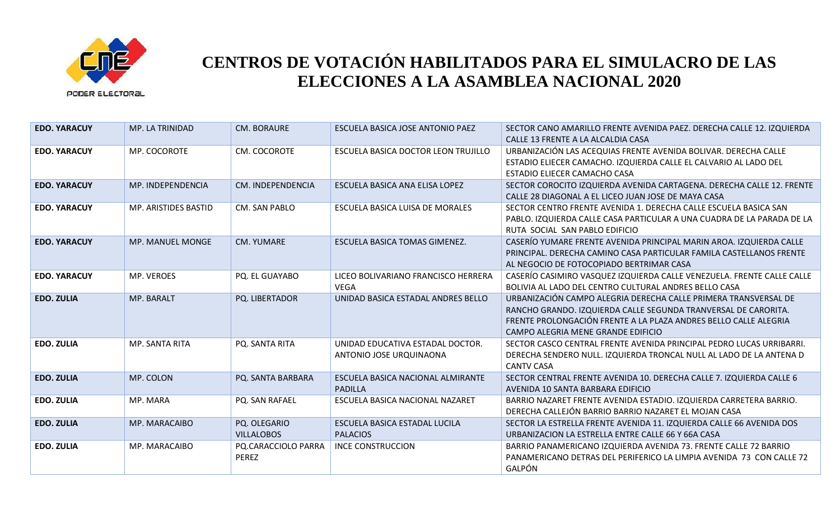

| <b>EDO. YARACUY</b> | MP. LA TRINIDAD      | <b>CM. BORAURE</b>                | ESCUELA BASICA JOSE ANTONIO PAEZ                            | SECTOR CANO AMARILLO FRENTE AVENIDA PAEZ. DERECHA CALLE 12. IZQUIERDA<br>CALLE 13 FRENTE A LA ALCALDIA CASA                                                                                                                                 |
|---------------------|----------------------|-----------------------------------|-------------------------------------------------------------|---------------------------------------------------------------------------------------------------------------------------------------------------------------------------------------------------------------------------------------------|
| <b>EDO. YARACUY</b> | MP. COCOROTE         | CM. COCOROTE                      | ESCUELA BASICA DOCTOR LEON TRUJILLO                         | URBANIZACIÓN LAS ACEQUIAS FRENTE AVENIDA BOLIVAR. DERECHA CALLE<br>ESTADIO ELIECER CAMACHO. IZQUIERDA CALLE EL CALVARIO AL LADO DEL<br>ESTADIO ELIECER CAMACHO CASA                                                                         |
| <b>EDO. YARACUY</b> | MP. INDEPENDENCIA    | CM. INDEPENDENCIA                 | ESCUELA BASICA ANA ELISA LOPEZ                              | SECTOR COROCITO IZQUIERDA AVENIDA CARTAGENA. DERECHA CALLE 12. FRENTE<br>CALLE 28 DIAGONAL A EL LICEO JUAN JOSE DE MAYA CASA                                                                                                                |
| <b>EDO. YARACUY</b> | MP. ARISTIDES BASTID | CM. SAN PABLO                     | ESCUELA BASICA LUISA DE MORALES                             | SECTOR CENTRO FRENTE AVENIDA 1. DERECHA CALLE ESCUELA BASICA SAN<br>PABLO. IZQUIERDA CALLE CASA PARTICULAR A UNA CUADRA DE LA PARADA DE LA<br>RUTA SOCIAL SAN PABLO EDIFICIO                                                                |
| <b>EDO. YARACUY</b> | MP. MANUEL MONGE     | <b>CM. YUMARE</b>                 | <b>ESCUELA BASICA TOMAS GIMENEZ.</b>                        | CASERÍO YUMARE FRENTE AVENIDA PRINCIPAL MARIN AROA. IZQUIERDA CALLE<br>PRINCIPAL. DERECHA CAMINO CASA PARTICULAR FAMILA CASTELLANOS FRENTE<br>AL NEGOCIO DE FOTOCOPIADO BERTRIMAR CASA                                                      |
| <b>EDO. YARACUY</b> | MP. VEROES           | PQ. EL GUAYABO                    | LICEO BOLIVARIANO FRANCISCO HERRERA<br><b>VEGA</b>          | CASERÍO CASIMIRO VASQUEZ IZQUIERDA CALLE VENEZUELA. FRENTE CALLE CALLE<br>BOLIVIA AL LADO DEL CENTRO CULTURAL ANDRES BELLO CASA                                                                                                             |
| <b>EDO. ZULIA</b>   | MP. BARALT           | PQ. LIBERTADOR                    | UNIDAD BASICA ESTADAL ANDRES BELLO                          | URBANIZACIÓN CAMPO ALEGRIA DERECHA CALLE PRIMERA TRANSVERSAL DE<br>RANCHO GRANDO. IZQUIERDA CALLE SEGUNDA TRANVERSAL DE CARORITA.<br>FRENTE PROLONGACIÓN FRENTE A LA PLAZA ANDRES BELLO CALLE ALEGRIA<br>CAMPO ALEGRIA MENE GRANDE EDIFICIO |
| <b>EDO. ZULIA</b>   | MP. SANTA RITA       | PQ. SANTA RITA                    | UNIDAD EDUCATIVA ESTADAL DOCTOR.<br>ANTONIO JOSE URQUINAONA | SECTOR CASCO CENTRAL FRENTE AVENIDA PRINCIPAL PEDRO LUCAS URRIBARRI.<br>DERECHA SENDERO NULL. IZQUIERDA TRONCAL NULL AL LADO DE LA ANTENA D<br><b>CANTV CASA</b>                                                                            |
| <b>EDO. ZULIA</b>   | MP. COLON            | PQ. SANTA BARBARA                 | ESCUELA BASICA NACIONAL ALMIRANTE<br>PADILLA                | SECTOR CENTRAL FRENTE AVENIDA 10. DERECHA CALLE 7. IZQUIERDA CALLE 6<br>AVENIDA 10 SANTA BARBARA EDIFICIO                                                                                                                                   |
| <b>EDO. ZULIA</b>   | MP. MARA             | PQ. SAN RAFAEL                    | ESCUELA BASICA NACIONAL NAZARET                             | BARRIO NAZARET FRENTE AVENIDA ESTADIO. IZQUIERDA CARRETERA BARRIO.<br>DERECHA CALLEJÓN BARRIO BARRIO NAZARET EL MOJAN CASA                                                                                                                  |
| <b>EDO. ZULIA</b>   | MP. MARACAIBO        | PQ. OLEGARIO<br><b>VILLALOBOS</b> | ESCUELA BASICA ESTADAL LUCILA<br><b>PALACIOS</b>            | SECTOR LA ESTRELLA FRENTE AVENIDA 11. IZQUIERDA CALLE 66 AVENIDA DOS<br>URBANIZACION LA ESTRELLA ENTRE CALLE 66 Y 66A CASA                                                                                                                  |
| <b>EDO. ZULIA</b>   | MP. MARACAIBO        | PQ.CARACCIOLO PARRA<br>PEREZ      | <b>INCE CONSTRUCCION</b>                                    | BARRIO PANAMERICANO IZQUIERDA AVENIDA 73. FRENTE CALLE 72 BARRIO<br>PANAMERICANO DETRAS DEL PERIFERICO LA LIMPIA AVENIDA 73 CON CALLE 72<br>GALPÓN                                                                                          |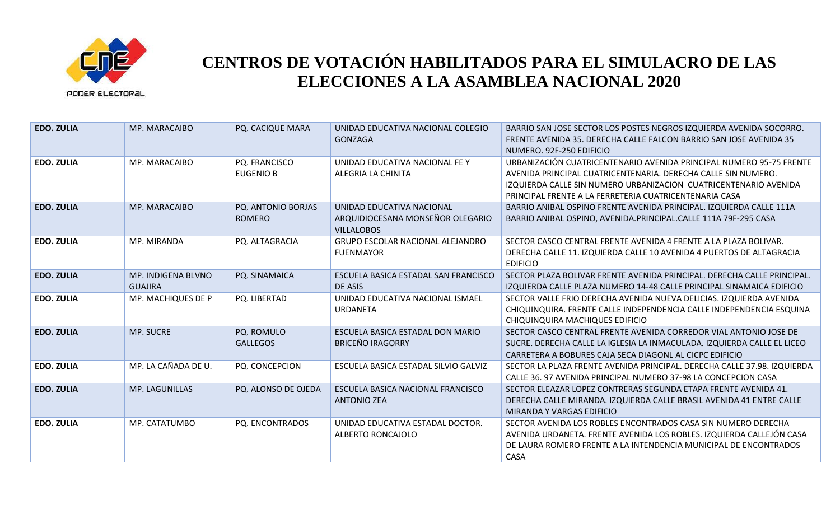

| <b>EDO. ZULIA</b> | MP. MARACAIBO                        | PQ. CACIQUE MARA                    | UNIDAD EDUCATIVA NACIONAL COLEGIO<br><b>GONZAGA</b>                                | BARRIO SAN JOSE SECTOR LOS POSTES NEGROS IZQUIERDA AVENIDA SOCORRO.<br>FRENTE AVENIDA 35. DERECHA CALLE FALCON BARRIO SAN JOSE AVENIDA 35<br>NUMERO, 92F-250 EDIFICIO                                                                                              |
|-------------------|--------------------------------------|-------------------------------------|------------------------------------------------------------------------------------|--------------------------------------------------------------------------------------------------------------------------------------------------------------------------------------------------------------------------------------------------------------------|
| <b>EDO. ZULIA</b> | MP. MARACAIBO                        | PQ. FRANCISCO<br><b>EUGENIO B</b>   | UNIDAD EDUCATIVA NACIONAL FE Y<br>ALEGRIA LA CHINITA                               | URBANIZACIÓN CUATRICENTENARIO AVENIDA PRINCIPAL NUMERO 95-75 FRENTE<br>AVENIDA PRINCIPAL CUATRICENTENARIA. DERECHA CALLE SIN NUMERO.<br>IZQUIERDA CALLE SIN NUMERO URBANIZACION CUATRICENTENARIO AVENIDA<br>PRINCIPAL FRENTE A LA FERRETERIA CUATRICENTENARIA CASA |
| <b>EDO. ZULIA</b> | MP. MARACAIBO                        | PQ. ANTONIO BORJAS<br><b>ROMERO</b> | UNIDAD EDUCATIVA NACIONAL<br>ARQUIDIOCESANA MONSEÑOR OLEGARIO<br><b>VILLALOBOS</b> | BARRIO ANIBAL OSPINO FRENTE AVENIDA PRINCIPAL. IZQUIERDA CALLE 111A<br>BARRIO ANIBAL OSPINO, AVENIDA.PRINCIPAL.CALLE 111A 79F-295 CASA                                                                                                                             |
| <b>EDO. ZULIA</b> | MP. MIRANDA                          | PQ. ALTAGRACIA                      | <b>GRUPO ESCOLAR NACIONAL ALEJANDRO</b><br><b>FUENMAYOR</b>                        | SECTOR CASCO CENTRAL FRENTE AVENIDA 4 FRENTE A LA PLAZA BOLIVAR.<br>DERECHA CALLE 11. IZQUIERDA CALLE 10 AVENIDA 4 PUERTOS DE ALTAGRACIA<br><b>EDIFICIO</b>                                                                                                        |
| <b>EDO. ZULIA</b> | MP. INDIGENA BLVNO<br><b>GUAJIRA</b> | PQ. SINAMAICA                       | ESCUELA BASICA ESTADAL SAN FRANCISCO<br>DE ASIS                                    | SECTOR PLAZA BOLIVAR FRENTE AVENIDA PRINCIPAL. DERECHA CALLE PRINCIPAL.<br>IZQUIERDA CALLE PLAZA NUMERO 14-48 CALLE PRINCIPAL SINAMAICA EDIFICIO                                                                                                                   |
| <b>EDO. ZULIA</b> | MP. MACHIQUES DE P                   | PQ. LIBERTAD                        | UNIDAD EDUCATIVA NACIONAL ISMAEL<br><b>URDANETA</b>                                | SECTOR VALLE FRIO DERECHA AVENIDA NUEVA DELICIAS. IZQUIERDA AVENIDA<br>CHIQUINQUIRA. FRENTE CALLE INDEPENDENCIA CALLE INDEPENDENCIA ESQUINA<br>CHIQUINQUIRA MACHIQUES EDIFICIO                                                                                     |
| <b>EDO. ZULIA</b> | <b>MP. SUCRE</b>                     | PQ. ROMULO<br><b>GALLEGOS</b>       | ESCUELA BASICA ESTADAL DON MARIO<br><b>BRICEÑO IRAGORRY</b>                        | SECTOR CASCO CENTRAL FRENTE AVENIDA CORREDOR VIAL ANTONIO JOSE DE<br>SUCRE. DERECHA CALLE LA IGLESIA LA INMACULADA. IZQUIERDA CALLE EL LICEO<br>CARRETERA A BOBURES CAJA SECA DIAGONL AL CICPC EDIFICIO                                                            |
| <b>EDO. ZULIA</b> | MP. LA CAÑADA DE U.                  | PQ. CONCEPCION                      | ESCUELA BASICA ESTADAL SILVIO GALVIZ                                               | SECTOR LA PLAZA FRENTE AVENIDA PRINCIPAL. DERECHA CALLE 37.98. IZQUIERDA<br>CALLE 36, 97 AVENIDA PRINCIPAL NUMERO 37-98 LA CONCEPCION CASA                                                                                                                         |
| <b>EDO. ZULIA</b> | <b>MP. LAGUNILLAS</b>                | PQ. ALONSO DE OJEDA                 | ESCUELA BASICA NACIONAL FRANCISCO<br><b>ANTONIO ZEA</b>                            | SECTOR ELEAZAR LOPEZ CONTRERAS SEGUNDA ETAPA FRENTE AVENIDA 41.<br>DERECHA CALLE MIRANDA. IZQUIERDA CALLE BRASIL AVENIDA 41 ENTRE CALLE<br>MIRANDA Y VARGAS EDIFICIO                                                                                               |
| <b>EDO. ZULIA</b> | MP. CATATUMBO                        | PQ. ENCONTRADOS                     | UNIDAD EDUCATIVA ESTADAL DOCTOR.<br>ALBERTO RONCAJOLO                              | SECTOR AVENIDA LOS ROBLES ENCONTRADOS CASA SIN NUMERO DERECHA<br>AVENIDA URDANETA. FRENTE AVENIDA LOS ROBLES. IZQUIERDA CALLEJÓN CASA<br>DE LAURA ROMERO FRENTE A LA INTENDENCIA MUNICIPAL DE ENCONTRADOS<br><b>CASA</b>                                           |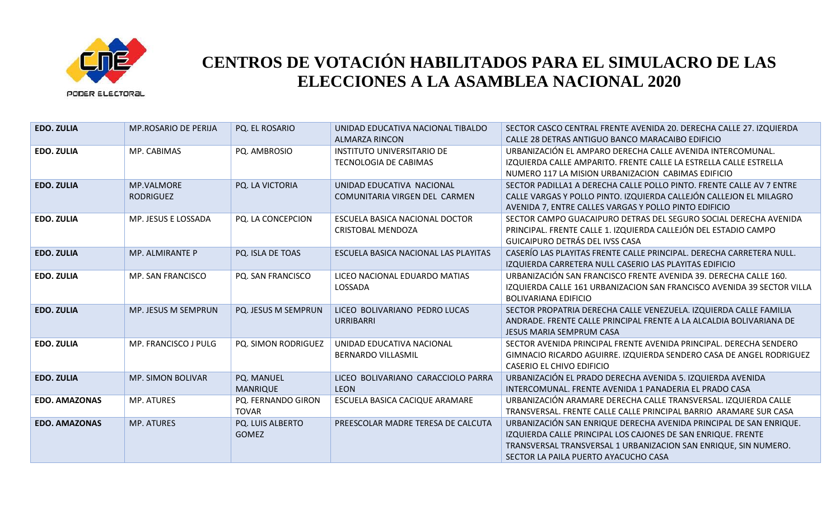

| <b>EDO. ZULIA</b>    | <b>MP.ROSARIO DE PERIJA</b>    | PQ. EL ROSARIO                     | UNIDAD EDUCATIVA NACIONAL TIBALDO<br><b>ALMARZA RINCON</b> | SECTOR CASCO CENTRAL FRENTE AVENIDA 20. DERECHA CALLE 27. IZQUIERDA<br>CALLE 28 DETRAS ANTIGUO BANCO MARACAIBO EDIFICIO                                                                                                                       |
|----------------------|--------------------------------|------------------------------------|------------------------------------------------------------|-----------------------------------------------------------------------------------------------------------------------------------------------------------------------------------------------------------------------------------------------|
| EDO. ZULIA           | MP. CABIMAS                    | PQ. AMBROSIO                       | INSTITUTO UNIVERSITARIO DE<br><b>TECNOLOGIA DE CABIMAS</b> | URBANIZACIÓN EL AMPARO DERECHA CALLE AVENIDA INTERCOMUNAL.<br>IZQUIERDA CALLE AMPARITO. FRENTE CALLE LA ESTRELLA CALLE ESTRELLA<br>NUMERO 117 LA MISION URBANIZACION CABIMAS EDIFICIO                                                         |
| <b>EDO. ZULIA</b>    | MP.VALMORE<br><b>RODRIGUEZ</b> | PQ. LA VICTORIA                    | UNIDAD EDUCATIVA NACIONAL<br>COMUNITARIA VIRGEN DEL CARMEN | SECTOR PADILLA1 A DERECHA CALLE POLLO PINTO. FRENTE CALLE AV 7 ENTRE<br>CALLE VARGAS Y POLLO PINTO. IZQUIERDA CALLEJÓN CALLEJON EL MILAGRO<br>AVENIDA 7, ENTRE CALLES VARGAS Y POLLO PINTO EDIFICIO                                           |
| <b>EDO. ZULIA</b>    | MP. JESUS E LOSSADA            | PQ. LA CONCEPCION                  | ESCUELA BASICA NACIONAL DOCTOR<br><b>CRISTOBAL MENDOZA</b> | SECTOR CAMPO GUACAIPURO DETRAS DEL SEGURO SOCIAL DERECHA AVENIDA<br>PRINCIPAL. FRENTE CALLE 1. IZQUIERDA CALLEJÓN DEL ESTADIO CAMPO<br>GUICAIPURO DETRÁS DEL IVSS CASA                                                                        |
| <b>EDO. ZULIA</b>    | <b>MP. ALMIRANTE P</b>         | PQ. ISLA DE TOAS                   | ESCUELA BASICA NACIONAL LAS PLAYITAS                       | CASERÍO LAS PLAYITAS FRENTE CALLE PRINCIPAL. DERECHA CARRETERA NULL.<br>IZQUIERDA CARRETERA NULL CASERIO LAS PLAYITAS EDIFICIO                                                                                                                |
| <b>EDO. ZULIA</b>    | MP. SAN FRANCISCO              | PQ. SAN FRANCISCO                  | LICEO NACIONAL EDUARDO MATIAS<br>LOSSADA                   | URBANIZACIÓN SAN FRANCISCO FRENTE AVENIDA 39. DERECHA CALLE 160.<br>IZQUIERDA CALLE 161 URBANIZACION SAN FRANCISCO AVENIDA 39 SECTOR VILLA<br><b>BOLIVARIANA EDIFICIO</b>                                                                     |
| <b>EDO. ZULIA</b>    | MP. JESUS M SEMPRUN            | PQ. JESUS M SEMPRUN                | LICEO BOLIVARIANO PEDRO LUCAS<br><b>URRIBARRI</b>          | SECTOR PROPATRIA DERECHA CALLE VENEZUELA. IZQUIERDA CALLE FAMILIA<br>ANDRADE. FRENTE CALLE PRINCIPAL FRENTE A LA ALCALDIA BOLIVARIANA DE<br>JESUS MARIA SEMPRUM CASA                                                                          |
| <b>EDO. ZULIA</b>    | MP. FRANCISCO J PULG           | PQ. SIMON RODRIGUEZ                | UNIDAD EDUCATIVA NACIONAL<br><b>BERNARDO VILLASMIL</b>     | SECTOR AVENIDA PRINCIPAL FRENTE AVENIDA PRINCIPAL. DERECHA SENDERO<br>GIMNACIO RICARDO AGUIRRE. IZQUIERDA SENDERO CASA DE ANGEL RODRIGUEZ<br>CASERIO EL CHIVO EDIFICIO                                                                        |
| <b>EDO. ZULIA</b>    | <b>MP. SIMON BOLIVAR</b>       | PQ. MANUEL<br><b>MANRIQUE</b>      | LICEO BOLIVARIANO CARACCIOLO PARRA<br><b>LEON</b>          | URBANIZACIÓN EL PRADO DERECHA AVENIDA 5. IZQUIERDA AVENIDA<br>INTERCOMUNAL. FRENTE AVENIDA 1 PANADERIA EL PRADO CASA                                                                                                                          |
| <b>EDO. AMAZONAS</b> | <b>MP. ATURES</b>              | PQ. FERNANDO GIRON<br><b>TOVAR</b> | ESCUELA BASICA CACIQUE ARAMARE                             | URBANIZACIÓN ARAMARE DERECHA CALLE TRANSVERSAL. IZQUIERDA CALLE<br>TRANSVERSAL, FRENTE CALLE CALLE PRINCIPAL BARRIO ARAMARE SUR CASA                                                                                                          |
| <b>EDO. AMAZONAS</b> | MP. ATURES                     | PQ. LUIS ALBERTO<br><b>GOMEZ</b>   | PREESCOLAR MADRE TERESA DE CALCUTA                         | URBANIZACIÓN SAN ENRIQUE DERECHA AVENIDA PRINCIPAL DE SAN ENRIQUE.<br>IZQUIERDA CALLE PRINCIPAL LOS CAJONES DE SAN ENRIQUE. FRENTE<br>TRANSVERSAL TRANSVERSAL 1 URBANIZACION SAN ENRIQUE, SIN NUMERO.<br>SECTOR LA PAILA PUERTO AYACUCHO CASA |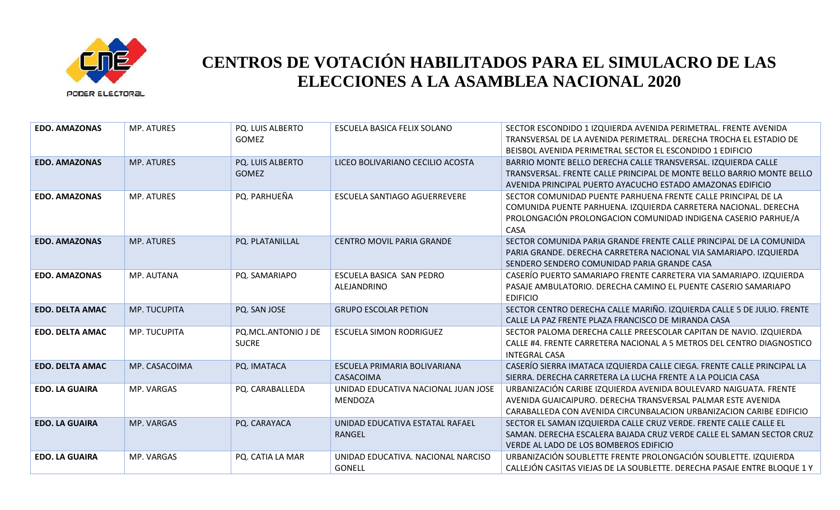

| <b>EDO. AMAZONAS</b>   | <b>MP. ATURES</b> | PQ. LUIS ALBERTO<br>GOMEZ           | ESCUELA BASICA FELIX SOLANO                           | SECTOR ESCONDIDO 1 IZQUIERDA AVENIDA PERIMETRAL. FRENTE AVENIDA<br>TRANSVERSAL DE LA AVENIDA PERIMETRAL. DERECHA TROCHA EL ESTADIO DE<br>BEISBOL AVENIDA PERIMETRAL SECTOR EL ESCONDIDO 1 EDIFICIO        |
|------------------------|-------------------|-------------------------------------|-------------------------------------------------------|-----------------------------------------------------------------------------------------------------------------------------------------------------------------------------------------------------------|
| <b>EDO. AMAZONAS</b>   | MP. ATURES        | PQ. LUIS ALBERTO<br><b>GOMEZ</b>    | LICEO BOLIVARIANO CECILIO ACOSTA                      | BARRIO MONTE BELLO DERECHA CALLE TRANSVERSAL. IZQUIERDA CALLE<br>TRANSVERSAL. FRENTE CALLE PRINCIPAL DE MONTE BELLO BARRIO MONTE BELLO<br>AVENIDA PRINCIPAL PUERTO AYACUCHO ESTADO AMAZONAS EDIFICIO      |
| <b>EDO. AMAZONAS</b>   | <b>MP. ATURES</b> | PQ. PARHUEÑA                        | ESCUELA SANTIAGO AGUERREVERE                          | SECTOR COMUNIDAD PUENTE PARHUENA FRENTE CALLE PRINCIPAL DE LA<br>COMUNIDA PUENTE PARHUENA. IZQUIERDA CARRETERA NACIONAL. DERECHA<br>PROLONGACIÓN PROLONGACION COMUNIDAD INDIGENA CASERIO PARHUE/A<br>CASA |
| <b>EDO. AMAZONAS</b>   | <b>MP. ATURES</b> | PQ. PLATANILLAL                     | CENTRO MOVIL PARIA GRANDE                             | SECTOR COMUNIDA PARIA GRANDE FRENTE CALLE PRINCIPAL DE LA COMUNIDA<br>PARIA GRANDE. DERECHA CARRETERA NACIONAL VIA SAMARIAPO. IZQUIERDA<br>SENDERO SENDERO COMUNIDAD PARIA GRANDE CASA                    |
| <b>EDO. AMAZONAS</b>   | MP. AUTANA        | PQ. SAMARIAPO                       | ESCUELA BASICA SAN PEDRO<br>ALEJANDRINO               | CASERÍO PUERTO SAMARIAPO FRENTE CARRETERA VIA SAMARIAPO. IZQUIERDA<br>PASAJE AMBULATORIO. DERECHA CAMINO EL PUENTE CASERIO SAMARIAPO<br><b>EDIFICIO</b>                                                   |
| <b>EDO. DELTA AMAC</b> | MP. TUCUPITA      | PQ. SAN JOSE                        | <b>GRUPO ESCOLAR PETION</b>                           | SECTOR CENTRO DERECHA CALLE MARIÑO. IZQUIERDA CALLE 5 DE JULIO. FRENTE<br>CALLE LA PAZ FRENTE PLAZA FRANCISCO DE MIRANDA CASA                                                                             |
| <b>EDO. DELTA AMAC</b> | MP. TUCUPITA      | PQ.MCL.ANTONIO J DE<br><b>SUCRE</b> | <b>ESCUELA SIMON RODRIGUEZ</b>                        | SECTOR PALOMA DERECHA CALLE PREESCOLAR CAPITAN DE NAVIO. IZQUIERDA<br>CALLE #4. FRENTE CARRETERA NACIONAL A 5 METROS DEL CENTRO DIAGNOSTICO<br><b>INTEGRAL CASA</b>                                       |
| <b>EDO. DELTA AMAC</b> | MP. CASACOIMA     | PQ. IMATACA                         | ESCUELA PRIMARIA BOLIVARIANA<br>CASACOIMA             | CASERÍO SIERRA IMATACA IZQUIERDA CALLE CIEGA. FRENTE CALLE PRINCIPAL LA<br>SIERRA. DERECHA CARRETERA LA LUCHA FRENTE A LA POLICIA CASA                                                                    |
| <b>EDO. LA GUAIRA</b>  | MP. VARGAS        | PQ. CARABALLEDA                     | UNIDAD EDUCATIVA NACIONAL JUAN JOSE<br><b>MENDOZA</b> | URBANIZACIÓN CARIBE IZQUIERDA AVENIDA BOULEVARD NAIGUATA. FRENTE<br>AVENIDA GUAICAIPURO. DERECHA TRANSVERSAL PALMAR ESTE AVENIDA<br>CARABALLEDA CON AVENIDA CIRCUNBALACION URBANIZACION CARIBE EDIFICIO   |
| <b>EDO. LA GUAIRA</b>  | <b>MP. VARGAS</b> | PQ. CARAYACA                        | UNIDAD EDUCATIVA ESTATAL RAFAEL<br>RANGEL             | SECTOR EL SAMAN IZQUIERDA CALLE CRUZ VERDE. FRENTE CALLE CALLE EL<br>SAMAN. DERECHA ESCALERA BAJADA CRUZ VERDE CALLE EL SAMAN SECTOR CRUZ<br>VERDE AL LADO DE LOS BOMBEROS EDIFICIO                       |
| <b>EDO. LA GUAIRA</b>  | MP. VARGAS        | PQ. CATIA LA MAR                    | UNIDAD EDUCATIVA. NACIONAL NARCISO<br><b>GONELL</b>   | URBANIZACIÓN SOUBLETTE FRENTE PROLONGACIÓN SOUBLETTE. IZQUIERDA<br>CALLEJÓN CASITAS VIEJAS DE LA SOUBLETTE. DERECHA PASAJE ENTRE BLOQUE 1 Y                                                               |